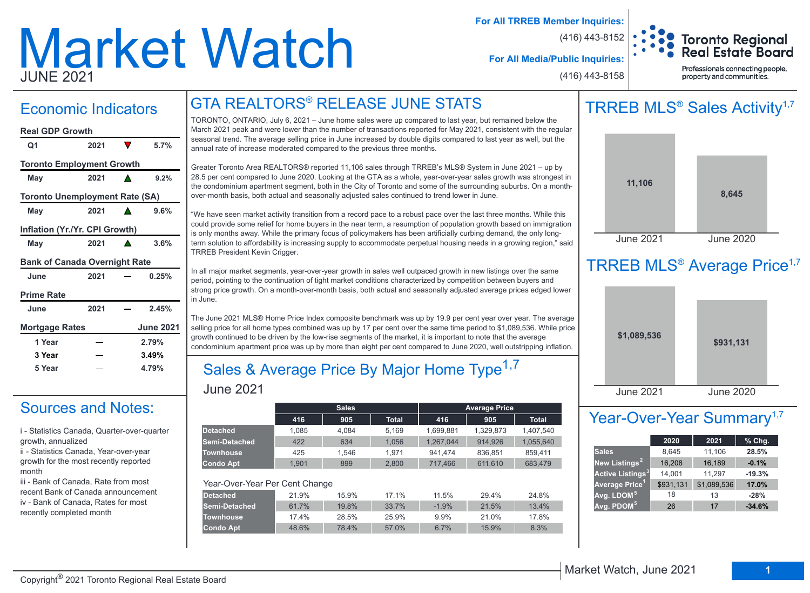# Market Watch JUNE 2021

**For All TRREB Member Inquiries:**

(416) 443-8152

(416) 443-8158



**For All Media/Public Inquiries:**

#### Professionals connecting people, property and communities.

## Economic Indicators

| <b>Real GDP Growth</b>                |      |       |                  |  |  |  |  |  |  |
|---------------------------------------|------|-------|------------------|--|--|--|--|--|--|
| Q1                                    | 2021 | V     | 5.7%             |  |  |  |  |  |  |
| <b>Toronto Employment Growth</b>      |      |       |                  |  |  |  |  |  |  |
| May                                   | 2021 |       | 9.2%             |  |  |  |  |  |  |
| <b>Toronto Unemployment Rate (SA)</b> |      |       |                  |  |  |  |  |  |  |
| May                                   | 2021 |       | 9.6%             |  |  |  |  |  |  |
| Inflation (Yr./Yr. CPI Growth)        |      |       |                  |  |  |  |  |  |  |
| May                                   | 2021 |       | 3.6%             |  |  |  |  |  |  |
| <b>Bank of Canada Overnight Rate</b>  |      |       |                  |  |  |  |  |  |  |
| June                                  | 2021 |       | 0.25%            |  |  |  |  |  |  |
| <b>Prime Rate</b>                     |      |       |                  |  |  |  |  |  |  |
| June                                  | 2021 |       | 2.45%            |  |  |  |  |  |  |
| Mortgage Rates                        |      |       | <b>June 2021</b> |  |  |  |  |  |  |
| 1 Year                                |      |       | 2.79%            |  |  |  |  |  |  |
| 3 Year                                |      | 3.49% |                  |  |  |  |  |  |  |
| 5 Year                                |      |       | 4.79%            |  |  |  |  |  |  |

### Sources and Notes:

i - Statistics Canada, Quarter-over-quarter growth, annualized

ii - Statistics Canada, Year-over-year growth for the most recently reported month

iii - Bank of Canada, Rate from most recent Bank of Canada announcement iv - Bank of Canada, Rates for most recently completed month

TORONTO, ONTARIO, July 6, 2021 – June home sales were up compared to last year, but remained below the March 2021 peak and were lower than the number of transactions reported for May 2021, consistent with the regular seasonal trend. The average selling price in June increased by double digits compared to last year as well, but the annual rate of increase moderated compared to the previous three months.

GTA REALTORS® RELEASE JUNE STATS

Greater Toronto Area REALTORS® reported 11,106 sales through TRREB's MLS® System in June 2021 – up by 28.5 per cent compared to June 2020. Looking at the GTA as a whole, year-over-year sales growth was strongest in the condominium apartment segment, both in the City of Toronto and some of the surrounding suburbs. On a monthover-month basis, both actual and seasonally adjusted sales continued to trend lower in June.

"We have seen market activity transition from a record pace to a robust pace over the last three months. While this could provide some relief for home buyers in the near term, a resumption of population growth based on immigration is only months away. While the primary focus of policymakers has been artificially curbing demand, the only longterm solution to affordability is increasing supply to accommodate perpetual housing needs in a growing region," said TRREB President Kevin Crigger.

In all major market segments, year-over-year growth in sales well outpaced growth in new listings over the same period, pointing to the continuation of tight market conditions characterized by competition between buyers and strong price growth. On a month-over-month basis, both actual and seasonally adjusted average prices edged lower in June.

The June 2021 MLS® Home Price Index composite benchmark was up by 19.9 per cent year over year. The average selling price for all home types combined was up by 17 per cent over the same time period to \$1,089,536. While price growth continued to be driven by the low-rise segments of the market, it is important to note that the average condominium apartment price was up by more than eight per cent compared to June 2020, well outstripping inflation.

### June 2021 Sales & Average Price By Major Home Type<sup>1,7</sup>

|                                |       | <b>Sales</b> |              |           | <b>Average Price</b> |              |
|--------------------------------|-------|--------------|--------------|-----------|----------------------|--------------|
|                                |       |              |              |           |                      |              |
|                                | 416   | 905          | <b>Total</b> | 416       | 905                  | <b>Total</b> |
| <b>Detached</b>                | 1.085 | 4.084        | 5.169        | 1,699,881 | 1,329,873            | 1,407,540    |
| Semi-Detached                  | 422   | 634          | 1,056        | 1,267,044 | 914.926              | 1,055,640    |
| <b>Townhouse</b>               | 425   | 1.546        | 1.971        | 941.474   | 836.851              | 859,411      |
| <b>Condo Apt</b>               | 1.901 | 899          | 2.800        | 717,466   | 611.610              | 683.479      |
|                                |       |              |              |           |                      |              |
| Year-Over-Year Per Cent Change |       |              |              |           |                      |              |
| <b>Detached</b>                | 21.9% | 15.9%        | 17.1%        | 11.5%     | 29.4%                | 24.8%        |
| Semi-Detached                  | 61.7% | 19.8%        | 33.7%        | $-1.9%$   | 21.5%                | 13.4%        |
| <b>Townhouse</b>               | 17.4% | 28.5%        | 25.9%        | 9.9%      | 21.0%                | 17.8%        |
| <b>Condo Apt</b>               | 48.6% | 78.4%        | 57.0%        | 6.7%      | 15.9%                | 8.3%         |
|                                |       |              |              |           |                      |              |

## TRREB MLS<sup>®</sup> Sales Activity<sup>1,7</sup>



## TRREB MLS<sup>®</sup> Average Price<sup>1,7</sup>



## Year-Over-Year Summary<sup>1,7</sup>

|                                    | 2020      | 2021        | $%$ Chg. |
|------------------------------------|-----------|-------------|----------|
| <b>Sales</b>                       | 8,645     | 11,106      | 28.5%    |
| New Listings <sup>2</sup>          | 16,208    | 16,189      | $-0.1%$  |
| <b>Active Listings<sup>3</sup></b> | 14,001    | 11,297      | $-19.3%$ |
| Average Price <sup>1</sup>         | \$931,131 | \$1,089,536 | 17.0%    |
| Avg. LDOM <sup>51</sup>            | 18        | 13          | $-28%$   |
| Avg. PDOM <sup>5</sup>             | 26        | 17          | $-34.6%$ |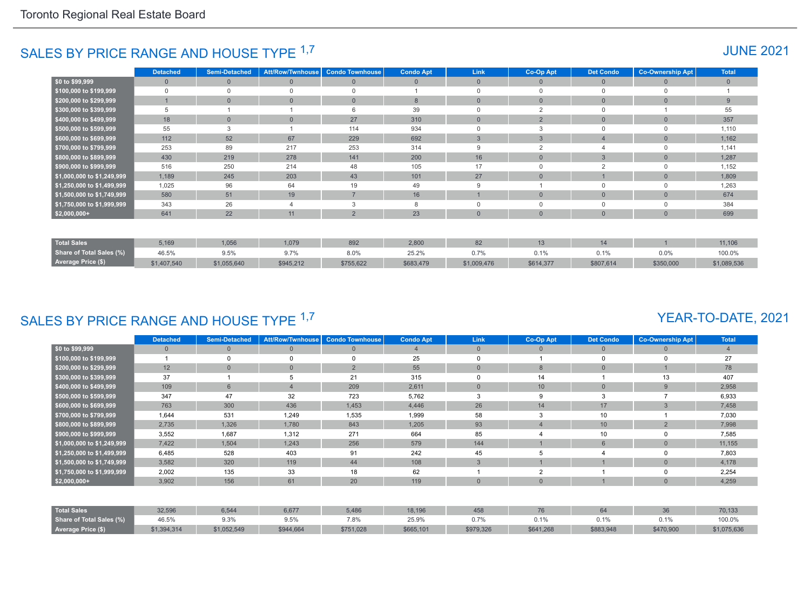## SALES BY PRICE RANGE AND HOUSE TYPE <sup>1,7</sup> And the set of the set of the set of the set of the set of the set of the set of the set of the set of the set of the set of the set of the set of the set of the set of the set of

|                            | <b>Detached</b> | <b>Semi-Detached</b> | <b>Att/Row/Twnhouse</b> | <b>Condo Townhouse</b> | <b>Condo Apt</b> | Link           | Co-Op Apt      | <b>Det Condo</b> | <b>Co-Ownership Apt</b> | <b>Total</b> |
|----------------------------|-----------------|----------------------|-------------------------|------------------------|------------------|----------------|----------------|------------------|-------------------------|--------------|
| \$0 to \$99,999            | $\Omega$        | $\Omega$             | $\overline{0}$          | $\mathbf{0}$           | $\overline{0}$   | $\overline{0}$ | $\Omega$       | $\overline{0}$   | $\Omega$                | $\mathbf{0}$ |
| \$100,000 to \$199,999     | $\Omega$        |                      | $\Omega$                | $\Omega$               |                  |                | $\Omega$       | $\Omega$         |                         |              |
| \$200,000 to \$299,999     |                 | $\Omega$             | $\mathbf{0}$            | $\mathbf{0}$           | 8                | $\Omega$       | $\Omega$       | $\overline{0}$   | $\Omega$                | 9            |
| \$300,000 to \$399,999     | 5               |                      |                         | 6                      | 39               |                | $\Omega$       | $\Omega$         |                         | 55           |
| \$400,000 to \$499,999     | 18              |                      | $\overline{0}$          | 27                     | 310              | $\overline{0}$ | 2              | $\overline{0}$   | $\Omega$                | 357          |
| \$500,000 to \$599,999     | 55              |                      |                         | 114                    | 934              |                |                | $\Omega$         |                         | 1,110        |
| \$600,000 to \$699,999     | 112             | 52                   | 67                      | 229                    | 692              | 3              | 3              | 4                | $\Omega$                | 1,162        |
| \$700,000 to \$799,999     | 253             | 89                   | 217                     | 253                    | 314              | 9              | $\overline{2}$ | 4                | $\Omega$                | 1,141        |
| \$800,000 to \$899,999     | 430             | 219                  | 278                     | 141                    | 200              | 16             | $\mathbf{0}$   | 3                | $\Omega$                | 1,287        |
| \$900,000 to \$999,999     | 516             | 250                  | 214                     | 48                     | 105              | 17             | $\Omega$       | $\overline{2}$   | $\Omega$                | 1,152        |
| \$1,000,000 to \$1,249,999 | 1,189           | 245                  | 203                     | 43                     | 101              | 27             | $\mathbf{0}$   |                  | $\Omega$                | 1,809        |
| \$1,250,000 to \$1,499,999 | 1,025           | 96                   | 64                      | 19                     | 49               | 9              |                | $\mathbf 0$      | $\Omega$                | 1,263        |
| \$1,500,000 to \$1,749,999 | 580             | 51                   | 19                      | $\overline{7}$         | 16               |                | $\mathbf{0}$   | $\overline{0}$   | $\overline{0}$          | 674          |
| \$1,750,000 to \$1,999,999 | 343             | 26                   |                         | 3                      | 8                | $\mathbf 0$    |                | $\mathbf 0$      | $\Omega$                | 384          |
| $$2,000,000+$              | 641             | 22                   | 11                      | $\overline{2}$         | 23               | $\Omega$       | $\Omega$       | $\overline{0}$   | $\Omega$                | 699          |
|                            |                 |                      |                         |                        |                  |                |                |                  |                         |              |
| <b>Total Sales</b>         | 5,169           | 1,056                | 1,079                   | 892                    | 2,800            | 82             | 13             | 14               |                         | 11,106       |
| Share of Total Sales (%)   | 46.5%           | 9.5%                 | 9.7%                    | 8.0%                   | 25.2%            | 0.7%           | 0.1%           | 0.1%             | 0.0%                    | 100.0%       |
| <b>Average Price (\$)</b>  | \$1,407,540     | \$1,055,640          | \$945,212               | \$755,622              | \$683,479        | \$1,009,476    | \$614,377      | \$807,614        | \$350,000               | \$1,089,536  |

## SALES BY PRICE RANGE AND HOUSE TYPE <sup>1,7</sup>

## YEAR-TO-DATE, 2021

|                            | Detached     | <b>Semi-Detached</b> | <b>Att/Row/Twnhouse</b> | <b>Condo Townhouse</b> | <b>Condo Apt</b> | <b>Link</b>    | Co-Op Apt       | <b>Det Condo</b> | <b>Co-Ownership Apt</b> | <b>Total</b> |
|----------------------------|--------------|----------------------|-------------------------|------------------------|------------------|----------------|-----------------|------------------|-------------------------|--------------|
| \$0 to \$99,999            | $\mathbf{0}$ |                      | $\overline{0}$          | $\mathbf{0}$           |                  | $\mathbf{0}$   | 0               | $\mathbf{0}$     | $\Omega$                |              |
| \$100,000 to \$199,999     |              |                      | $\Omega$                | $\Omega$               | 25               | $\Omega$       |                 |                  | $\Omega$                | 27           |
| \$200,000 to \$299,999     | 12           |                      | $\mathbf{0}$            | 2                      | 55               | $\overline{0}$ | 8               | $\overline{0}$   |                         | 78           |
| \$300,000 to \$399,999     | 37           |                      | 5                       | 21                     | 315              | $\Omega$       | 14              |                  | 13                      | 407          |
| \$400,000 to \$499,999     | 109          | 6                    | $\overline{4}$          | 209                    | 2,611            | $\overline{0}$ | 10 <sup>°</sup> | $\mathbf{0}$     | 9                       | 2,958        |
| \$500,000 to \$599,999     | 347          | 47                   | 32                      | 723                    | 5,762            | 3              | 9               | 3                |                         | 6,933        |
| \$600,000 to \$699,999     | 763          | 300                  | 436                     | 1,453                  | 4,446            | 26             | 14              | 17               | 3                       | 7,458        |
| \$700,000 to \$799,999     | 1,644        | 531                  | 1,249                   | 1,535                  | 1,999            | 58             | 3               | 10               |                         | 7,030        |
| \$800,000 to \$899,999     | 2,735        | 1,326                | 1,780                   | 843                    | 1,205            | 93             |                 | 10               | $\overline{2}$          | 7,998        |
| \$900,000 to \$999,999     | 3,552        | 1,687                | 1,312                   | 271                    | 664              | 85             |                 | 10               | $\Omega$                | 7,585        |
| \$1,000,000 to \$1,249,999 | 7,422        | 1,504                | 1,243                   | 256                    | 579              | 144            |                 | $6\phantom{1}$   | $\overline{0}$          | 11,155       |
| \$1,250,000 to \$1,499,999 | 6,485        | 528                  | 403                     | 91                     | 242              | 45             |                 |                  | $\Omega$                | 7,803        |
| \$1,500,000 to \$1,749,999 | 3,582        | 320                  | 119                     | 44                     | 108              | 3              |                 |                  | $\overline{0}$          | 4,178        |
| \$1,750,000 to \$1,999,999 | 2,002        | 135                  | 33                      | 18                     | 62               |                | $\sim$          |                  | 0                       | 2,254        |
| $$2,000,000+$              | 3,902        | 156                  | 61                      | 20                     | 119              | $\Omega$       | $\Omega$        |                  | $\Omega$                | 4,259        |
|                            |              |                      |                         |                        |                  |                |                 |                  |                         |              |
| <b>Total Sales</b>         | 32,596       | 6,544                | 6,677                   | 5,486                  | 18,196           | 458            | 76              | 64               | 36                      | 70,133       |
| Share of Total Sales (%)   | 46.5%        | 9.3%                 | 9.5%                    | 7.8%                   | 25.9%            | 0.7%           | 0.1%            | 0.1%             | 0.1%                    | 100.0%       |
| Average Price (\$)         | \$1,394,314  | \$1,052,549          | \$944,664               | \$751,028              | \$665,101        | \$979,326      | \$641,268       | \$883,948        | \$470,900               | \$1,075,636  |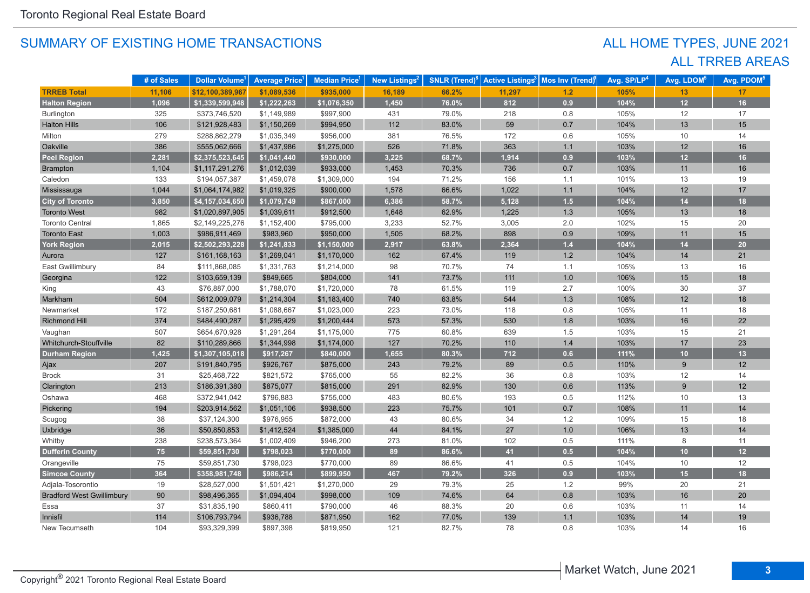## ALL TRREB AREAS ALL HOME TYPES, JUNE 2021

|                                  | # of Sales | Dollar Volume <sup>1</sup> | <b>Average Price<sup>1</sup></b> | Median Price <sup>1</sup> | New Listings <sup>2</sup> | <b>SNLR</b> (Trend) $^8$ | <b>Active Listings<sup>3</sup></b> | <b>Mos Inv (Trend)</b> | Avg. SP/LP <sup>4</sup> | Avg. LDOM <sup>5</sup> | Avg. PDOM <sup>5</sup> |
|----------------------------------|------------|----------------------------|----------------------------------|---------------------------|---------------------------|--------------------------|------------------------------------|------------------------|-------------------------|------------------------|------------------------|
| <b>TRREB Total</b>               | 11,106     | \$12,100,389,967           | \$1,089,536                      | \$935,000                 | 16,189                    | 66.2%                    | 11,297                             | 1.2                    | 105%                    | 13                     | 17                     |
| <b>Halton Region</b>             | 1,096      | \$1,339,599,948            | \$1,222,263                      | \$1,076,350               | 1,450                     | 76.0%                    | 812                                | 0.9                    | 104%                    | 12                     | 16                     |
| <b>Burlington</b>                | 325        | \$373,746,520              | \$1,149,989                      | \$997,900                 | 431                       | 79.0%                    | 218                                | 0.8                    | 105%                    | 12                     | 17                     |
| <b>Halton Hills</b>              | 106        | \$121,928,483              | \$1,150,269                      | \$994,950                 | 112                       | 83.0%                    | 59                                 | 0.7                    | 104%                    | 13                     | 15                     |
| Milton                           | 279        | \$288,862,279              | \$1,035,349                      | \$956,000                 | 381                       | 76.5%                    | 172                                | 0.6                    | 105%                    | 10                     | 14                     |
| Oakville                         | 386        | \$555,062,666              | \$1,437,986                      | \$1,275,000               | 526                       | 71.8%                    | 363                                | $1.1$                  | 103%                    | 12                     | 16                     |
| <b>Peel Region</b>               | 2,281      | \$2,375,523,645            | \$1,041,440                      | \$930,000                 | 3,225                     | 68.7%                    | 1,914                              | 0.9                    | 103%                    | 12                     | 16                     |
| Brampton                         | 1,104      | \$1,117,291,276            | \$1,012,039                      | \$933,000                 | 1,453                     | 70.3%                    | 736                                | 0.7                    | 103%                    | 11                     | 16                     |
| Caledon                          | 133        | \$194,057,387              | \$1,459,078                      | \$1,309,000               | 194                       | 71.2%                    | 156                                | 1.1                    | 101%                    | 13                     | 19                     |
| Mississauga                      | 1,044      | \$1,064,174,982            | \$1,019,325                      | \$900,000                 | 1,578                     | 66.6%                    | 1,022                              | $1.1$                  | 104%                    | 12                     | 17                     |
| <b>City of Toronto</b>           | 3,850      | \$4,157,034,650            | \$1,079,749                      | \$867,000                 | 6,386                     | 58.7%                    | 5,128                              | 1.5                    | 104%                    | 14                     | 18                     |
| <b>Toronto West</b>              | 982        | \$1,020,897,905            | \$1,039,611                      | \$912,500                 | 1,648                     | 62.9%                    | 1,225                              | 1.3                    | 105%                    | 13                     | 18                     |
| <b>Toronto Central</b>           | 1,865      | \$2,149,225,276            | \$1,152,400                      | \$795,000                 | 3,233                     | 52.7%                    | 3,005                              | 2.0                    | 102%                    | 15                     | 20                     |
| <b>Toronto East</b>              | 1,003      | \$986,911,469              | \$983,960                        | \$950,000                 | 1,505                     | 68.2%                    | 898                                | 0.9                    | 109%                    | 11                     | 15                     |
| <b>York Region</b>               | 2,015      | \$2,502,293,228            | \$1,241,833                      | \$1,150,000               | 2,917                     | 63.8%                    | 2,364                              | 1.4                    | 104%                    | 14                     | 20 <sup>°</sup>        |
| Aurora                           | 127        | \$161,168,163              | \$1,269,041                      | \$1,170,000               | 162                       | 67.4%                    | 119                                | 1.2                    | 104%                    | 14                     | 21                     |
| East Gwillimbury                 | 84         | \$111,868,085              | \$1,331,763                      | \$1,214,000               | 98                        | 70.7%                    | 74                                 | 1.1                    | 105%                    | 13                     | 16                     |
| Georgina                         | 122        | \$103,659,139              | \$849,665                        | \$804,000                 | 141                       | 73.7%                    | 111                                | 1.0                    | 106%                    | 15                     | 18                     |
| King                             | 43         | \$76,887,000               | \$1,788,070                      | \$1,720,000               | 78                        | 61.5%                    | 119                                | 2.7                    | 100%                    | 30                     | 37                     |
| Markham                          | 504        | \$612,009,079              | \$1,214,304                      | \$1,183,400               | 740                       | 63.8%                    | 544                                | 1.3                    | 108%                    | 12                     | 18                     |
| Newmarket                        | 172        | \$187,250,681              | \$1,088,667                      | \$1,023,000               | 223                       | 73.0%                    | 118                                | 0.8                    | 105%                    | 11                     | 18                     |
| <b>Richmond Hill</b>             | 374        | \$484,490,287              | \$1,295,429                      | \$1,200,444               | 573                       | 57.3%                    | 530                                | 1.8                    | 103%                    | 16                     | 22                     |
| Vaughan                          | 507        | \$654,670,928              | \$1,291,264                      | \$1,175,000               | 775                       | 60.8%                    | 639                                | 1.5                    | 103%                    | 15                     | 21                     |
| Whitchurch-Stouffville           | 82         | \$110,289,866              | \$1,344,998                      | \$1,174,000               | 127                       | 70.2%                    | 110                                | 1.4                    | 103%                    | 17                     | 23                     |
| <b>Durham Region</b>             | 1,425      | \$1,307,105,018            | \$917,267                        | \$840,000                 | 1,655                     | 80.3%                    | 712                                | 0.6                    | 111%                    | 10                     | 13                     |
| Ajax                             | 207        | \$191,840,795              | \$926,767                        | \$875,000                 | 243                       | 79.2%                    | 89                                 | $0.5\,$                | 110%                    | 9                      | 12                     |
| <b>Brock</b>                     | 31         | \$25,468,722               | \$821,572                        | \$765,000                 | 55                        | 82.2%                    | 36                                 | 0.8                    | 103%                    | 12                     | 14                     |
| Clarington                       | 213        | \$186,391,380              | \$875,077                        | \$815,000                 | 291                       | 82.9%                    | 130                                | 0.6                    | 113%                    | 9                      | 12                     |
| Oshawa                           | 468        | \$372,941,042              | \$796,883                        | \$755,000                 | 483                       | 80.6%                    | 193                                | 0.5                    | 112%                    | 10                     | 13                     |
| Pickering                        | 194        | \$203,914,562              | \$1,051,106                      | \$938,500                 | 223                       | 75.7%                    | 101                                | 0.7                    | 108%                    | 11                     | 14                     |
| Scugog                           | 38         | \$37,124,300               | \$976,955                        | \$872,000                 | 43                        | 80.6%                    | 34                                 | 1.2                    | 109%                    | 15                     | 18                     |
| Uxbridge                         | 36         | \$50,850,853               | \$1,412,524                      | \$1,385,000               | 44                        | 84.1%                    | 27                                 | 1.0                    | 106%                    | 13                     | 14                     |
| Whitby                           | 238        | \$238,573,364              | \$1,002,409                      | \$946,200                 | 273                       | 81.0%                    | 102                                | 0.5                    | 111%                    | 8                      | 11                     |
| <b>Dufferin County</b>           | 75         | \$59,851,730               | \$798,023                        | \$770,000                 | 89                        | 86.6%                    | 41                                 | 0.5                    | 104%                    | 10                     | 12                     |
| Orangeville                      | 75         | \$59,851,730               | \$798,023                        | \$770,000                 | 89                        | 86.6%                    | 41                                 | 0.5                    | 104%                    | 10                     | 12                     |
| <b>Simcoe County</b>             | 364        | \$358,981,748              | \$986,214                        | \$899,950                 | 467                       | 79.2%                    | 326                                | 0.9                    | 103%                    | 15                     | 18                     |
| Adjala-Tosorontio                | 19         | \$28,527,000               | \$1,501,421                      | \$1,270,000               | 29                        | 79.3%                    | 25                                 | 1.2                    | 99%                     | 20                     | 21                     |
| <b>Bradford West Gwillimbury</b> | 90         | \$98,496,365               | \$1,094,404                      | \$998,000                 | 109                       | 74.6%                    | 64                                 | 0.8                    | 103%                    | 16                     | 20                     |
| Essa                             | 37         | \$31,835,190               | \$860,411                        | \$790,000                 | 46                        | 88.3%                    | 20                                 | 0.6                    | 103%                    | 11                     | 14                     |
| Innisfil                         | 114        | \$106,793,794              | \$936,788                        | \$871,950                 | 162                       | 77.0%                    | 139                                | 1.1                    | 103%                    | 14                     | 19                     |
| New Tecumseth                    | 104        | \$93,329,399               | \$897,398                        | \$819,950                 | 121                       | 82.7%                    | 78                                 | 0.8                    | 103%                    | 14                     | 16                     |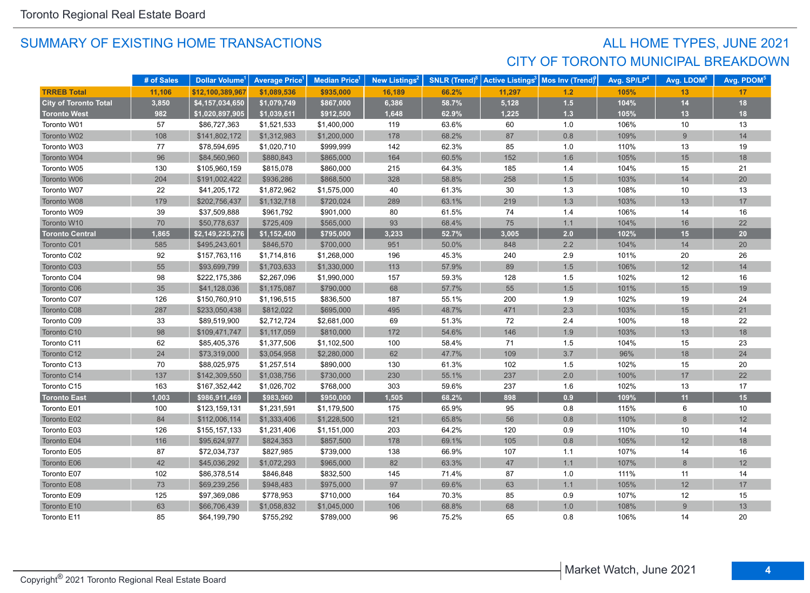## SUMMARY OF EXISTING HOME TRANSACTIONS **ALL HOME TYPES**, JUNE 2021 CITY OF TORONTO MUNICIPAL BREAKDOWN

|                              | # of Sales | Dollar Volume <sup>1</sup> | <b>Average Price</b> <sup>1</sup> | <b>Median Price</b> <sup>1</sup> | <b>New Listings<sup>2</sup></b> | <b>SNLR</b> (Trend) $8$ |        | Active Listings <sup>3</sup> Mos Inv (Trend) <sup>9</sup> | Avg. SP/LP <sup>4</sup> | Avg. LDOM <sup>5</sup> | Avg. PDOM <sup>5</sup> |
|------------------------------|------------|----------------------------|-----------------------------------|----------------------------------|---------------------------------|-------------------------|--------|-----------------------------------------------------------|-------------------------|------------------------|------------------------|
| <b>TRREB Total</b>           | 11,106     | \$12,100,389,967           | \$1,089,536                       | \$935,000                        | 16,189                          | 66.2%                   | 11,297 | 1.2                                                       | 105%                    | 13                     | 17                     |
| <b>City of Toronto Total</b> | 3,850      | \$4,157,034,650            | \$1,079,749                       | \$867,000                        | 6,386                           | 58.7%                   | 5,128  | $1.5$                                                     | 104%                    | 14                     | 18                     |
| <b>Toronto West</b>          | 982        | \$1,020,897,905            | \$1,039,611                       | \$912,500                        | 1,648                           | 62.9%                   | 1,225  | $1.3$                                                     | 105%                    | 13                     | 18                     |
| Toronto W01                  | 57         | \$86,727,363               | \$1,521,533                       | \$1,400,000                      | 119                             | 63.6%                   | 60     | 1.0                                                       | 106%                    | 10                     | 13                     |
| Toronto W02                  | 108        | \$141,802,172              | \$1,312,983                       | \$1,200,000                      | 178                             | 68.2%                   | 87     | 0.8                                                       | 109%                    | 9                      | 14                     |
| Toronto W03                  | 77         | \$78,594,695               | \$1,020,710                       | \$999,999                        | 142                             | 62.3%                   | 85     | 1.0                                                       | 110%                    | 13                     | 19                     |
| Toronto W04                  | 96         | \$84,560,960               | \$880,843                         | \$865,000                        | 164                             | 60.5%                   | 152    | 1.6                                                       | 105%                    | 15                     | 18                     |
| Toronto W05                  | 130        | \$105,960,159              | \$815,078                         | \$860,000                        | 215                             | 64.3%                   | 185    | 1.4                                                       | 104%                    | 15                     | 21                     |
| Toronto W06                  | 204        | \$191,002,422              | \$936,286                         | \$868,500                        | 328                             | 58.8%                   | 258    | $1.5$                                                     | 103%                    | 14                     | 20                     |
| Toronto W07                  | 22         | \$41,205,172               | \$1,872,962                       | \$1,575,000                      | 40                              | 61.3%                   | 30     | 1.3                                                       | 108%                    | 10                     | 13                     |
| Toronto W08                  | 179        | \$202,756,437              | \$1,132,718                       | \$720,024                        | 289                             | 63.1%                   | 219    | 1.3                                                       | 103%                    | 13                     | 17                     |
| Toronto W09                  | 39         | \$37,509,888               | \$961,792                         | \$901,000                        | 80                              | 61.5%                   | 74     | 1.4                                                       | 106%                    | 14                     | 16                     |
| Toronto W10                  | 70         | \$50,778,637               | \$725,409                         | \$565,000                        | 93                              | 68.4%                   | 75     | 1.1                                                       | 104%                    | 16                     | 22                     |
| <b>Toronto Central</b>       | 1,865      | \$2,149,225,276            | \$1,152,400                       | \$795,000                        | 3,233                           | 52.7%                   | 3,005  | 2.0                                                       | 102%                    | 15                     | 20                     |
| Toronto C01                  | 585        | \$495,243,601              | \$846,570                         | \$700,000                        | 951                             | 50.0%                   | 848    | 2.2                                                       | 104%                    | 14                     | 20                     |
| Toronto C02                  | 92         | \$157,763,116              | \$1,714,816                       | \$1,268,000                      | 196                             | 45.3%                   | 240    | 2.9                                                       | 101%                    | 20                     | 26                     |
| Toronto C03                  | 55         | \$93,699,799               | \$1,703,633                       | \$1,330,000                      | 113                             | 57.9%                   | 89     | $1.5$                                                     | 106%                    | 12                     | 14                     |
| Toronto C04                  | 98         | \$222,175,386              | \$2,267,096                       | \$1,990,000                      | 157                             | 59.3%                   | 128    | 1.5                                                       | 102%                    | 12                     | 16                     |
| Toronto C06                  | 35         | \$41,128,036               | \$1,175,087                       | \$790,000                        | 68                              | 57.7%                   | 55     | 1.5                                                       | 101%                    | 15                     | 19                     |
| Toronto C07                  | 126        | \$150,760,910              | \$1,196,515                       | \$836,500                        | 187                             | 55.1%                   | 200    | 1.9                                                       | 102%                    | 19                     | 24                     |
| Toronto C08                  | 287        | \$233,050,438              | \$812,022                         | \$695,000                        | 495                             | 48.7%                   | 471    | 2.3                                                       | 103%                    | 15                     | 21                     |
| Toronto C09                  | 33         | \$89,519,900               | \$2,712,724                       | \$2,681,000                      | 69                              | 51.3%                   | 72     | 2.4                                                       | 100%                    | 18                     | 22                     |
| Toronto C10                  | 98         | \$109,471,747              | \$1,117,059                       | \$810,000                        | 172                             | 54.6%                   | 146    | 1.9                                                       | 103%                    | 13                     | 18                     |
| Toronto C11                  | 62         | \$85,405,376               | \$1,377,506                       | \$1,102,500                      | 100                             | 58.4%                   | 71     | 1.5                                                       | 104%                    | 15                     | 23                     |
| Toronto C12                  | 24         | \$73,319,000               | \$3,054,958                       | \$2,280,000                      | 62                              | 47.7%                   | 109    | 3.7                                                       | 96%                     | 18                     | 24                     |
| Toronto C13                  | 70         | \$88,025,975               | \$1,257,514                       | \$890,000                        | 130                             | 61.3%                   | 102    | 1.5                                                       | 102%                    | 15                     | 20                     |
| Toronto C14                  | 137        | \$142,309,550              | \$1,038,756                       | \$730,000                        | 230                             | 55.1%                   | 237    | 2.0                                                       | 100%                    | 17                     | 22                     |
| Toronto C15                  | 163        | \$167,352,442              | \$1,026,702                       | \$768,000                        | 303                             | 59.6%                   | 237    | 1.6                                                       | 102%                    | 13                     | 17                     |
| <b>Toronto East</b>          | 1,003      | \$986,911,469              | \$983,960                         | \$950,000                        | 1,505                           | 68.2%                   | 898    | 0.9                                                       | 109%                    | 11                     | 15                     |
| Toronto E01                  | 100        | \$123,159,131              | \$1,231,591                       | \$1,179,500                      | 175                             | 65.9%                   | 95     | 0.8                                                       | 115%                    | 6                      | 10                     |
| Toronto E02                  | 84         | \$112,006,114              | \$1,333,406                       | \$1,228,500                      | 121                             | 65.8%                   | 56     | 0.8                                                       | 110%                    | $\,8\,$                | 12                     |
| Toronto E03                  | 126        | \$155,157,133              | \$1,231,406                       | \$1,151,000                      | 203                             | 64.2%                   | 120    | 0.9                                                       | 110%                    | 10                     | 14                     |
| Toronto E04                  | 116        | \$95,624,977               | \$824,353                         | \$857,500                        | 178                             | 69.1%                   | 105    | 0.8                                                       | 105%                    | 12                     | 18                     |
| Toronto E05                  | 87         | \$72,034,737               | \$827,985                         | \$739,000                        | 138                             | 66.9%                   | 107    | 1.1                                                       | 107%                    | 14                     | 16                     |
| Toronto E06                  | 42         | \$45,036,292               | \$1,072,293                       | \$965,000                        | 82                              | 63.3%                   | 47     | 1.1                                                       | 107%                    | 8                      | 12                     |
| Toronto E07                  | 102        | \$86,378,514               | \$846,848                         | \$832,500                        | 145                             | 71.4%                   | 87     | 1.0                                                       | 111%                    | 11                     | 14                     |
| Toronto E08                  | 73         | \$69,239,256               | \$948,483                         | \$975,000                        | 97                              | 69.6%                   | 63     | 1.1                                                       | 105%                    | 12                     | 17                     |
| Toronto E09                  | 125        | \$97,369,086               | \$778,953                         | \$710,000                        | 164                             | 70.3%                   | 85     | 0.9                                                       | 107%                    | 12                     | 15                     |
| Toronto E10                  | 63         | \$66,706,439               | \$1,058,832                       | \$1,045,000                      | 106                             | 68.8%                   | 68     | 1.0                                                       | 108%                    | 9                      | 13                     |
| Toronto E11                  | 85         | \$64,199,790               | \$755.292                         | \$789,000                        | 96                              | 75.2%                   | 65     | 0.8                                                       | 106%                    | 14                     | 20                     |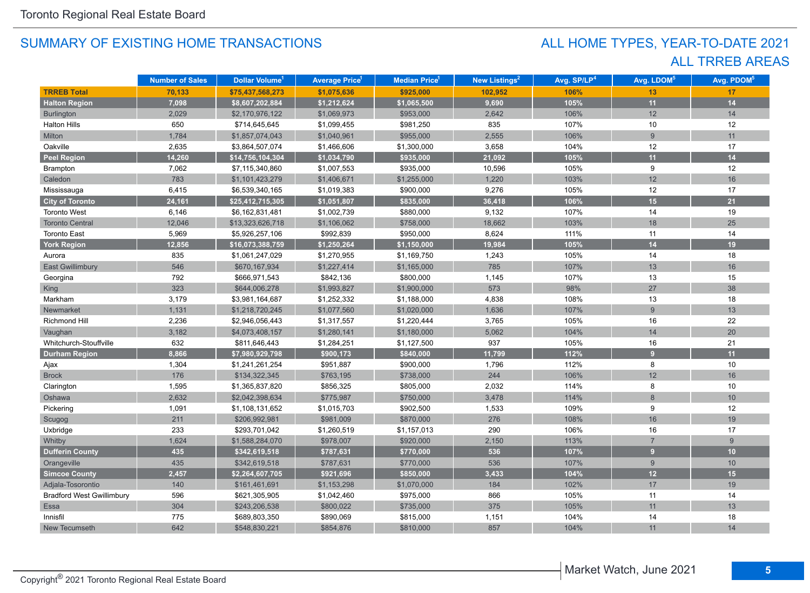## ALL TRREB AREAS ALL HOME TYPES, YEAR-TO-DATE 2021

|                                  | <b>Number of Sales</b> | Dollar Volume <sup>1</sup> | <b>Average Price</b> <sup>1</sup> | <b>Median Price</b> <sup>1</sup> | New Listings <sup>2</sup> | Avg. SP/LP <sup>4</sup> | Avg. LDOM <sup>5</sup> | Avg. PDOM <sup>5</sup> |
|----------------------------------|------------------------|----------------------------|-----------------------------------|----------------------------------|---------------------------|-------------------------|------------------------|------------------------|
| <b>TRREB Total</b>               | 70,133                 | \$75,437,568,273           | \$1,075,636                       | \$925,000                        | 102,952                   | 106%                    | 13                     | 17                     |
| <b>Halton Region</b>             | 7,098                  | \$8,607,202,884            | \$1,212,624                       | \$1,065,500                      | 9,690                     | 105%                    | 11                     | 14                     |
| <b>Burlington</b>                | 2,029                  | \$2,170,976,122            | \$1,069,973                       | \$953,000                        | 2,642                     | 106%                    | 12                     | 14                     |
| <b>Halton Hills</b>              | 650                    | \$714,645,645              | \$1,099,455                       | \$981,250                        | 835                       | 107%                    | 10                     | 12                     |
| Milton                           | 1,784                  | \$1,857,074,043            | \$1,040,961                       | \$955,000                        | 2,555                     | 106%                    | 9                      | 11                     |
| Oakville                         | 2,635                  | \$3,864,507,074            | \$1,466,606                       | \$1,300,000                      | 3,658                     | 104%                    | 12                     | 17                     |
| <b>Peel Region</b>               | 14,260                 | \$14,756,104,304           | \$1,034,790                       | \$935,000                        | 21,092                    | 105%                    | 11                     | 14                     |
| Brampton                         | 7,062                  | \$7,115,340,860            | \$1,007,553                       | \$935,000                        | 10,596                    | 105%                    | 9                      | 12                     |
| Caledon                          | 783                    | \$1,101,423,279            | \$1,406,671                       | \$1,255,000                      | 1,220                     | 103%                    | 12                     | 16                     |
| Mississauga                      | 6,415                  | \$6,539,340,165            | \$1,019,383                       | \$900,000                        | 9,276                     | 105%                    | 12                     | 17                     |
| <b>City of Toronto</b>           | 24,161                 | \$25,412,715,305           | \$1,051,807                       | \$835,000                        | 36,418                    | 106%                    | 15                     | 21                     |
| <b>Toronto West</b>              | 6,146                  | \$6,162,831,481            | \$1,002,739                       | \$880,000                        | 9,132                     | 107%                    | 14                     | 19                     |
| <b>Toronto Central</b>           | 12,046                 | \$13,323,626,718           | \$1,106,062                       | \$758,000                        | 18,662                    | 103%                    | 18                     | 25                     |
| <b>Toronto East</b>              | 5,969                  | \$5,926,257,106            | \$992,839                         | \$950,000                        | 8,624                     | 111%                    | 11                     | 14                     |
| <b>York Region</b>               | 12,856                 | \$16,073,388,759           | \$1,250,264                       | \$1,150,000                      | 19,984                    | 105%                    | 14                     | 19                     |
| Aurora                           | 835                    | \$1,061,247,029            | \$1,270,955                       | \$1,169,750                      | 1,243                     | 105%                    | 14                     | 18                     |
| <b>East Gwillimbury</b>          | 546                    | \$670,167,934              | \$1,227,414                       | \$1,165,000                      | 785                       | 107%                    | 13                     | 16                     |
| Georgina                         | 792                    | \$666,971,543              | \$842,136                         | \$800,000                        | 1,145                     | 107%                    | 13                     | 15                     |
| <b>King</b>                      | 323                    | \$644,006,278              | \$1,993,827                       | \$1,900,000                      | 573                       | 98%                     | 27                     | 38                     |
| Markham                          | 3,179                  | \$3,981,164,687            | \$1,252,332                       | \$1,188,000                      | 4,838                     | 108%                    | 13                     | 18                     |
| Newmarket                        | 1,131                  | \$1,218,720,245            | \$1,077,560                       | \$1,020,000                      | 1,636                     | 107%                    | 9                      | 13                     |
| Richmond Hill                    | 2,236                  | \$2,946,056,443            | \$1,317,557                       | \$1,220,444                      | 3,765                     | 105%                    | 16                     | 22                     |
| Vaughan                          | 3,182                  | \$4,073,408,157            | \$1,280,141                       | \$1,180,000                      | 5,062                     | 104%                    | 14                     | 20                     |
| Whitchurch-Stouffville           | 632                    | \$811,646,443              | \$1,284,251                       | \$1,127,500                      | 937                       | 105%                    | 16                     | 21                     |
| <b>Durham Region</b>             | 8,866                  | \$7,980,929,798            | \$900,173                         | \$840,000                        | 11,799                    | 112%                    | $\overline{9}$         | 11                     |
| Ajax                             | 1,304                  | \$1,241,261,254            | \$951,887                         | \$900,000                        | 1,796                     | 112%                    | 8                      | 10                     |
| <b>Brock</b>                     | 176                    | \$134,322,345              | \$763,195                         | \$738,000                        | 244                       | 106%                    | 12                     | 16                     |
| Clarington                       | 1,595                  | \$1,365,837,820            | \$856,325                         | \$805,000                        | 2,032                     | 114%                    | 8                      | 10                     |
| Oshawa                           | 2,632                  | \$2,042,398,634            | \$775,987                         | \$750,000                        | 3,478                     | 114%                    | 8                      | 10                     |
| Pickering                        | 1,091                  | \$1,108,131,652            | \$1,015,703                       | \$902,500                        | 1,533                     | 109%                    | 9                      | 12                     |
| Scugog                           | 211                    | \$206,992,981              | \$981,009                         | \$870,000                        | 276                       | 108%                    | 16                     | 19                     |
| Uxbridge                         | 233                    | \$293,701,042              | \$1,260,519                       | \$1,157,013                      | 290                       | 106%                    | 16                     | 17                     |
| Whitby                           | 1,624                  | \$1,588,284,070            | \$978,007                         | \$920,000                        | 2,150                     | 113%                    | $\overline{7}$         | 9                      |
| <b>Dufferin County</b>           | 435                    | \$342,619,518              | \$787,631                         | \$770,000                        | 536                       | 107%                    | $\overline{9}$         | 10 <sup>1</sup>        |
| Orangeville                      | 435                    | \$342,619,518              | \$787,631                         | \$770,000                        | 536                       | 107%                    | 9                      | 10                     |
| <b>Simcoe County</b>             | 2,457                  | \$2,264,607,705            | \$921,696                         | \$850,000                        | 3,433                     | 104%                    | 12                     | 15                     |
| Adjala-Tosorontio                | 140                    | \$161,461,691              | \$1,153,298                       | \$1,070,000                      | 184                       | 102%                    | 17                     | 19                     |
| <b>Bradford West Gwillimbury</b> | 596                    | \$621,305,905              | \$1,042,460                       | \$975,000                        | 866                       | 105%                    | 11                     | 14                     |
| <b>Essa</b>                      | 304                    | \$243,206,538              | \$800,022                         | \$735,000                        | 375                       | 105%                    | 11                     | 13                     |
| Innisfil                         | 775                    | \$689,803,350              | \$890,069                         | \$815,000                        | 1,151                     | 104%                    | 14                     | 18                     |
| New Tecumseth                    | 642                    | \$548,830,221              | \$854,876                         | \$810,000                        | 857                       | 104%                    | 11                     | 14                     |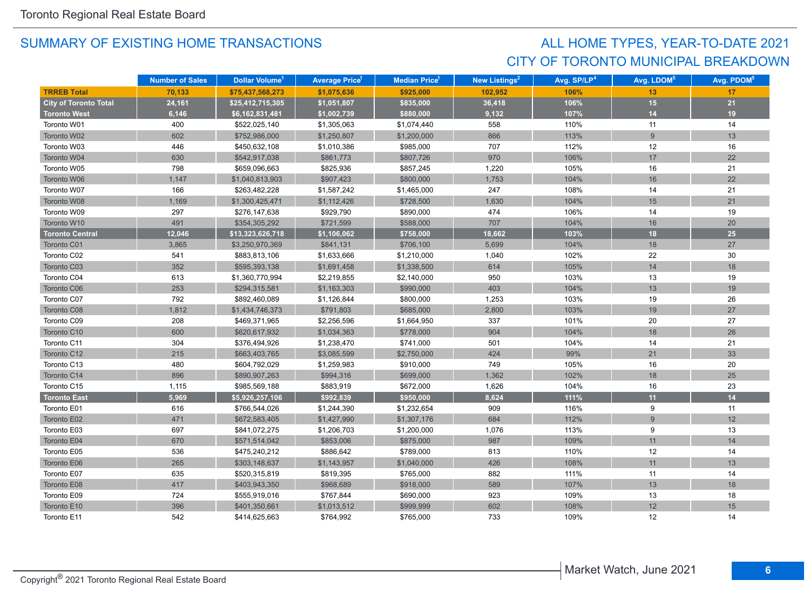## CITY OF TORONTO MUNICIPAL BREAKDOWN ALL HOME TYPES, YEAR-TO-DATE 2021

|                              | <b>Number of Sales</b> | Dollar Volume <sup>1</sup> | <b>Average Price</b> 1 | Median Price <sup>1</sup> | New Listings <sup>2</sup> | Avg. SP/LP <sup>4</sup> | Avg. LDOM <sup>5</sup> | Avg. PDOM <sup>5</sup> |
|------------------------------|------------------------|----------------------------|------------------------|---------------------------|---------------------------|-------------------------|------------------------|------------------------|
| <b>TRREB Total</b>           | 70,133                 | \$75,437,568,273           | \$1,075,636            | \$925,000                 | 102,952                   | 106%                    | 13                     | 17                     |
| <b>City of Toronto Total</b> | 24,161                 | \$25,412,715,305           | \$1,051,807            | \$835,000                 | 36,418                    | 106%                    | 15                     | 21                     |
| <b>Toronto West</b>          | 6,146                  | \$6,162,831,481            | \$1,002,739            | \$880,000                 | 9,132                     | 107%                    | 14                     | 19                     |
| Toronto W01                  | 400                    | \$522,025,140              | \$1,305,063            | \$1,074,440               | 558                       | 110%                    | 11                     | 14                     |
| Toronto W02                  | 602                    | \$752,986,000              | \$1,250,807            | \$1,200,000               | 866                       | 113%                    | 9                      | 13                     |
| Toronto W03                  | 446                    | \$450,632,108              | \$1,010,386            | \$985,000                 | 707                       | 112%                    | 12                     | 16                     |
| Toronto W04                  | 630                    | \$542,917,038              | \$861,773              | \$807,726                 | 970                       | 106%                    | 17                     | 22                     |
| Toronto W05                  | 798                    | \$659,096,663              | \$825,936              | \$857,245                 | 1,220                     | 105%                    | 16                     | 21                     |
| Toronto W06                  | 1,147                  | \$1,040,813,903            | \$907,423              | \$800,000                 | 1,753                     | 104%                    | 16                     | 22                     |
| Toronto W07                  | 166                    | \$263,482,228              | \$1,587,242            | \$1,465,000               | 247                       | 108%                    | 14                     | 21                     |
| Toronto W08                  | 1,169                  | \$1,300,425,471            | \$1,112,426            | \$728,500                 | 1,630                     | 104%                    | 15                     | 21                     |
| Toronto W09                  | 297                    | \$276,147,638              | \$929,790              | \$890,000                 | 474                       | 106%                    | 14                     | 19                     |
| Toronto W10                  | 491                    | \$354,305,292              | \$721,599              | \$588,000                 | 707                       | 104%                    | 16                     | $20\,$                 |
| <b>Toronto Central</b>       | 12,046                 | \$13,323,626,718           | \$1,106,062            | \$758,000                 | 18,662                    | 103%                    | 18                     | 25                     |
| Toronto C01                  | 3,865                  | \$3,250,970,369            | \$841,131              | \$706,100                 | 5,699                     | 104%                    | 18                     | 27                     |
| Toronto C02                  | 541                    | \$883,813,106              | \$1,633,666            | \$1,210,000               | 1,040                     | 102%                    | 22                     | 30                     |
| Toronto C03                  | 352                    | \$595,393,138              | \$1,691,458            | \$1,338,500               | 614                       | 105%                    | 14                     | 18                     |
| Toronto C04                  | 613                    | \$1,360,770,994            | \$2,219,855            | \$2,140,000               | 950                       | 103%                    | 13                     | 19                     |
| Toronto C06                  | 253                    | \$294,315,581              | \$1,163,303            | \$990,000                 | 403                       | 104%                    | 13                     | 19                     |
| Toronto C07                  | 792                    | \$892,460,089              | \$1,126,844            | \$800,000                 | 1,253                     | 103%                    | 19                     | 26                     |
| Toronto C08                  | 1,812                  | \$1,434,746,373            | \$791,803              | \$685,000                 | 2,800                     | 103%                    | 19                     | 27                     |
| Toronto C09                  | 208                    | \$469,371,965              | \$2,256,596            | \$1,664,950               | 337                       | 101%                    | 20                     | 27                     |
| Toronto C10                  | 600                    | \$620,617,932              | \$1,034,363            | \$778,000                 | 904                       | 104%                    | 18                     | 26                     |
| Toronto C11                  | 304                    | \$376,494,926              | \$1,238,470            | \$741,000                 | 501                       | 104%                    | 14                     | 21                     |
| Toronto C12                  | 215                    | \$663,403,765              | \$3,085,599            | \$2,750,000               | 424                       | 99%                     | 21                     | 33                     |
| Toronto C13                  | 480                    | \$604,792,029              | \$1,259,983            | \$910,000                 | 749                       | 105%                    | 16                     | 20                     |
| Toronto C14                  | 896                    | \$890,907,263              | \$994,316              | \$699,000                 | 1,362                     | 102%                    | 18                     | 25                     |
| Toronto C15                  | 1,115                  | \$985,569,188              | \$883,919              | \$672,000                 | 1,626                     | 104%                    | 16                     | 23                     |
| <b>Toronto East</b>          | 5,969                  | \$5,926,257,106            | \$992,839              | \$950,000                 | 8,624                     | 111%                    | 11                     | 14                     |
| Toronto E01                  | 616                    | \$766,544,026              | \$1,244,390            | \$1,232,654               | 909                       | 116%                    | 9                      | 11                     |
| Toronto E02                  | 471                    | \$672,583,405              | \$1,427,990            | \$1,307,176               | 684                       | 112%                    | 9                      | 12                     |
| Toronto E03                  | 697                    | \$841,072,275              | \$1,206,703            | \$1,200,000               | 1,076                     | 113%                    | 9                      | 13                     |
| Toronto E04                  | 670                    | \$571,514,042              | \$853,006              | \$875,000                 | 987                       | 109%                    | 11                     | 14                     |
| Toronto E05                  | 536                    | \$475,240,212              | \$886,642              | \$789,000                 | 813                       | 110%                    | 12                     | 14                     |
| Toronto E06                  | 265                    | \$303,148,637              | \$1,143,957            | \$1,040,000               | 426                       | 108%                    | 11                     | 13                     |
| Toronto E07                  | 635                    | \$520,315,819              | \$819,395              | \$765,000                 | 882                       | 111%                    | 11                     | 14                     |
| Toronto E08                  | 417                    | \$403,943,350              | \$968,689              | \$918,000                 | 589                       | 107%                    | 13                     | 18                     |
| Toronto E09                  | 724                    | \$555,919,016              | \$767,844              | \$690,000                 | 923                       | 109%                    | 13                     | 18                     |
| Toronto E10                  | 396                    | \$401,350,661              | \$1,013,512            | \$999,999                 | 602                       | 108%                    | 12                     | 15                     |
| Toronto E11                  | 542                    | \$414,625,663              | \$764,992              | \$765,000                 | 733                       | 109%                    | 12                     | 14                     |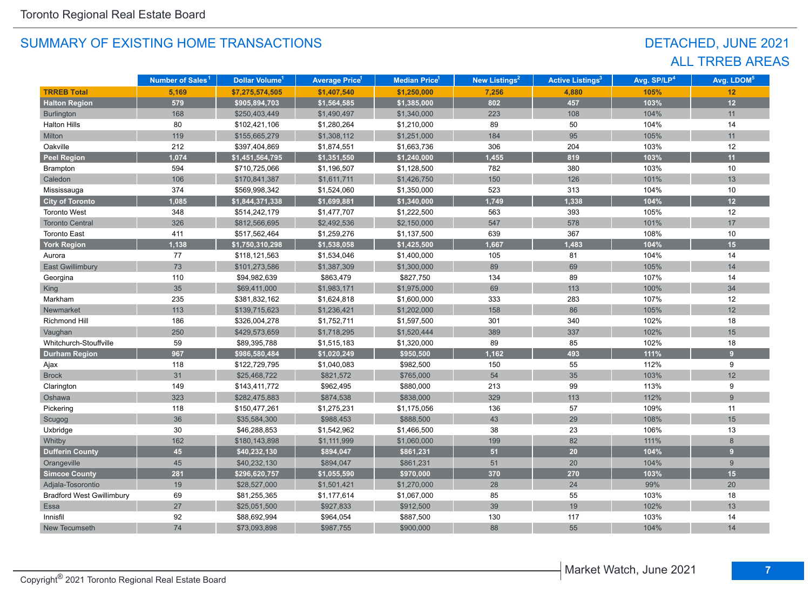## DETACHED, JUNE 2021 ALL TRREB AREAS

|                                  | Number of Sales <sup>1</sup> | Dollar Volume <sup>1</sup> | <b>Average Price<sup>1</sup></b> | Median Price <sup>1</sup> | New Listings <sup>2</sup> | <b>Active Listings<sup>3</sup></b> | Avg. SP/LP <sup>4</sup> | Avg. LDOM <sup>5</sup> |
|----------------------------------|------------------------------|----------------------------|----------------------------------|---------------------------|---------------------------|------------------------------------|-------------------------|------------------------|
| <b>TRREB Total</b>               | 5,169                        | \$7,275,574,505            | \$1,407,540                      | \$1,250,000               | 7,256                     | 4,880                              | 105%                    | 12                     |
| <b>Halton Region</b>             | 579                          | \$905,894,703              | \$1,564,585                      | \$1,385,000               | 802                       | 457                                | 103%                    | 12                     |
| Burlington                       | 168                          | \$250,403,449              | \$1,490,497                      | \$1,340,000               | 223                       | 108                                | 104%                    | 11                     |
| <b>Halton Hills</b>              | 80                           | \$102,421,106              | \$1,280,264                      | \$1,210,000               | 89                        | 50                                 | 104%                    | 14                     |
| Milton                           | 119                          | \$155,665,279              | \$1,308,112                      | \$1,251,000               | 184                       | 95                                 | 105%                    | 11                     |
| Oakville                         | 212                          | \$397,404,869              | \$1,874,551                      | \$1,663,736               | 306                       | 204                                | 103%                    | 12                     |
| <b>Peel Region</b>               | 1,074                        | \$1,451,564,795            | \$1,351,550                      | \$1,240,000               | 1,455                     | 819                                | 103%                    | 11                     |
| Brampton                         | 594                          | \$710,725,066              | \$1,196,507                      | \$1,128,500               | 782                       | 380                                | 103%                    | 10                     |
| Caledon                          | 106                          | \$170,841,387              | \$1,611,711                      | \$1,426,750               | 150                       | 126                                | 101%                    | 13                     |
| Mississauga                      | 374                          | \$569,998,342              | \$1,524,060                      | \$1,350,000               | 523                       | 313                                | 104%                    | 10                     |
| <b>City of Toronto</b>           | 1,085                        | \$1,844,371,338            | \$1,699,881                      | \$1,340,000               | 1,749                     | 1,338                              | 104%                    | 12                     |
| <b>Toronto West</b>              | 348                          | \$514,242,179              | \$1,477,707                      | \$1,222,500               | 563                       | 393                                | 105%                    | 12                     |
| <b>Toronto Central</b>           | 326                          | \$812,566,695              | \$2,492,536                      | \$2,150,000               | 547                       | 578                                | 101%                    | 17                     |
| <b>Toronto East</b>              | 411                          | \$517,562,464              | \$1,259,276                      | \$1,137,500               | 639                       | 367                                | 108%                    | 10                     |
| <b>York Region</b>               | 1,138                        | \$1,750,310,298            | \$1,538,058                      | \$1,425,500               | 1,667                     | 1,483                              | 104%                    | 15                     |
| Aurora                           | 77                           | \$118,121,563              | \$1,534,046                      | \$1,400,000               | 105                       | 81                                 | 104%                    | 14                     |
| <b>East Gwillimbury</b>          | 73                           | \$101,273,586              | \$1,387,309                      | \$1,300,000               | 89                        | 69                                 | 105%                    | 14                     |
| Georgina                         | 110                          | \$94,982,639               | \$863,479                        | \$827,750                 | 134                       | 89                                 | 107%                    | 14                     |
| King                             | 35                           | \$69,411,000               | \$1,983,171                      | \$1,975,000               | 69                        | 113                                | 100%                    | 34                     |
| Markham                          | 235                          | \$381,832,162              | \$1,624,818                      | \$1,600,000               | 333                       | 283                                | 107%                    | 12                     |
| Newmarket                        | 113                          | \$139,715,623              | \$1,236,421                      | \$1,202,000               | 158                       | 86                                 | 105%                    | 12                     |
| <b>Richmond Hill</b>             | 186                          | \$326,004,278              | \$1,752,711                      | \$1,597,500               | 301                       | 340                                | 102%                    | 18                     |
| Vaughan                          | 250                          | \$429,573,659              | \$1,718,295                      | \$1,520,444               | 389                       | 337                                | 102%                    | 15                     |
| Whitchurch-Stouffville           | 59                           | \$89,395,788               | \$1,515,183                      | \$1,320,000               | 89                        | 85                                 | 102%                    | 18                     |
| <b>Durham Region</b>             | 967                          | \$986,580,484              | \$1,020,249                      | \$950,500                 | 1,162                     | 493                                | 111%                    | 9                      |
| Ajax                             | 118                          | \$122,729,795              | \$1,040,083                      | \$982,500                 | 150                       | 55                                 | 112%                    | 9                      |
| <b>Brock</b>                     | 31                           | \$25,468,722               | \$821,572                        | \$765,000                 | 54                        | 35                                 | 103%                    | 12                     |
| Clarington                       | 149                          | \$143,411,772              | \$962,495                        | \$880,000                 | 213                       | 99                                 | 113%                    | 9                      |
| Oshawa                           | 323                          | \$282,475,883              | \$874,538                        | \$838,000                 | 329                       | 113                                | 112%                    | 9                      |
| Pickering                        | 118                          | \$150,477,261              | \$1,275,231                      | \$1,175,056               | 136                       | 57                                 | 109%                    | 11                     |
| Scugog                           | 36                           | \$35,584,300               | \$988,453                        | \$888,500                 | 43                        | 29                                 | 108%                    | 15                     |
| Uxbridge                         | 30                           | \$46,288,853               | \$1,542,962                      | \$1,466,500               | 38                        | 23                                 | 106%                    | 13                     |
| Whitby                           | 162                          | \$180,143,898              | \$1,111,999                      | \$1,060,000               | 199                       | 82                                 | 111%                    | 8                      |
| <b>Dufferin County</b>           | 45                           | \$40,232,130               | \$894,047                        | \$861,231                 | 51                        | $20\degree$                        | 104%                    | 9                      |
| Orangeville                      | 45                           | \$40,232,130               | \$894,047                        | \$861,231                 | 51                        | 20                                 | 104%                    | 9                      |
| <b>Simcoe County</b>             | 281                          | \$296,620,757              | \$1,055,590                      | \$970,000                 | 370                       | 270                                | 103%                    | 15                     |
| Adjala-Tosorontio                | 19                           | \$28,527,000               | \$1,501,421                      | \$1,270,000               | 28                        | 24                                 | 99%                     | 20                     |
| <b>Bradford West Gwillimbury</b> | 69                           | \$81,255,365               | \$1,177,614                      | \$1,067,000               | 85                        | 55                                 | 103%                    | 18                     |
| Essa                             | 27                           | \$25,051,500               | \$927,833                        | \$912,500                 | 39                        | 19                                 | 102%                    | 13                     |
| Innisfil                         | 92                           | \$88,692,994               | \$964,054                        | \$887,500                 | 130                       | 117                                | 103%                    | 14                     |
| New Tecumseth                    | 74                           | \$73,093,898               | \$987,755                        | \$900,000                 | 88                        | 55                                 | 104%                    | 14                     |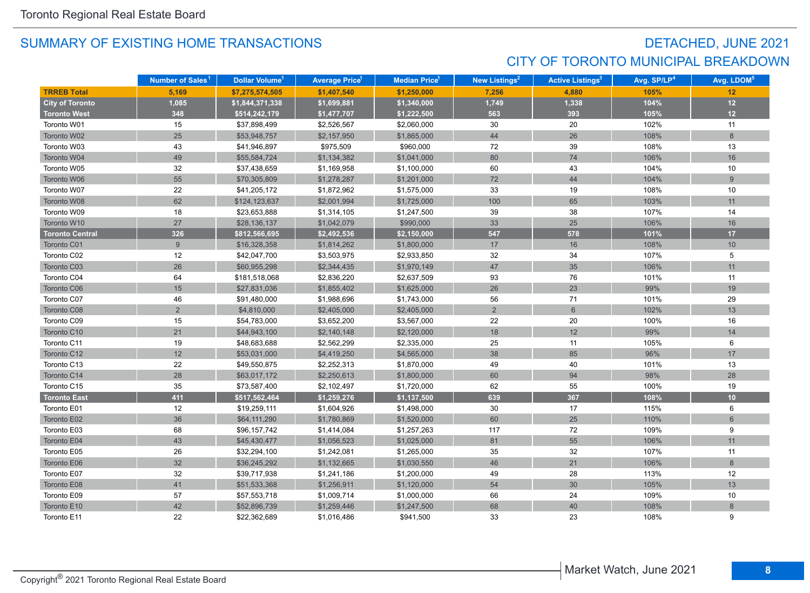## DETACHED, JUNE 2021 CITY OF TORONTO MUNICIPAL BREAKDOWN

|                        | Number of Sales <sup>1</sup> | Dollar Volume <sup>1</sup> | <b>Average Price</b> 1 | <b>Median Price</b> <sup>1</sup> | <b>New Listings<sup>2</sup></b> | <b>Active Listings<sup>3</sup></b> | Avg. SP/LP <sup>4</sup> | Avg. LDOM <sup>5</sup> |
|------------------------|------------------------------|----------------------------|------------------------|----------------------------------|---------------------------------|------------------------------------|-------------------------|------------------------|
| <b>TRREB Total</b>     | 5.169                        | \$7,275,574,505            | \$1,407,540            | \$1,250,000                      | 7.256                           | 4.880                              | 105%                    | 12                     |
| <b>City of Toronto</b> | 1,085                        | \$1,844,371,338            | \$1,699,881            | \$1,340,000                      | 1,749                           | 1,338                              | 104%                    | $12$                   |
| <b>Toronto West</b>    | 348                          | \$514,242,179              | \$1,477,707            | \$1,222,500                      | 563                             | 393                                | 105%                    | $12$                   |
| Toronto W01            | 15                           | \$37,898,499               | \$2,526,567            | \$2,060,000                      | 30                              | 20                                 | 102%                    | 11                     |
| Toronto W02            | 25                           | \$53,948,757               | \$2,157,950            | \$1,865,000                      | 44                              | 26                                 | 108%                    | 8                      |
| Toronto W03            | 43                           | \$41,946,897               | \$975,509              | \$960,000                        | 72                              | 39                                 | 108%                    | 13                     |
| Toronto W04            | 49                           | \$55,584,724               | \$1,134,382            | \$1,041,000                      | 80                              | 74                                 | 106%                    | 16                     |
| Toronto W05            | 32                           | \$37,438,659               | \$1,169,958            | \$1,100,000                      | 60                              | 43                                 | 104%                    | 10                     |
| Toronto W06            | 55                           | \$70,305,809               | \$1,278,287            | \$1,201,000                      | $72\,$                          | 44                                 | 104%                    | $\overline{9}$         |
| Toronto W07            | 22                           | \$41,205,172               | \$1,872,962            | \$1,575,000                      | 33                              | 19                                 | 108%                    | 10                     |
| Toronto W08            | 62                           | \$124,123,637              | \$2,001,994            | \$1,725,000                      | 100                             | 65                                 | 103%                    | 11                     |
| Toronto W09            | 18                           | \$23,653,888               | \$1,314,105            | \$1,247,500                      | 39                              | 38                                 | 107%                    | 14                     |
| Toronto W10            | 27                           | \$28,136,137               | \$1,042,079            | \$990,000                        | 33                              | 25                                 | 106%                    | 16                     |
| <b>Toronto Central</b> | 326                          | \$812,566,695              | \$2,492,536            | \$2,150,000                      | 547                             | 578                                | 101%                    | 17                     |
| Toronto C01            | 9                            | \$16,328,358               | \$1,814,262            | \$1,800,000                      | 17                              | 16                                 | 108%                    | 10                     |
| Toronto C02            | 12                           | \$42,047,700               | \$3,503,975            | \$2,933,850                      | 32                              | 34                                 | 107%                    | 5                      |
| Toronto C03            | 26                           | \$60,955,298               | \$2,344,435            | \$1,970,149                      | 47                              | 35                                 | 106%                    | 11                     |
| Toronto C04            | 64                           | \$181,518,068              | \$2,836,220            | \$2,637,509                      | 93                              | 76                                 | 101%                    | 11                     |
| Toronto C06            | 15                           | \$27,831,036               | \$1,855,402            | \$1,625,000                      | 26                              | 23                                 | 99%                     | 19                     |
| Toronto C07            | 46                           | \$91,480,000               | \$1,988,696            | \$1,743,000                      | 56                              | 71                                 | 101%                    | 29                     |
| Toronto C08            | $\overline{2}$               | \$4,810,000                | \$2,405,000            | \$2,405,000                      | 2                               | $6\overline{6}$                    | 102%                    | 13                     |
| Toronto C09            | 15                           | \$54,783,000               | \$3,652,200            | \$3,567,000                      | 22                              | 20                                 | 100%                    | 16                     |
| Toronto C10            | 21                           | \$44,943,100               | \$2,140,148            | \$2,120,000                      | 18                              | 12                                 | 99%                     | 14                     |
| Toronto C11            | 19                           | \$48,683,688               | \$2,562,299            | \$2,335,000                      | 25                              | 11                                 | 105%                    | 6                      |
| Toronto C12            | 12                           | \$53,031,000               | \$4,419,250            | \$4,565,000                      | 38                              | 85                                 | 96%                     | 17                     |
| Toronto C13            | 22                           | \$49,550,875               | \$2,252,313            | \$1,870,000                      | 49                              | 40                                 | 101%                    | 13                     |
| Toronto C14            | 28                           | \$63,017,172               | \$2,250,613            | \$1,800,000                      | 60                              | 94                                 | 98%                     | 28                     |
| Toronto C15            | 35                           | \$73,587,400               | \$2,102,497            | \$1,720,000                      | 62                              | 55                                 | 100%                    | 19                     |
| <b>Toronto East</b>    | 411                          | \$517,562,464              | \$1,259,276            | \$1,137,500                      | 639                             | 367                                | 108%                    | 10                     |
| Toronto E01            | 12                           | \$19,259,111               | \$1,604,926            | \$1,498,000                      | 30                              | 17                                 | 115%                    | 6                      |
| Toronto E02            | 36                           | \$64,111,290               | \$1,780,869            | \$1,520,000                      | 60                              | 25                                 | 110%                    | $6\phantom{1}$         |
| Toronto E03            | 68                           | \$96,157,742               | \$1,414,084            | \$1,257,263                      | 117                             | 72                                 | 109%                    | 9                      |
| Toronto E04            | 43                           | \$45,430,477               | \$1,056,523            | \$1,025,000                      | 81                              | 55                                 | 106%                    | 11                     |
| Toronto E05            | 26                           | \$32,294,100               | \$1,242,081            | \$1,265,000                      | 35                              | 32                                 | 107%                    | 11                     |
| Toronto E06            | 32                           | \$36,245,292               | \$1,132,665            | \$1,030,550                      | 46                              | 21                                 | 106%                    | 8                      |
| Toronto E07            | 32                           | \$39,717,938               | \$1,241,186            | \$1,200,000                      | 49                              | 28                                 | 113%                    | 12                     |
| Toronto E08            | 41                           | \$51,533,368               | \$1,256,911            | \$1,120,000                      | 54                              | 30                                 | 105%                    | 13                     |
| Toronto E09            | 57                           | \$57,553,718               | \$1,009,714            | \$1,000,000                      | 66                              | 24                                 | 109%                    | 10                     |
| Toronto E10            | 42                           | \$52,896,739               | \$1,259,446            | \$1,247,500                      | 68                              | 40                                 | 108%                    | $\,8\,$                |
| Toronto E11            | 22                           | \$22,362,689               | \$1,016,486            | \$941,500                        | 33                              | 23                                 | 108%                    | 9                      |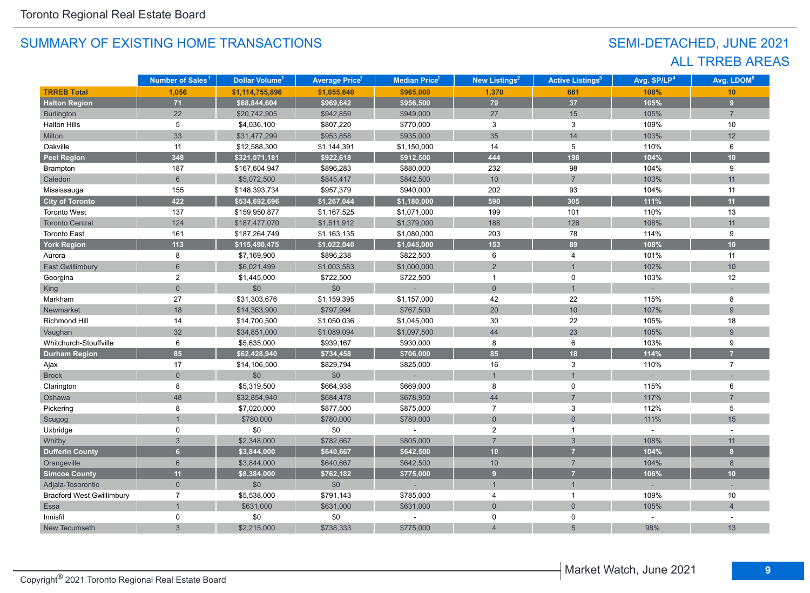## SEMI-DETACHED, JUNE 2021 ALL TRREB AREAS

|                                  | Number of Sales <sup>1</sup> | Dollar Volume <sup>1</sup> | <b>Average Price<sup>1</sup></b> | Median Price <sup>1</sup> | New Listings <sup>2</sup> | <b>Active Listings<sup>3</sup></b> | Avg. SP/LP <sup>4</sup> | Avg. LDOM <sup>5</sup>  |
|----------------------------------|------------------------------|----------------------------|----------------------------------|---------------------------|---------------------------|------------------------------------|-------------------------|-------------------------|
| <b>TRREB Total</b>               | 1,056                        | \$1,114,755,896            | \$1,055,640                      | \$965,000                 | 1,370                     | 661                                | 108%                    | 10                      |
| <b>Halton Region</b>             | 71                           | \$68,844,604               | \$969,642                        | \$956,500                 | 79                        | 37                                 | 105%                    | $\overline{\mathbf{9}}$ |
| <b>Burlington</b>                | 22                           | \$20,742,905               | \$942,859                        | \$949,000                 | 27                        | 15                                 | 105%                    | $\overline{7}$          |
| <b>Halton Hills</b>              | 5                            | \$4,036,100                | \$807,220                        | \$770,000                 | 3                         | 3                                  | 109%                    | 10                      |
| Milton                           | 33                           | \$31,477,299               | \$953,858                        | \$935,000                 | 35                        | 14                                 | 103%                    | 12                      |
| Oakville                         | 11                           | \$12,588,300               | \$1,144,391                      | \$1,150,000               | 14                        | 5                                  | 110%                    | 6                       |
| <b>Peel Region</b>               | 348                          | \$321,071,181              | \$922,618                        | \$912,500                 | 444                       | 198                                | 104%                    | 10                      |
| Brampton                         | 187                          | \$167,604,947              | \$896,283                        | \$880,000                 | 232                       | 98                                 | 104%                    | 9                       |
| Caledon                          | $6\phantom{1}$               | \$5,072,500                | \$845,417                        | \$842,500                 | 10                        | $\overline{7}$                     | 103%                    | 11                      |
| Mississauga                      | 155                          | \$148,393,734              | \$957,379                        | \$940,000                 | 202                       | 93                                 | 104%                    | 11                      |
| <b>City of Toronto</b>           | 422                          | \$534,692,696              | \$1,267,044                      | \$1,180,000               | 590                       | 305                                | 111%                    | 11                      |
| <b>Toronto West</b>              | 137                          | \$159,950,877              | \$1,167,525                      | \$1,071,000               | 199                       | 101                                | 110%                    | 13                      |
| <b>Toronto Central</b>           | 124                          | \$187,477,070              | \$1,511,912                      | \$1,379,000               | 188                       | 126                                | 108%                    | 11                      |
| <b>Toronto East</b>              | 161                          | \$187,264,749              | \$1,163,135                      | \$1,080,000               | 203                       | 78                                 | 114%                    | 9                       |
| <b>York Region</b>               | 113                          | \$115,490,475              | \$1,022,040                      | \$1,045,000               | 153                       | 89                                 | 108%                    | 10                      |
| Aurora                           | 8                            | \$7,169,900                | \$896,238                        | \$822,500                 | 6                         | 4                                  | 101%                    | 11                      |
| <b>East Gwillimbury</b>          | 6                            | \$6,021,499                | \$1,003,583                      | \$1,000,000               | $\overline{2}$            | $\overline{1}$                     | 102%                    | 10 <sup>1</sup>         |
| Georgina                         | $\overline{2}$               | \$1,445,000                | \$722,500                        | \$722,500                 | $\mathbf{1}$              | $\mathbf 0$                        | 103%                    | 12                      |
| King                             | $\overline{0}$               | \$0                        | \$0                              |                           | $\overline{0}$            | $\overline{1}$                     |                         |                         |
| Markham                          | 27                           | \$31,303,676               | \$1,159,395                      | \$1,157,000               | 42                        | 22                                 | 115%                    | 8                       |
| Newmarket                        | 18                           | \$14,363,900               | \$797,994                        | \$767,500                 | 20                        | 10                                 | 107%                    | $\overline{9}$          |
| <b>Richmond Hill</b>             | 14                           | \$14,700,500               | \$1,050,036                      | \$1,045,000               | 30                        | 22                                 | 105%                    | 18                      |
| Vaughan                          | 32                           | \$34,851,000               | \$1,089,094                      | \$1,097,500               | 44                        | 23                                 | 105%                    | $\overline{9}$          |
| Whitchurch-Stouffville           | 6                            | \$5,635,000                | \$939,167                        | \$930,000                 | 8                         | 6                                  | 103%                    | 9                       |
| <b>Durham Region</b>             | 85                           | \$62,428,940               | \$734,458                        | \$706,000                 | 85                        | 18                                 | 114%                    | $\overline{z}$          |
| Ajax                             | 17                           | \$14,106,500               | \$829,794                        | \$825,000                 | 16                        | 3                                  | 110%                    | $\overline{7}$          |
| <b>Brock</b>                     | $\overline{0}$               | \$0                        | \$0                              |                           | $\mathbf{1}$              | $\overline{1}$                     |                         | $\sim$                  |
| Clarington                       | 8                            | \$5,319,500                | \$664,938                        | \$669,000                 | 8                         | $\pmb{0}$                          | 115%                    | 6                       |
| Oshawa                           | 48                           | \$32,854,940               | \$684,478                        | \$678,950                 | 44                        | $\overline{7}$                     | 117%                    | $\overline{7}$          |
| Pickering                        | 8                            | \$7,020,000                | \$877,500                        | \$875,000                 | $\overline{7}$            | 3                                  | 112%                    | 5                       |
| Scugog                           |                              | \$780,000                  | \$780,000                        | \$780,000                 | $\mathsf{O}\xspace$       | $\mathbf{0}$                       | 111%                    | 15                      |
| Uxbridge                         | 0                            | \$0                        | \$0                              |                           | 2                         | $\mathbf{1}$                       | ÷.                      |                         |
| Whitby                           | 3                            | \$2,348,000                | \$782,667                        | \$805,000                 | $\overline{7}$            | $\sqrt{3}$                         | 108%                    | 11                      |
| <b>Dufferin County</b>           | 6 <sup>1</sup>               | \$3,844,000                | \$640,667                        | \$642,500                 | 10                        | $\overline{7}$                     | 104%                    | $\mathbf{8}$            |
| Orangeville                      | $6\phantom{1}$               | \$3,844,000                | \$640,667                        | \$642,500                 | $10$                      | $\overline{7}$                     | 104%                    | 8                       |
| <b>Simcoe County</b>             | 11                           | \$8,384,000                | \$762,182                        | \$775,000                 | 9 <sup>°</sup>            | $\overline{7}$                     | 106%                    | 10 <sub>1</sub>         |
| Adjala-Tosorontio                | $\mathbf 0$                  | \$0                        | $$0$$                            |                           | $\mathbf{1}$              | $\mathbf{1}$                       | ÷                       |                         |
| <b>Bradford West Gwillimbury</b> | $\overline{7}$               | \$5,538,000                | \$791,143                        | \$785,000                 | 4                         | $\mathbf{1}$                       | 109%                    | 10                      |
| Essa                             | $\mathbf{1}$                 | \$631,000                  | \$631,000                        | \$631,000                 | $\overline{0}$            | $\overline{0}$                     | 105%                    | $\overline{4}$          |
| Innisfil                         | 0                            | \$0                        | \$0                              |                           | 0                         | 0                                  |                         |                         |
| New Tecumseth                    | 3                            | \$2,215,000                | \$738,333                        | \$775,000                 |                           | 5                                  | 98%                     | 13                      |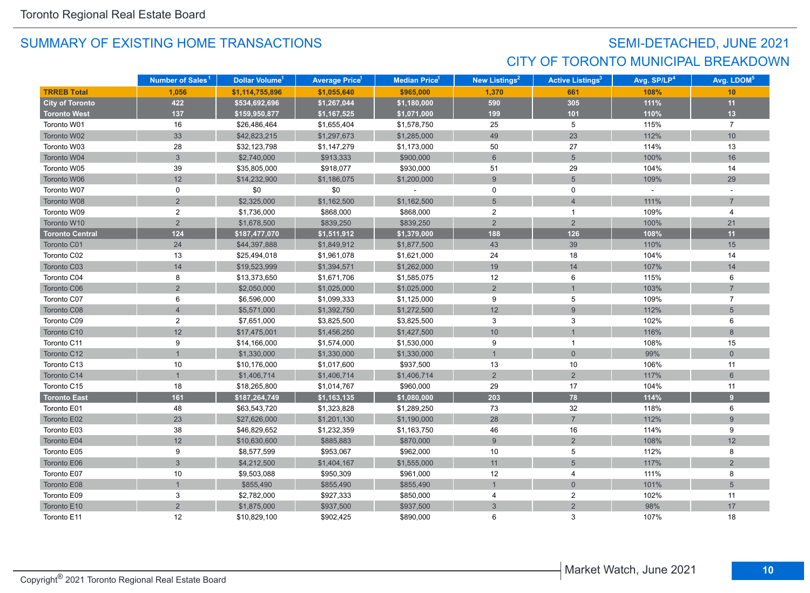## SEMI-DETACHED, JUNE 2021 CITY OF TORONTO MUNICIPAL BREAKDOWN

|                        | Number of Sales <sup>1</sup> | Dollar Volume <sup>1</sup> | <b>Average Price<sup>1</sup></b> | Median Price <sup>1</sup> | New Listings <sup>2</sup> | <b>Active Listings<sup>3</sup></b> | Avg. SP/LP <sup>4</sup> | Avg. LDOM <sup>5</sup> |
|------------------------|------------------------------|----------------------------|----------------------------------|---------------------------|---------------------------|------------------------------------|-------------------------|------------------------|
| <b>TRREB Total</b>     | 1,056                        | \$1,114,755,896            | \$1,055,640                      | \$965,000                 | 1,370                     | 661                                | 108%                    | 10                     |
| <b>City of Toronto</b> | 422                          | \$534,692,696              | \$1,267,044                      | \$1,180,000               | 590                       | 305                                | 111%                    | 11                     |
| <b>Toronto West</b>    | 137                          | \$159,950,877              | \$1,167,525                      | \$1,071,000               | 199                       | 101                                | 110%                    | 13                     |
| Toronto W01            | 16                           | \$26,486,464               | \$1,655,404                      | \$1,578,750               | 25                        | 5                                  | 115%                    | $\overline{7}$         |
| Toronto W02            | 33                           | \$42,823,215               | \$1,297,673                      | \$1,285,000               | 49                        | 23                                 | 112%                    | 10                     |
| Toronto W03            | 28                           | \$32,123,798               | \$1,147,279                      | \$1,173,000               | 50                        | 27                                 | 114%                    | 13                     |
| Toronto W04            | $\mathfrak{S}$               | \$2,740,000                | \$913,333                        | \$900,000                 | $\,6\,$                   | $\overline{5}$                     | 100%                    | 16                     |
| Toronto W05            | 39                           | \$35,805,000               | \$918,077                        | \$930,000                 | 51                        | 29                                 | 104%                    | 14                     |
| Toronto W06            | 12                           | \$14,232,900               | \$1,186,075                      | \$1,200,000               | 9                         | $5\overline{)}$                    | 109%                    | 29                     |
| Toronto W07            | 0                            | \$0                        | \$0                              |                           | 0                         | 0                                  | $\mathcal{L}$           |                        |
| Toronto W08            | $\overline{2}$               | \$2,325,000                | \$1,162,500                      | \$1,162,500               | 5                         | $\overline{4}$                     | 111%                    | $\overline{7}$         |
| Toronto W09            | $\overline{c}$               | \$1,736,000                | \$868,000                        | \$868,000                 | 2                         | $\mathbf{1}$                       | 109%                    | 4                      |
| Toronto W10            | $\overline{2}$               | \$1,678,500                | \$839,250                        | \$839,250                 | $\overline{2}$            | $\overline{2}$                     | 100%                    | 21                     |
| <b>Toronto Central</b> | 124                          | \$187,477,070              | \$1,511,912                      | \$1,379,000               | 188                       | 126                                | 108%                    | 11                     |
| Toronto C01            | 24                           | \$44,397,888               | \$1,849,912                      | \$1,877,500               | 43                        | 39                                 | 110%                    | 15                     |
| Toronto C02            | 13                           | \$25,494,018               | \$1,961,078                      | \$1,621,000               | 24                        | 18                                 | 104%                    | 14                     |
| Toronto C03            | 14                           | \$19,523,999               | \$1,394,571                      | \$1,262,000               | 19                        | 14                                 | 107%                    | 14                     |
| Toronto C04            | 8                            | \$13,373,650               | \$1,671,706                      | \$1,585,075               | 12                        | 6                                  | 115%                    | 6                      |
| Toronto C06            | $\overline{2}$               | \$2,050,000                | \$1,025,000                      | \$1,025,000               | $\overline{2}$            |                                    | 103%                    |                        |
| Toronto C07            | 6                            | \$6,596,000                | \$1,099,333                      | \$1,125,000               | 9                         | 5                                  | 109%                    | $\overline{7}$         |
| Toronto C08            | $\overline{4}$               | \$5,571,000                | \$1,392,750                      | \$1,272,500               | 12                        | $\overline{9}$                     | 112%                    | $5\phantom{.}$         |
| Toronto C09            | $\overline{2}$               | \$7,651,000                | \$3,825,500                      | \$3,825,500               | 3                         | 3                                  | 102%                    | 6                      |
| Toronto C10            | 12                           | \$17,475,001               | \$1,456,250                      | \$1,427,500               | 10                        |                                    | 116%                    | 8                      |
| Toronto C11            | 9                            | \$14,166,000               | \$1,574,000                      | \$1,530,000               | 9                         | $\mathbf{1}$                       | 108%                    | 15                     |
| Toronto C12            |                              | \$1,330,000                | \$1,330,000                      | \$1,330,000               | $\mathbf{1}$              | $\mathbf 0$                        | 99%                     | $\mathbf 0$            |
| Toronto C13            | 10                           | \$10,176,000               | \$1,017,600                      | \$937,500                 | 13                        | 10                                 | 106%                    | 11                     |
| Toronto C14            |                              | \$1,406,714                | \$1,406,714                      | \$1,406,714               | $\overline{2}$            | $\overline{2}$                     | 117%                    | 6                      |
| Toronto C15            | 18                           | \$18,265,800               | \$1,014,767                      | \$960,000                 | 29                        | 17                                 | 104%                    | 11                     |
| <b>Toronto East</b>    | 161                          | \$187,264,749              | \$1,163,135                      | \$1,080,000               | 203                       | 78                                 | 114%                    | 9                      |
| Toronto E01            | 48                           | \$63,543,720               | \$1,323,828                      | \$1,289,250               | 73                        | 32                                 | 118%                    | 6                      |
| Toronto E02            | 23                           | \$27,626,000               | \$1,201,130                      | \$1,190,000               | 28                        | $\overline{7}$                     | 112%                    | 9                      |
| Toronto E03            | 38                           | \$46,829,652               | \$1,232,359                      | \$1,163,750               | 46                        | 16                                 | 114%                    | 9                      |
| Toronto E04            | 12                           | \$10,630,600               | \$885,883                        | \$870,000                 | $\overline{9}$            | $\overline{2}$                     | 108%                    | 12                     |
| Toronto E05            | 9                            | \$8,577,599                | \$953,067                        | \$962,000                 | 10                        | 5                                  | 112%                    | 8                      |
| Toronto E06            | $\mathfrak{S}$               | \$4,212,500                | \$1,404,167                      | \$1,555,000               | 11                        | 5                                  | 117%                    | 2                      |
| Toronto E07            | 10                           | \$9,503,088                | \$950,309                        | \$961,000                 | 12                        | $\overline{4}$                     | 111%                    | 8                      |
| Toronto E08            |                              | \$855,490                  | \$855,490                        | \$855,490                 | $\mathbf{1}$              | $\mathbf 0$                        | 101%                    | $5\phantom{.}$         |
| Toronto E09            | 3                            | \$2,782,000                | \$927,333                        | \$850,000                 | 4                         | $\overline{c}$                     | 102%                    | 11                     |
| Toronto E10            | $\overline{2}$               | \$1,875,000                | \$937,500                        | \$937,500                 | $\mathfrak{S}$            | $\overline{2}$                     | 98%                     | 17                     |
| Toronto E11            | 12                           | \$10,829,100               | \$902.425                        | \$890,000                 | 6                         | 3                                  | 107%                    | 18                     |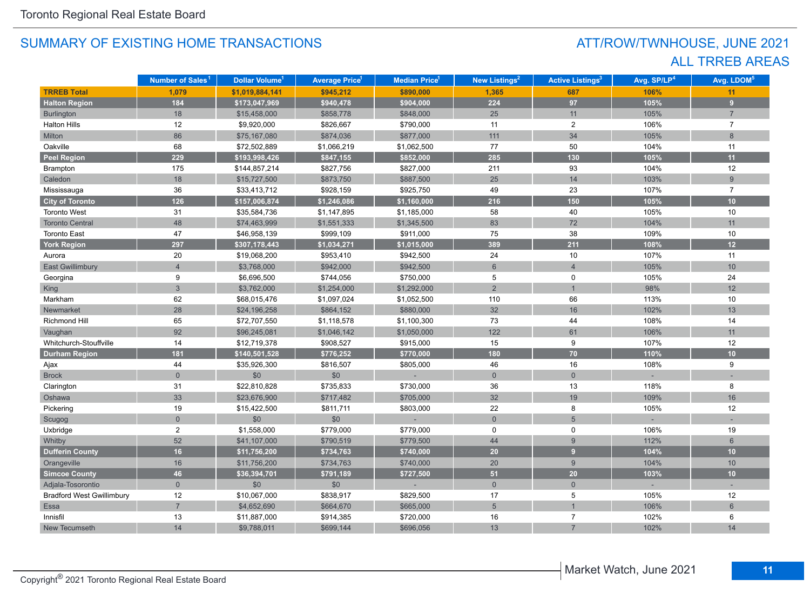## ATT/ROW/TWNHOUSE, JUNE 2021 ALL TRREB AREAS

|                                  | Number of Sales <sup>1</sup> | Dollar Volume <sup>1</sup> | <b>Average Price<sup>1</sup></b> | Median Price <sup>1</sup> | New Listings <sup>2</sup> | <b>Active Listings<sup>3</sup></b> | Avg. SP/LP <sup>4</sup> | Avg. LDOM <sup>5</sup> |
|----------------------------------|------------------------------|----------------------------|----------------------------------|---------------------------|---------------------------|------------------------------------|-------------------------|------------------------|
| <b>TRREB Total</b>               | 1,079                        | \$1,019,884,141            | \$945,212                        | \$890,000                 | 1,365                     | 687                                | 106%                    | 11                     |
| <b>Halton Region</b>             | 184                          | \$173,047,969              | \$940,478                        | \$904,000                 | 224                       | 97                                 | 105%                    | $\overline{9}$         |
| Burlington                       | 18                           | \$15,458,000               | \$858,778                        | \$848,000                 | 25                        | 11                                 | 105%                    | $\overline{7}$         |
| <b>Halton Hills</b>              | 12                           | \$9,920,000                | \$826,667                        | \$790,000                 | 11                        | $\overline{c}$                     | 106%                    | $\overline{7}$         |
| Milton                           | 86                           | \$75,167,080               | \$874,036                        | \$877,000                 | 111                       | 34                                 | 105%                    | 8                      |
| Oakville                         | 68                           | \$72,502,889               | \$1,066,219                      | \$1,062,500               | 77                        | 50                                 | 104%                    | 11                     |
| <b>Peel Region</b>               | 229                          | \$193,998,426              | \$847,155                        | \$852,000                 | 285                       | 130                                | 105%                    | 11                     |
| <b>Brampton</b>                  | 175                          | \$144,857,214              | \$827,756                        | \$827,000                 | 211                       | 93                                 | 104%                    | 12                     |
| Caledon                          | 18                           | \$15,727,500               | \$873,750                        | \$887,500                 | 25                        | 14                                 | 103%                    | 9                      |
| Mississauga                      | 36                           | \$33,413,712               | \$928,159                        | \$925,750                 | 49                        | 23                                 | 107%                    | $\overline{7}$         |
| <b>City of Toronto</b>           | 126                          | \$157,006,874              | \$1,246,086                      | \$1,160,000               | 216                       | 150                                | 105%                    | 10                     |
| <b>Toronto West</b>              | 31                           | \$35,584,736               | \$1,147,895                      | \$1,185,000               | 58                        | 40                                 | 105%                    | 10                     |
| <b>Toronto Central</b>           | 48                           | \$74,463,999               | \$1,551,333                      | \$1,345,500               | 83                        | 72                                 | 104%                    | 11                     |
| <b>Toronto East</b>              | 47                           | \$46,958,139               | \$999,109                        | \$911,000                 | 75                        | 38                                 | 109%                    | 10                     |
| <b>York Region</b>               | 297                          | \$307,178,443              | \$1,034,271                      | \$1,015,000               | 389                       | $211$                              | 108%                    | 12                     |
| Aurora                           | 20                           | \$19,068,200               | \$953,410                        | \$942,500                 | 24                        | 10                                 | 107%                    | 11                     |
| <b>East Gwillimbury</b>          | $\overline{4}$               | \$3,768,000                | \$942,000                        | \$942,500                 | $6\phantom{1}$            | $\overline{4}$                     | 105%                    | 10                     |
| Georgina                         | 9                            | \$6,696,500                | \$744,056                        | \$750,000                 | 5                         | 0                                  | 105%                    | 24                     |
| King                             | $\overline{3}$               | \$3,762,000                | \$1,254,000                      | \$1,292,000               | $\overline{2}$            |                                    | 98%                     | 12                     |
| Markham                          | 62                           | \$68,015,476               | \$1,097,024                      | \$1,052,500               | 110                       | 66                                 | 113%                    | 10                     |
| Newmarket                        | 28                           | \$24,196,258               | \$864,152                        | \$880,000                 | 32                        | 16                                 | 102%                    | 13                     |
| Richmond Hill                    | 65                           | \$72,707,550               | \$1,118,578                      | \$1,100,300               | 73                        | 44                                 | 108%                    | 14                     |
| Vaughan                          | 92                           | \$96,245,081               | \$1,046,142                      | \$1,050,000               | 122                       | 61                                 | 106%                    | 11                     |
| Whitchurch-Stouffville           | 14                           | \$12,719,378               | \$908,527                        | \$915,000                 | 15                        | 9                                  | 107%                    | 12                     |
| <b>Durham Region</b>             | 181                          | \$140,501,528              | \$776,252                        | \$770,000                 | 180                       | 70                                 | 110%                    | 10                     |
| Ajax                             | 44                           | \$35,926,300               | \$816,507                        | \$805,000                 | 46                        | 16                                 | 108%                    | 9                      |
| <b>Brock</b>                     | $\overline{0}$               | \$0                        | \$0                              |                           | $\mathbf{0}$              | $\mathbf 0$                        |                         |                        |
| Clarington                       | 31                           | \$22,810,828               | \$735,833                        | \$730,000                 | 36                        | 13                                 | 118%                    | 8                      |
| Oshawa                           | 33                           | \$23,676,900               | \$717,482                        | \$705,000                 | 32                        | 19                                 | 109%                    | 16                     |
| Pickering                        | 19                           | \$15,422,500               | \$811,711                        | \$803,000                 | 22                        | 8                                  | 105%                    | 12                     |
| Scugog                           | $\overline{0}$               | $$0$$                      | \$0                              |                           | $\mathbf{0}$              | $5\overline{)}$                    |                         |                        |
| Uxbridge                         | $\overline{2}$               | \$1,558,000                | \$779,000                        | \$779,000                 | 0                         | 0                                  | 106%                    | 19                     |
| Whitby                           | 52                           | \$41,107,000               | \$790,519                        | \$779,500                 | 44                        | 9                                  | 112%                    | $6\phantom{1}$         |
| <b>Dufferin County</b>           | 16 <sup>°</sup>              | \$11,756,200               | \$734,763                        | \$740,000                 | 20                        | 9 <sup>°</sup>                     | 104%                    | 10                     |
| Orangeville                      | 16                           | \$11,756,200               | \$734,763                        | \$740,000                 | 20                        | 9                                  | 104%                    | 10                     |
| <b>Simcoe County</b>             | 46                           | \$36,394,701               | \$791,189                        | \$727,500                 | 51                        | 20                                 | 103%                    | 10                     |
| Adjala-Tosorontio                | $\overline{0}$               | \$0                        | \$0                              |                           | $\mathbf{0}$              | $\mathbf{0}$                       |                         |                        |
| <b>Bradford West Gwillimbury</b> | 12                           | \$10,067,000               | \$838,917                        | \$829,500                 | 17                        | 5                                  | 105%                    | 12                     |
| Essa                             | $\overline{7}$               | \$4,652,690                | \$664,670                        | \$665,000                 | $5\phantom{.}$            |                                    | 106%                    | $6\overline{6}$        |
| Innisfil                         | 13                           | \$11,887,000               | \$914,385                        | \$720,000                 | 16                        | $\overline{7}$                     | 102%                    | 6                      |
| New Tecumseth                    | 14                           | \$9,788,011                | \$699,144                        | \$696,056                 | 13                        | $\overline{7}$                     | 102%                    | 14                     |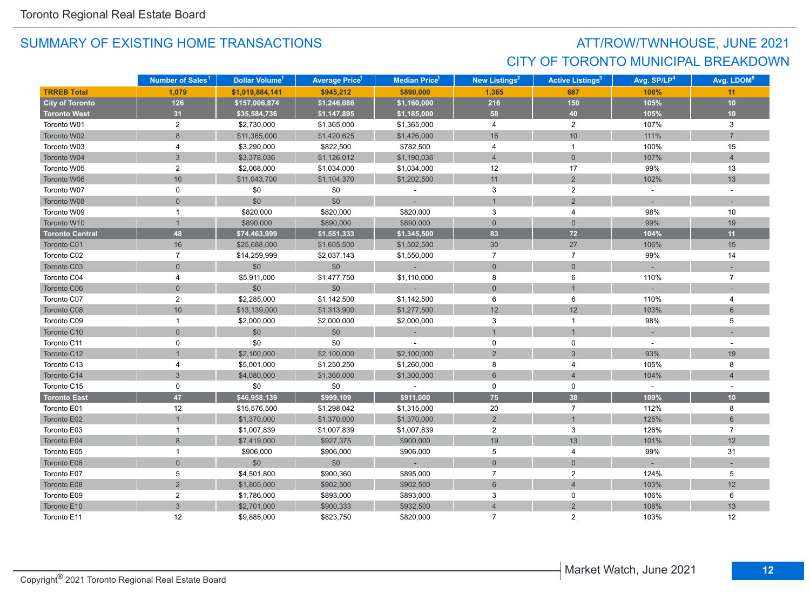## ATT/ROW/TWNHOUSE, JUNE 2021 CITY OF TORONTO MUNICIPAL BREAKDOWN

|                        | Number of Sales <sup>1</sup> | Dollar Volume <sup>1</sup> | <b>Average Price<sup>1</sup></b> | <b>Median Price<sup>1</sup></b> | New Listings <sup>2</sup> | <b>Active Listings<sup>3</sup></b> | Avg. SP/LP <sup>4</sup> | Avg. LDOM <sup>5</sup> |
|------------------------|------------------------------|----------------------------|----------------------------------|---------------------------------|---------------------------|------------------------------------|-------------------------|------------------------|
| <b>TRREB Total</b>     | 1,079                        | \$1,019,884,141            | \$945,212                        | \$890,000                       | 1,365                     | 687                                | 106%                    | 11                     |
| <b>City of Toronto</b> | 126                          | \$157,006,874              | \$1,246,086                      | \$1,160,000                     | 216                       | 150                                | 105%                    | 10                     |
| <b>Toronto West</b>    | 31                           | \$35,584,736               | \$1,147,895                      | \$1,185,000                     | 58                        | 40                                 | 105%                    | 10                     |
| Toronto W01            | $\overline{c}$               | \$2,730,000                | \$1,365,000                      | \$1,365,000                     | $\overline{4}$            | $\overline{2}$                     | 107%                    | $\mathbf{3}$           |
| Toronto W02            | 8                            | \$11,365,000               | \$1,420,625                      | \$1,426,000                     | 16                        | $10$                               | 111%                    | $\overline{7}$         |
| Toronto W03            | 4                            | \$3,290,000                | \$822,500                        | \$782,500                       | 4                         | $\mathbf{1}$                       | 100%                    | 15                     |
| Toronto W04            | $\overline{3}$               | \$3,378,036                | \$1,126,012                      | \$1,190,036                     | $\overline{4}$            | $\mathbf{0}$                       | 107%                    | $\overline{4}$         |
| Toronto W05            | $\overline{2}$               | \$2,068,000                | \$1,034,000                      | \$1,034,000                     | 12                        | 17                                 | 99%                     | 13                     |
| Toronto W06            | 10                           | \$11,043,700               | \$1,104,370                      | \$1,202,500                     | 11                        | $\overline{2}$                     | 102%                    | 13                     |
| Toronto W07            | $\mathbf 0$                  | \$0                        | \$0                              | $\bar{\phantom{a}}$             | 3                         | $\overline{2}$                     | $\mathbf{r}$            | $\sim$                 |
| Toronto W08            | $\overline{0}$               | \$0                        | \$0                              |                                 | $\mathbf{1}$              | $\overline{2}$                     |                         |                        |
| Toronto W09            | 1                            | \$820,000                  | \$820,000                        | \$820,000                       | $\mathbf{3}$              | $\overline{4}$                     | 98%                     | 10                     |
| Toronto W10            | $\mathbf{1}$                 | \$890,000                  | \$890,000                        | \$890,000                       | $\mathbf{0}$              | $\mathbf{0}$                       | 99%                     | 19                     |
| <b>Toronto Central</b> | 48                           | \$74,463,999               | \$1,551,333                      | \$1,345,500                     | 83                        | $72$                               | 104%                    | 11                     |
| Toronto C01            | 16                           | \$25,688,000               | \$1,605,500                      | \$1,502,500                     | 30                        | 27                                 | 106%                    | 15                     |
| Toronto C02            | $\overline{7}$               | \$14,259,999               | \$2,037,143                      | \$1,550,000                     | $\overline{7}$            | $\overline{7}$                     | 99%                     | 14                     |
| Toronto C03            | $\mathbf{0}$                 | \$0                        | \$0                              |                                 | $\mathbf 0$               | $\mathbf{0}$                       |                         |                        |
| Toronto C04            | 4                            | \$5,911,000                | \$1,477,750                      | \$1,110,000                     | 8                         | 6                                  | 110%                    | $\overline{7}$         |
| Toronto C06            | $\overline{0}$               | \$0                        | \$0                              |                                 | $\mathbf{0}$              |                                    |                         |                        |
| Toronto C07            | $\overline{2}$               | \$2,285,000                | \$1,142,500                      | \$1,142,500                     | 6                         | 6                                  | 110%                    | $\overline{4}$         |
| Toronto C08            | 10                           | \$13,139,000               | \$1,313,900                      | \$1,277,500                     | 12                        | 12                                 | 103%                    | 6                      |
| Toronto C09            | $\mathbf{1}$                 | \$2,000,000                | \$2,000,000                      | \$2,000,000                     | 3                         | $\mathbf{1}$                       | 98%                     | 5                      |
| Toronto C10            | $\overline{0}$               | \$0                        | \$0                              |                                 | $\mathbf{1}$              |                                    |                         |                        |
| Toronto C11            | 0                            | \$0                        | \$0                              |                                 | 0                         | 0                                  |                         |                        |
| Toronto C12            |                              | \$2,100,000                | \$2,100,000                      | \$2,100,000                     | $\overline{2}$            | 3                                  | 93%                     | 19                     |
| Toronto C13            | 4                            | \$5,001,000                | \$1,250,250                      | \$1,260,000                     | 8                         | 4                                  | 105%                    | 8                      |
| Toronto C14            | 3                            | \$4,080,000                | \$1,360,000                      | \$1,300,000                     | $6\phantom{a}$            | $\overline{4}$                     | 104%                    | $\overline{4}$         |
| Toronto C15            | 0                            | \$0                        | \$0                              |                                 | 0                         | 0                                  | $\sim$                  |                        |
| <b>Toronto East</b>    | 47                           | \$46,958,139               | \$999,109                        | \$911,000                       | 75                        | 38                                 | 109%                    | 10                     |
| Toronto E01            | 12                           | \$15,576,500               | \$1,298,042                      | \$1,315,000                     | 20                        | $\overline{7}$                     | 112%                    | 8                      |
| Toronto E02            |                              | \$1,370,000                | \$1,370,000                      | \$1,370,000                     | $\overline{2}$            | $\mathbf{1}$                       | 125%                    | $6\phantom{1}$         |
| Toronto E03            | 1                            | \$1,007,839                | \$1,007,839                      | \$1,007,839                     | $\overline{2}$            | 3                                  | 126%                    | $\overline{7}$         |
| Toronto E04            | 8                            | \$7,419,000                | \$927,375                        | \$900,000                       | 19                        | 13                                 | 101%                    | 12                     |
| Toronto E05            | $\mathbf{1}$                 | \$906,000                  | \$906,000                        | \$906,000                       | 5                         | 4                                  | 99%                     | 31                     |
| Toronto E06            | $\Omega$                     | \$0                        | \$0                              | $\sim$                          | $\overline{0}$            | $\overline{0}$                     |                         |                        |
| Toronto E07            | 5                            | \$4,501,800                | \$900,360                        | \$895,000                       | $\overline{7}$            | $\overline{2}$                     | 124%                    | 5                      |
| Toronto E08            | $\overline{2}$               | \$1,805,000                | \$902,500                        | \$902,500                       | $\,6\,$                   | $\overline{4}$                     | 103%                    | 12                     |
| Toronto E09            | $\overline{2}$               | \$1,786,000                | \$893,000                        | \$893,000                       | 3                         | 0                                  | 106%                    | 6                      |
| Toronto E10            | $\overline{3}$               | \$2,701,000                | \$900,333                        | \$932,500                       | $\overline{4}$            | $\overline{2}$                     | 108%                    | 13                     |
| Toronto E11            | 12                           | \$9,885,000                | \$823,750                        | \$820,000                       | $\overline{7}$            | $\overline{2}$                     | 103%                    | 12                     |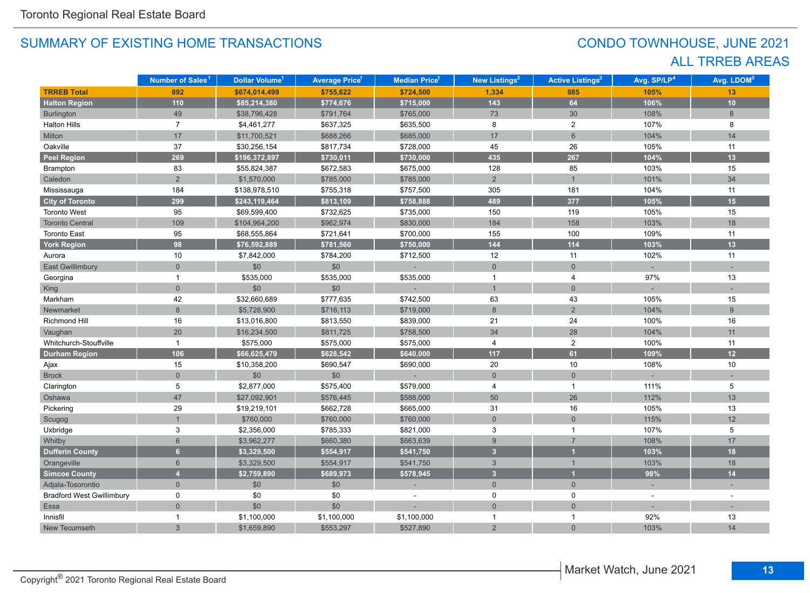## CONDO TOWNHOUSE, JUNE 2021 ALL TRREB AREAS

|                                  | Number of Sales <sup>1</sup> | Dollar Volume <sup>1</sup> | <b>Average Price<sup>1</sup></b> | <b>Median Price<sup>1</sup></b> | <b>New Listings<sup>2</sup></b> | <b>Active Listings<sup>3</sup></b> | Avg. SP/LP <sup>4</sup> | Avg. LDOM <sup>5</sup> |
|----------------------------------|------------------------------|----------------------------|----------------------------------|---------------------------------|---------------------------------|------------------------------------|-------------------------|------------------------|
| <b>TRREB Total</b>               | 892                          | \$674,014,499              | \$755,622                        | \$724,500                       | 1,334                           | 885                                | 105%                    | 13                     |
| <b>Halton Region</b>             | $110$                        | \$85,214,380               | \$774,676                        | \$715,000                       | 143                             | 64                                 | 106%                    | 10                     |
| Burlington                       | 49                           | \$38,796,428               | \$791,764                        | \$765,000                       | 73                              | 30 <sup>°</sup>                    | 108%                    | 8                      |
| <b>Halton Hills</b>              | $\overline{7}$               | \$4,461,277                | \$637,325                        | \$635,500                       | 8                               | $\overline{2}$                     | 107%                    | 8                      |
| Milton                           | 17                           | \$11,700,521               | \$688,266                        | \$685,000                       | 17                              | $6\,$                              | 104%                    | 14                     |
| Oakville                         | 37                           | \$30,256,154               | \$817,734                        | \$728,000                       | 45                              | 26                                 | 105%                    | 11                     |
| <b>Peel Region</b>               | 269                          | \$196,372,897              | \$730,011                        | \$730,000                       | 435                             | 267                                | 104%                    | 13                     |
| Brampton                         | 83                           | \$55,824,387               | \$672,583                        | \$675,000                       | 128                             | 85                                 | 103%                    | 15                     |
| Caledon                          | $\overline{2}$               | \$1,570,000                | \$785,000                        | \$785,000                       | $\overline{2}$                  | $\mathbf{1}$                       | 101%                    | 34                     |
| Mississauga                      | 184                          | \$138,978,510              | \$755,318                        | \$757,500                       | 305                             | 181                                | 104%                    | 11                     |
| <b>City of Toronto</b>           | 299                          | \$243,119,464              | \$813,109                        | \$758,888                       | 489                             | 377                                | 105%                    | 15                     |
| <b>Toronto West</b>              | 95                           | \$69,599,400               | \$732,625                        | \$735,000                       | 150                             | 119                                | 105%                    | 15                     |
| <b>Toronto Central</b>           | 109                          | \$104,964,200              | \$962,974                        | \$830,000                       | 184                             | 158                                | 103%                    | 18                     |
| <b>Toronto East</b>              | 95                           | \$68,555,864               | \$721,641                        | \$700,000                       | 155                             | 100                                | 109%                    | 11                     |
| <b>York Region</b>               | 98                           | \$76,592,889               | \$781,560                        | \$750,000                       | 144                             | 114                                | 103%                    | 13                     |
| Aurora                           | 10                           | \$7,842,000                | \$784,200                        | \$712,500                       | 12                              | 11                                 | 102%                    | 11                     |
| <b>East Gwillimbury</b>          | $\overline{0}$               | \$0                        | \$0                              |                                 | $\overline{0}$                  | $\mathbf{0}$                       |                         |                        |
| Georgina                         |                              | \$535,000                  | \$535,000                        | \$535,000                       | $\mathbf{1}$                    | 4                                  | 97%                     | 13                     |
| King                             | $\overline{0}$               | \$0                        | \$0                              |                                 | $\overline{1}$                  | $\mathbf{0}$                       |                         |                        |
| Markham                          | 42                           | \$32,660,689               | \$777,635                        | \$742,500                       | 63                              | 43                                 | 105%                    | 15                     |
| Newmarket                        | 8                            | \$5,728,900                | \$716,113                        | \$719,000                       | 8                               | 2                                  | 104%                    | 9                      |
| Richmond Hill                    | 16                           | \$13,016,800               | \$813,550                        | \$839,000                       | 21                              | 24                                 | 100%                    | 16                     |
| Vaughan                          | 20                           | \$16,234,500               | \$811,725                        | \$758,500                       | 34                              | 28                                 | 104%                    | 11                     |
| Whitchurch-Stouffville           | $\mathbf{1}$                 | \$575,000                  | \$575,000                        | \$575,000                       | $\overline{4}$                  | $\overline{2}$                     | 100%                    | 11                     |
| <b>Durham Region</b>             | 106                          | \$66,625,479               | \$628,542                        | \$640,000                       | 117                             | 61                                 | 109%                    | 12                     |
| Ajax                             | 15                           | \$10,358,200               | \$690,547                        | \$690,000                       | 20                              | 10                                 | 108%                    | 10                     |
| <b>Brock</b>                     | $\overline{0}$               | \$0                        | \$0                              |                                 | $\mathbf 0$                     | $\mathbf{0}$                       |                         |                        |
| Clarington                       | 5                            | \$2,877,000                | \$575,400                        | \$579,000                       | $\overline{4}$                  | $\mathbf{1}$                       | 111%                    | 5                      |
| Oshawa                           | 47                           | \$27,092,901               | \$576,445                        | \$588,000                       | 50                              | 26                                 | 112%                    | 13                     |
| Pickering                        | 29                           | \$19,219,101               | \$662,728                        | \$665,000                       | 31                              | 16                                 | 105%                    | 13                     |
| Scugog                           |                              | \$760,000                  | \$760,000                        | \$760,000                       | $\mathsf{O}\xspace$             | $\mathbf{0}$                       | 115%                    | 12                     |
| Uxbridge                         | 3                            | \$2,356,000                | \$785,333                        | \$821,000                       | 3                               | $\mathbf{1}$                       | 107%                    | 5                      |
| Whitby                           | $6\phantom{1}$               | \$3,962,277                | \$660,380                        | \$663,639                       | 9                               | $\overline{7}$                     | 108%                    | 17                     |
| <b>Dufferin County</b>           | 6 <sup>1</sup>               | \$3,329,500                | \$554,917                        | \$541,750                       | $\overline{3}$                  |                                    | 103%                    | 18                     |
| Orangeville                      | $6\phantom{a}$               | \$3,329,500                | \$554,917                        | \$541,750                       | $\mathbf{3}$                    | $\mathbf{1}$                       | 103%                    | 18                     |
| <b>Simcoe County</b>             | $\overline{4}$               | \$2,759,890                | \$689,973                        | \$578,945                       | $\overline{3}$                  | $\overline{1}$                     | 98%                     | 14                     |
| Adjala-Tosorontio                | $\overline{0}$               | \$0                        | \$0                              |                                 | $\overline{0}$                  | $\mathbf{0}$                       |                         |                        |
| <b>Bradford West Gwillimbury</b> | 0                            | \$0                        | \$0                              |                                 | $\mathbf 0$                     | $\mathbf 0$                        |                         |                        |
| Essa                             | $\overline{0}$               | \$0                        | \$0                              |                                 | $\overline{0}$                  | $\overline{0}$                     |                         |                        |
| Innisfil                         |                              | \$1,100,000                | \$1,100,000                      | \$1,100,000                     | $\mathbf 1$                     | $\mathbf{1}$                       | 92%                     | 13                     |
| New Tecumseth                    | 3                            | \$1,659,890                | \$553,297                        | \$527,890                       | $\overline{2}$                  | $\overline{0}$                     | 103%                    | 14                     |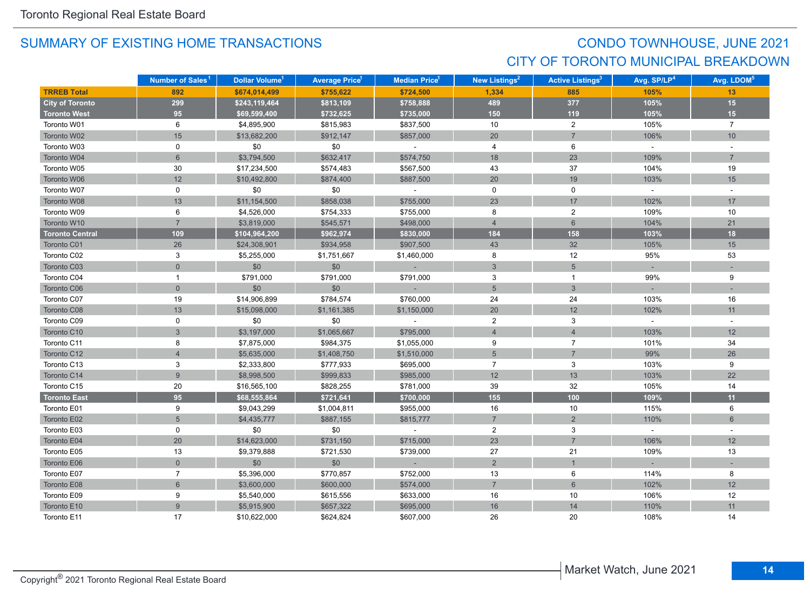## CONDO TOWNHOUSE, JUNE 2021 CITY OF TORONTO MUNICIPAL BREAKDOWN

|                        | Number of Sales <sup>1</sup> | Dollar Volume <sup>1</sup> | <b>Average Price</b> <sup>1</sup> | Median Price <sup>1</sup>   | New Listings <sup>2</sup> | <b>Active Listings<sup>3</sup></b> | Avg. SP/LP <sup>4</sup> | Avg. LDOM <sup>5</sup> |
|------------------------|------------------------------|----------------------------|-----------------------------------|-----------------------------|---------------------------|------------------------------------|-------------------------|------------------------|
| <b>TRREB Total</b>     | 892                          | \$674,014,499              | \$755,622                         | \$724,500                   | 1,334                     | 885                                | 105%                    | 13                     |
| <b>City of Toronto</b> | 299                          | \$243,119,464              | \$813,109                         | \$758,888                   | 489                       | 377                                | 105%                    | 15                     |
| <b>Toronto West</b>    | 95                           | \$69,599,400               | \$732,625                         | \$735,000                   | 150                       | 119                                | 105%                    | 15                     |
| Toronto W01            | 6                            | \$4,895,900                | \$815,983                         | \$837,500                   | 10                        | $\overline{a}$                     | 105%                    | $\overline{7}$         |
| Toronto W02            | 15                           | \$13,682,200               | \$912,147                         | \$857,000                   | 20                        | $\overline{7}$                     | 106%                    | 10                     |
| Toronto W03            | 0                            | \$0                        | \$0                               | $\sim$                      | $\overline{4}$            | 6                                  | $\sim$                  |                        |
| Toronto W04            | $6\overline{6}$              | \$3,794,500                | \$632,417                         | \$574,750                   | 18                        | 23                                 | 109%                    | $\overline{7}$         |
| Toronto W05            | 30                           | \$17,234,500               | \$574,483                         | \$567,500                   | 43                        | 37                                 | 104%                    | 19                     |
| Toronto W06            | 12                           | \$10,492,800               | \$874,400                         | \$887,500                   | $20\,$                    | 19                                 | 103%                    | 15                     |
| Toronto W07            | 0                            | \$0                        | \$0                               | $\sim$                      | $\mathsf{O}$              | $\mathbf 0$                        | $\sim$                  | $\sim$                 |
| Toronto W08            | 13                           | \$11,154,500               | \$858,038                         | \$755,000                   | 23                        | 17                                 | 102%                    | 17                     |
| Toronto W09            | 6                            | \$4,526,000                | \$754,333                         | \$755,000                   | 8                         | $\overline{2}$                     | 109%                    | 10                     |
| Toronto W10            | $\overline{7}$               | \$3,819,000                | \$545,571                         | \$498,000                   | $\overline{4}$            | $6\phantom{1}$                     | 104%                    | 21                     |
| <b>Toronto Central</b> | 109                          | \$104,964,200              | \$962,974                         | \$830,000                   | 184                       | 158                                | 103%                    | 18                     |
| Toronto C01            | 26                           | \$24,308,901               | \$934,958                         | \$907,500                   | 43                        | 32                                 | 105%                    | 15                     |
| Toronto C02            | 3                            | \$5,255,000                | \$1,751,667                       | \$1,460,000                 | 8                         | 12                                 | 95%                     | 53                     |
| Toronto C03            | $\mathbf 0$                  | \$0                        | \$0                               |                             | 3                         | $\overline{5}$                     |                         |                        |
| Toronto C04            | $\mathbf{1}$                 | \$791,000                  | \$791,000                         | \$791,000                   | 3                         | $\mathbf{1}$                       | 99%                     | 9                      |
| Toronto C06            | $\mathbf 0$                  | \$0                        | \$0                               |                             | $5\overline{)}$           | 3                                  |                         |                        |
| Toronto C07            | 19                           | \$14,906,899               | \$784,574                         | \$760,000                   | 24                        | 24                                 | 103%                    | 16                     |
| Toronto C08            | 13                           | \$15,098,000               | \$1,161,385                       | \$1,150,000                 | 20                        | 12                                 | 102%                    | 11                     |
| Toronto C09            | 0                            | \$0                        | \$0                               |                             | $\overline{2}$            | 3                                  | $\omega$                | $\sim$                 |
| Toronto C10            | $\mathfrak{S}$               | \$3,197,000                | \$1,065,667                       | \$795,000                   | $\overline{4}$            | $\overline{4}$                     | 103%                    | 12                     |
| Toronto C11            | 8                            | \$7,875,000                | \$984,375                         | \$1,055,000                 | 9                         | $\overline{7}$                     | 101%                    | 34                     |
| Toronto C12            | $\overline{4}$               | \$5,635,000                | \$1,408,750                       | \$1,510,000                 | $5\overline{)}$           | $\overline{7}$                     | 99%                     | 26                     |
| Toronto C13            | 3                            | \$2,333,800                | \$777,933                         | \$695,000                   | $\overline{7}$            | 3                                  | 103%                    | 9                      |
| Toronto C14            | $\overline{9}$               | \$8,998,500                | \$999,833                         | \$985,000                   | 12                        | 13                                 | 103%                    | 22                     |
| Toronto C15            | 20                           | \$16,565,100               | \$828,255                         | \$781,000                   | 39                        | 32                                 | 105%                    | 14                     |
| <b>Toronto East</b>    | 95                           | \$68,555,864               | \$721,641                         | \$700,000                   | 155                       | 100                                | 109%                    | 11                     |
| Toronto E01            | 9                            | \$9,043,299                | \$1,004,811                       | \$955,000                   | 16                        | 10                                 | 115%                    | 6                      |
| Toronto E02            | 5                            | \$4,435,777                | \$887,155                         | \$815,777                   | $\overline{7}$            | $\overline{2}$                     | 110%                    | 6                      |
| Toronto E03            | 0                            | \$0                        | \$0                               | $\mathcal{L}_{\mathcal{A}}$ | $\overline{2}$            | 3                                  | $\omega$                |                        |
| Toronto E04            | 20                           | \$14,623,000               | \$731,150                         | \$715,000                   | 23                        | $\overline{7}$                     | 106%                    | 12                     |
| Toronto E05            | 13                           | \$9,379,888                | \$721,530                         | \$739,000                   | 27                        | 21                                 | 109%                    | 13                     |
| Toronto E06            | $\overline{0}$               | \$0                        | \$0                               | $\sim$                      | 2                         |                                    |                         |                        |
| Toronto E07            | $\overline{7}$               | \$5,396,000                | \$770,857                         | \$752,000                   | 13                        | 6                                  | 114%                    | 8                      |
| Toronto E08            | $6\phantom{a}$               | \$3,600,000                | \$600,000                         | \$574,000                   | $\overline{7}$            | 6                                  | 102%                    | 12                     |
| Toronto E09            | 9                            | \$5,540,000                | \$615,556                         | \$633,000                   | 16                        | 10                                 | 106%                    | 12                     |
| Toronto E10            | $\overline{9}$               | \$5,915,900                | \$657,322                         | \$695,000                   | 16                        | 14                                 | 110%                    | 11                     |
| Toronto E11            | 17                           | \$10,622,000               | \$624,824                         | \$607,000                   | 26                        | 20                                 | 108%                    | 14                     |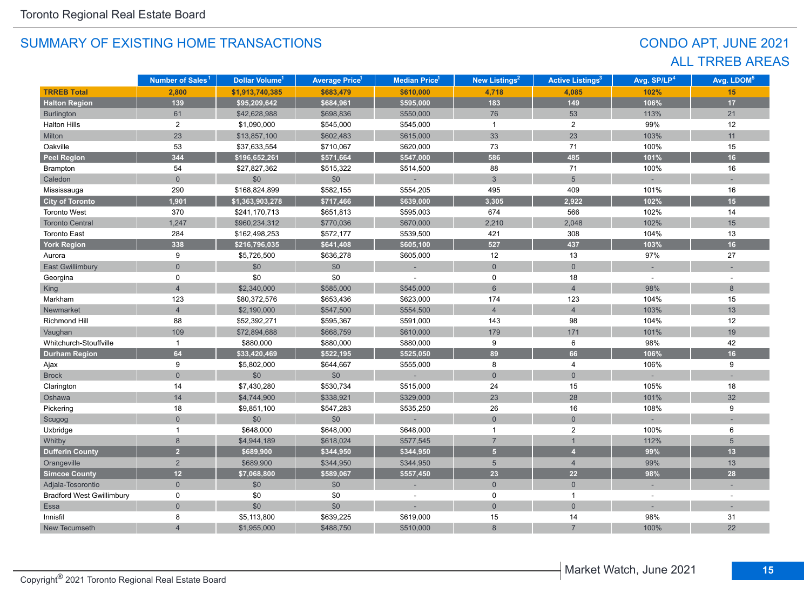## CONDO APT, JUNE 2021 ALL TRREB AREAS

|                                  | Number of Sales <sup>1</sup> | Dollar Volume <sup>1</sup> | <b>Average Price<sup>1</sup></b> | <b>Median Price<sup>1</sup></b> | <b>New Listings<sup>2</sup></b> | <b>Active Listings<sup>3</sup></b> | Avg. SP/LP <sup>4</sup> | Avg. LDOM <sup>5</sup> |
|----------------------------------|------------------------------|----------------------------|----------------------------------|---------------------------------|---------------------------------|------------------------------------|-------------------------|------------------------|
| <b>TRREB Total</b>               | 2,800                        | \$1,913,740,385            | \$683,479                        | \$610,000                       | 4,718                           | 4,085                              | 102%                    | 15                     |
| <b>Halton Region</b>             | 139                          | \$95,209,642               | \$684,961                        | \$595,000                       | 183                             | 149                                | 106%                    | 17                     |
| Burlington                       | 61                           | \$42,628,988               | \$698,836                        | \$550,000                       | 76                              | 53                                 | 113%                    | 21                     |
| <b>Halton Hills</b>              | $\overline{c}$               | \$1,090,000                | \$545,000                        | \$545,000                       | $\overline{1}$                  | $\overline{2}$                     | 99%                     | 12                     |
| Milton                           | 23                           | \$13,857,100               | \$602,483                        | \$615,000                       | 33                              | 23                                 | 103%                    | 11                     |
| Oakville                         | 53                           | \$37,633,554               | \$710,067                        | \$620,000                       | 73                              | 71                                 | 100%                    | 15                     |
| <b>Peel Region</b>               | 344                          | \$196,652,261              | \$571,664                        | \$547,000                       | 586                             | 485                                | 101%                    | 16                     |
| Brampton                         | 54                           | \$27,827,362               | \$515,322                        | \$514,500                       | 88                              | 71                                 | 100%                    | 16                     |
| Caledon                          | $\mathbf{0}$                 | \$0                        | \$0                              |                                 | $\mathbf{3}$                    | $5\overline{)}$                    |                         |                        |
| Mississauga                      | 290                          | \$168,824,899              | \$582,155                        | \$554,205                       | 495                             | 409                                | 101%                    | 16                     |
| <b>City of Toronto</b>           | 1,901                        | \$1,363,903,278            | \$717,466                        | \$639,000                       | 3,305                           | 2,922                              | 102%                    | 15                     |
| <b>Toronto West</b>              | 370                          | \$241,170,713              | \$651,813                        | \$595,003                       | 674                             | 566                                | 102%                    | 14                     |
| <b>Toronto Central</b>           | 1,247                        | \$960,234,312              | \$770,036                        | \$670,000                       | 2,210                           | 2,048                              | 102%                    | 15                     |
| <b>Toronto East</b>              | 284                          | \$162,498,253              | \$572,177                        | \$539,500                       | 421                             | 308                                | 104%                    | 13                     |
| <b>York Region</b>               | 338                          | \$216,796,035              | \$641,408                        | \$605,100                       | 527                             | 437                                | 103%                    | 16                     |
| Aurora                           | 9                            | \$5,726,500                | \$636,278                        | \$605,000                       | 12                              | 13                                 | 97%                     | 27                     |
| East Gwillimbury                 | $\overline{0}$               | \$0                        | \$0                              |                                 | $\overline{0}$                  | $\overline{0}$                     |                         |                        |
| Georgina                         | 0                            | \$0                        | \$0                              |                                 | 0                               | 18                                 |                         |                        |
| <b>King</b>                      | $\overline{4}$               | \$2,340,000                | \$585,000                        | \$545,000                       | 6                               | $\overline{4}$                     | 98%                     | 8                      |
| Markham                          | 123                          | \$80,372,576               | \$653,436                        | \$623,000                       | 174                             | 123                                | 104%                    | 15                     |
| Newmarket                        | $\overline{4}$               | \$2,190,000                | \$547,500                        | \$554,500                       | $\overline{4}$                  | $\overline{4}$                     | 103%                    | 13                     |
| <b>Richmond Hill</b>             | 88                           | \$52,392,271               | \$595,367                        | \$591,000                       | 143                             | 98                                 | 104%                    | 12                     |
| Vaughan                          | 109                          | \$72,894,688               | \$668,759                        | \$610,000                       | 179                             | 171                                | 101%                    | 19                     |
| Whitchurch-Stouffville           | $\mathbf{1}$                 | \$880,000                  | \$880,000                        | \$880,000                       | 9                               | 6                                  | 98%                     | 42                     |
| <b>Durham Region</b>             | 64                           | \$33,420,469               | \$522,195                        | \$525,050                       | 89                              | 66                                 | 106%                    | 16                     |
| Ajax                             | 9                            | \$5,802,000                | \$644,667                        | \$555,000                       | 8                               | 4                                  | 106%                    | 9                      |
| <b>Brock</b>                     | $\overline{0}$               | \$0                        | \$0                              |                                 | $\mathbf{0}$                    | $\mathbf{0}$                       |                         |                        |
| Clarington                       | 14                           | \$7,430,280                | \$530,734                        | \$515,000                       | 24                              | 15                                 | 105%                    | 18                     |
| Oshawa                           | 14                           | \$4,744,900                | \$338,921                        | \$329,000                       | 23                              | 28                                 | 101%                    | 32                     |
| Pickering                        | 18                           | \$9,851,100                | \$547,283                        | \$535,250                       | 26                              | 16                                 | 108%                    | 9                      |
| Scugog                           | $\overline{0}$               | $$0$$                      | $$0$$                            |                                 | $\overline{0}$                  | $\overline{0}$                     |                         |                        |
| Uxbridge                         | 1                            | \$648,000                  | \$648,000                        | \$648,000                       | $\mathbf 1$                     | $\overline{2}$                     | 100%                    | 6                      |
| Whitby                           | 8                            | \$4,944,189                | \$618,024                        | \$577,545                       | $\overline{7}$                  | $\mathbf{1}$                       | 112%                    | $5\phantom{.0}$        |
| <b>Dufferin County</b>           | 2 <sup>1</sup>               | \$689,900                  | \$344,950                        | \$344,950                       | 5 <sup>5</sup>                  | $\overline{4}$                     | 99%                     | 13                     |
| Orangeville                      | 2                            | \$689,900                  | \$344,950                        | \$344,950                       | $5\phantom{.}$                  | $\overline{4}$                     | 99%                     | 13                     |
| <b>Simcoe County</b>             | 12                           | \$7,068,800                | \$589,067                        | \$557,450                       | 23                              | 22                                 | 98%                     | 28                     |
| Adjala-Tosorontio                | $\mathbf{0}$                 | \$0                        | \$0                              |                                 | $\overline{0}$                  | $\overline{0}$                     | $\sim$                  |                        |
| <b>Bradford West Gwillimbury</b> | $\mathbf 0$                  | \$0                        | \$0                              |                                 | $\mathsf 0$                     | $\mathbf{1}$                       |                         |                        |
| Essa                             | $\overline{0}$               | \$0                        | \$0                              |                                 | $\overline{0}$                  | $\overline{0}$                     |                         |                        |
| Innisfil                         | 8                            | \$5,113,800                | \$639,225                        | \$619,000                       | 15                              | 14                                 | 98%                     | 31                     |
| New Tecumseth                    | 4                            | \$1,955,000                | \$488,750                        | \$510,000                       | $\boldsymbol{8}$                | $\overline{7}$                     | 100%                    | 22                     |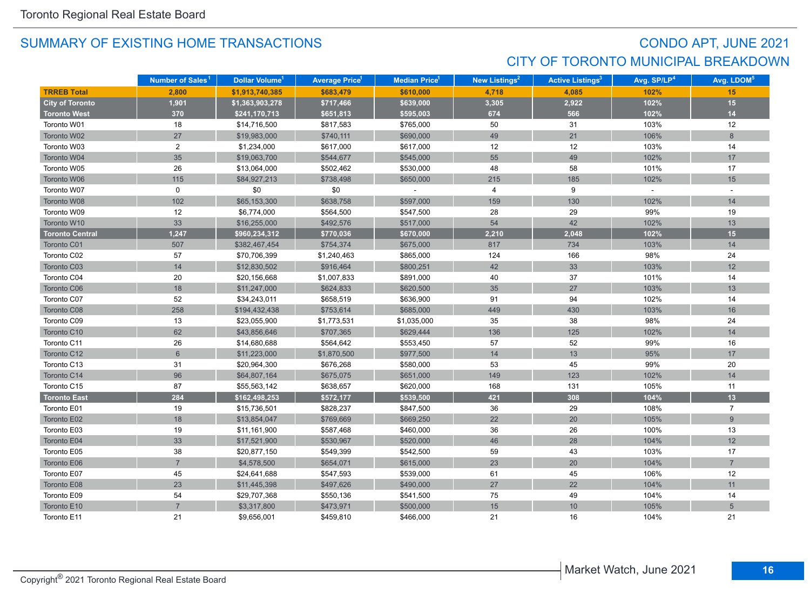## CONDO APT, JUNE 2021 CITY OF TORONTO MUNICIPAL BREAKDOWN

|                        | Number of Sales <sup>1</sup> | Dollar Volume <sup>1</sup> | <b>Average Price<sup>1</sup></b> | Median Price <sup>1</sup> | New Listings <sup>2</sup> | <b>Active Listings<sup>3</sup></b> | Avg. SP/LP <sup>4</sup> | Avg. LDOM <sup>5</sup> |
|------------------------|------------------------------|----------------------------|----------------------------------|---------------------------|---------------------------|------------------------------------|-------------------------|------------------------|
| <b>TRREB Total</b>     | 2,800                        | \$1,913,740,385            | \$683,479                        | \$610,000                 | 4,718                     | 4,085                              | 102%                    | 15                     |
| <b>City of Toronto</b> | 1,901                        | \$1,363,903,278            | \$717,466                        | \$639,000                 | 3,305                     | 2,922                              | 102%                    | 15                     |
| <b>Toronto West</b>    | 370                          | \$241,170,713              | \$651,813                        | \$595,003                 | 674                       | 566                                | 102%                    | 14                     |
| Toronto W01            | 18                           | \$14,716,500               | \$817,583                        | \$765,000                 | 50                        | 31                                 | 103%                    | 12                     |
| Toronto W02            | 27                           | \$19,983,000               | \$740,111                        | \$690,000                 | 49                        | 21                                 | 106%                    | 8                      |
| Toronto W03            | $\overline{2}$               | \$1,234,000                | \$617,000                        | \$617,000                 | 12                        | 12                                 | 103%                    | 14                     |
| Toronto W04            | 35                           | \$19,063,700               | \$544,677                        | \$545,000                 | 55                        | 49                                 | 102%                    | 17                     |
| Toronto W05            | 26                           | \$13,064,000               | \$502,462                        | \$530,000                 | 48                        | 58                                 | 101%                    | 17                     |
| Toronto W06            | 115                          | \$84,927,213               | \$738,498                        | \$650,000                 | 215                       | 185                                | 102%                    | 15                     |
| Toronto W07            | 0                            | \$0                        | \$0                              |                           | 4                         | 9                                  | $\sim$                  |                        |
| Toronto W08            | 102                          | \$65,153,300               | \$638,758                        | \$597,000                 | 159                       | 130                                | 102%                    | 14                     |
| Toronto W09            | 12                           | \$6,774,000                | \$564,500                        | \$547,500                 | 28                        | 29                                 | 99%                     | 19                     |
| Toronto W10            | 33                           | \$16,255,000               | \$492,576                        | \$517,000                 | 54                        | 42                                 | 102%                    | 13                     |
| <b>Toronto Central</b> | 1,247                        | \$960,234,312              | \$770,036                        | \$670,000                 | 2,210                     | 2,048                              | 102%                    | 15 <sub>1</sub>        |
| Toronto C01            | 507                          | \$382,467,454              | \$754,374                        | \$675,000                 | 817                       | 734                                | 103%                    | 14                     |
| Toronto C02            | 57                           | \$70,706,399               | \$1,240,463                      | \$865,000                 | 124                       | 166                                | 98%                     | 24                     |
| Toronto C03            | 14                           | \$12,830,502               | \$916,464                        | \$800,251                 | 42                        | 33                                 | 103%                    | 12                     |
| Toronto C04            | 20                           | \$20,156,668               | \$1,007,833                      | \$891,000                 | 40                        | 37                                 | 101%                    | 14                     |
| Toronto C06            | 18                           | \$11,247,000               | \$624,833                        | \$620,500                 | 35                        | 27                                 | 103%                    | 13                     |
| Toronto C07            | 52                           | \$34,243,011               | \$658,519                        | \$636,900                 | 91                        | 94                                 | 102%                    | 14                     |
| Toronto C08            | 258                          | \$194,432,438              | \$753,614                        | \$685,000                 | 449                       | 430                                | 103%                    | 16                     |
| Toronto C09            | 13                           | \$23,055,900               | \$1,773,531                      | \$1,035,000               | 35                        | 38                                 | 98%                     | 24                     |
| Toronto C10            | 62                           | \$43,856,646               | \$707,365                        | \$629,444                 | 136                       | 125                                | 102%                    | 14                     |
| Toronto C11            | 26                           | \$14,680,688               | \$564,642                        | \$553,450                 | 57                        | 52                                 | 99%                     | 16                     |
| Toronto C12            | $6\phantom{1}$               | \$11,223,000               | \$1,870,500                      | \$977,500                 | 14                        | 13                                 | 95%                     | 17                     |
| Toronto C13            | 31                           | \$20,964,300               | \$676,268                        | \$580,000                 | 53                        | 45                                 | 99%                     | 20                     |
| Toronto C14            | 96                           | \$64,807,164               | \$675,075                        | \$651,000                 | 149                       | 123                                | 102%                    | 14                     |
| Toronto C15            | 87                           | \$55,563,142               | \$638,657                        | \$620,000                 | 168                       | 131                                | 105%                    | 11                     |
| <b>Toronto East</b>    | 284                          | \$162,498,253              | \$572,177                        | \$539,500                 | 421                       | 308                                | 104%                    | 13                     |
| Toronto E01            | 19                           | \$15,736,501               | \$828,237                        | \$847,500                 | 36                        | 29                                 | 108%                    | $\overline{7}$         |
| Toronto E02            | 18                           | \$13,854,047               | \$769,669                        | \$669,250                 | 22                        | 20                                 | 105%                    | 9                      |
| Toronto E03            | 19                           | \$11,161,900               | \$587,468                        | \$460,000                 | 36                        | 26                                 | 100%                    | 13                     |
| Toronto E04            | 33                           | \$17,521,900               | \$530,967                        | \$520,000                 | 46                        | 28                                 | 104%                    | 12                     |
| Toronto E05            | 38                           | \$20,877,150               | \$549,399                        | \$542,500                 | 59                        | 43                                 | 103%                    | 17                     |
| Toronto E06            | $\overline{7}$               | \$4,578,500                | \$654,071                        | \$615,000                 | 23                        | 20                                 | 104%                    | $\overline{7}$         |
| Toronto E07            | 45                           | \$24,641,688               | \$547,593                        | \$539,000                 | 61                        | 45                                 | 106%                    | 12                     |
| Toronto E08            | 23                           | \$11,445,398               | \$497,626                        | \$490,000                 | 27                        | 22                                 | 104%                    | 11                     |
| Toronto E09            | 54                           | \$29,707,368               | \$550,136                        | \$541,500                 | 75                        | 49                                 | 104%                    | 14                     |
| Toronto E10            | $\overline{7}$               | \$3,317,800                | \$473,971                        | \$500,000                 | 15                        | 10                                 | 105%                    | $5\phantom{.0}$        |
| Toronto E11            | 21                           | \$9.656.001                | \$459,810                        | \$466,000                 | 21                        | 16                                 | 104%                    | 21                     |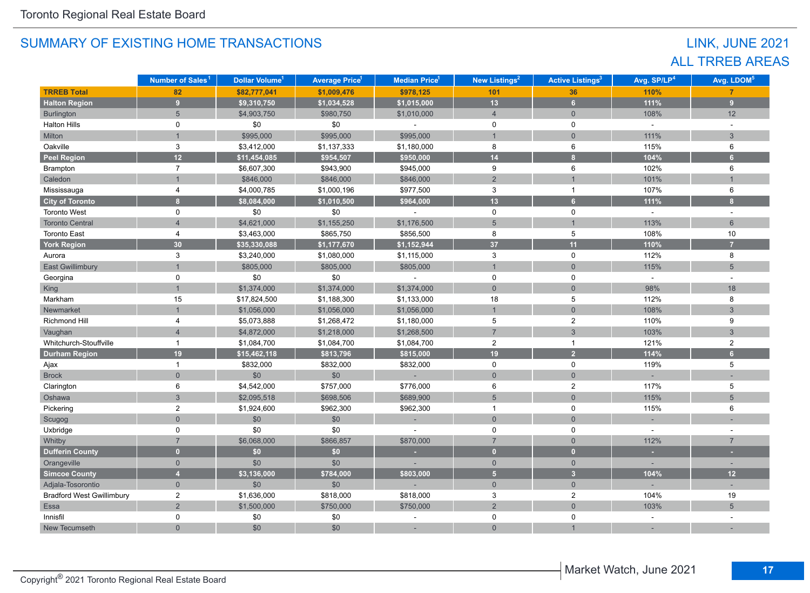## LINK, JUNE 2021 ALL TRREB AREAS

|                                  | Number of Sales <sup>1</sup> | Dollar Volume <sup>1</sup> | <b>Average Price<sup>1</sup></b> | <b>Median Price</b> <sup>1</sup> | New Listings <sup>2</sup> | <b>Active Listings<sup>3</sup></b> | Avg. SP/LP <sup>4</sup> | Avg. LDOM <sup>5</sup> |
|----------------------------------|------------------------------|----------------------------|----------------------------------|----------------------------------|---------------------------|------------------------------------|-------------------------|------------------------|
| <b>TRREB Total</b>               | 82                           | \$82,777,041               | \$1,009,476                      | \$978,125                        | 101                       | 36                                 | 110%                    | $\overline{7}$         |
| <b>Halton Region</b>             | 9 <sup>°</sup>               | \$9,310,750                | \$1,034,528                      | \$1,015,000                      | 13                        | 6 <sup>1</sup>                     | 111%                    | 9                      |
| Burlington                       | $5\overline{)}$              | \$4,903,750                | \$980,750                        | \$1,010,000                      | $\overline{4}$            | $\overline{0}$                     | 108%                    | 12                     |
| <b>Halton Hills</b>              | $\mathbf 0$                  | \$0                        | \$0                              |                                  | 0                         | 0                                  | $\omega$                | $\overline{a}$         |
| Milton                           |                              | \$995,000                  | \$995,000                        | \$995,000                        | $\mathbf{1}$              | $\mathbf{0}$                       | 111%                    | $\mathbf{3}$           |
| Oakville                         | $\mathsf 3$                  | \$3,412,000                | \$1,137,333                      | \$1,180,000                      | 8                         | 6                                  | 115%                    | 6                      |
| <b>Peel Region</b>               | 12 <sup>2</sup>              | \$11,454,085               | \$954,507                        | \$950,000                        | 14                        | $\mathbf{8}$                       | 104%                    | 6 <sup>1</sup>         |
| Brampton                         | $\overline{7}$               | \$6,607,300                | \$943,900                        | \$945,000                        | 9                         | 6                                  | 102%                    | 6                      |
| Caledon                          |                              | \$846,000                  | \$846,000                        | \$846,000                        | $\overline{2}$            | $\mathbf{1}$                       | 101%                    |                        |
| Mississauga                      | 4                            | \$4,000,785                | \$1,000,196                      | \$977,500                        | 3                         | $\mathbf{1}$                       | 107%                    | 6                      |
| <b>City of Toronto</b>           | 8                            | \$8,084,000                | \$1,010,500                      | \$964,000                        | 13                        | 6 <sup>1</sup>                     | 111%                    | 8                      |
| <b>Toronto West</b>              | $\mathbf 0$                  | \$0                        | \$0                              |                                  | $\mathbf 0$               | $\mathbf 0$                        | $\omega$                | $\sim$                 |
| <b>Toronto Central</b>           | $\overline{4}$               | \$4,621,000                | \$1,155,250                      | \$1,176,500                      | 5                         | $\overline{1}$                     | 113%                    | 6                      |
| <b>Toronto East</b>              | 4                            | \$3,463,000                | \$865,750                        | \$856,500                        | 8                         | 5                                  | 108%                    | 10                     |
| <b>York Region</b>               | 30                           | \$35,330,088               | \$1,177,670                      | \$1,152,944                      | 37                        | 11                                 | 110%                    | 7                      |
| Aurora                           | 3                            | \$3,240,000                | \$1,080,000                      | \$1,115,000                      | 3                         | 0                                  | 112%                    | 8                      |
| <b>East Gwillimbury</b>          |                              | \$805,000                  | \$805,000                        | \$805,000                        | $\overline{1}$            | $\Omega$                           | 115%                    | 5                      |
| Georgina                         | $\mathbf 0$                  | \$0                        | \$0                              |                                  | 0                         | 0                                  | $\sim$                  |                        |
| King                             | $\mathbf{1}$                 | \$1,374,000                | \$1,374,000                      | \$1,374,000                      | $\overline{0}$            | $\mathbf{0}$                       | 98%                     | 18                     |
| Markham                          | 15                           | \$17,824,500               | \$1,188,300                      | \$1,133,000                      | 18                        | 5                                  | 112%                    | 8                      |
| Newmarket                        | $\mathbf{1}$                 | \$1,056,000                | \$1,056,000                      | \$1,056,000                      | $\overline{1}$            | $\mathbf{0}$                       | 108%                    | $\mathbf{3}$           |
| Richmond Hill                    | 4                            | \$5,073,888                | \$1,268,472                      | \$1,180,000                      | $\,$ 5 $\,$               | $\boldsymbol{2}$                   | 110%                    | 9                      |
| Vaughan                          | $\overline{4}$               | \$4,872,000                | \$1,218,000                      | \$1,268,500                      | $\overline{7}$            | $\mathbf{3}$                       | 103%                    | $\mathbf{3}$           |
| Whitchurch-Stouffville           | $\mathbf{1}$                 | \$1,084,700                | \$1,084,700                      | \$1,084,700                      | $\boldsymbol{2}$          | $\mathbf{1}$                       | 121%                    | $\overline{2}$         |
| <b>Durham Region</b>             | 19                           | \$15,462,118               | \$813,796                        | \$815,000                        | 19                        | $\overline{2}$                     | 114%                    | 6                      |
| Ajax                             | $\mathbf{1}$                 | \$832,000                  | \$832,000                        | \$832,000                        | 0                         | $\mathbf 0$                        | 119%                    | 5                      |
| <b>Brock</b>                     | $\overline{0}$               | \$0                        | $$0$$                            |                                  | $\mathbf{0}$              | $\mathbf{0}$                       |                         |                        |
| Clarington                       | 6                            | \$4,542,000                | \$757,000                        | \$776,000                        | 6                         | $\overline{2}$                     | 117%                    | 5                      |
| Oshawa                           | $\mathbf{3}$                 | \$2,095,518                | \$698,506                        | \$689,900                        | 5                         | $\mathbf{0}$                       | 115%                    | 5                      |
| Pickering                        | $\overline{2}$               | \$1,924,600                | \$962,300                        | \$962,300                        | $\overline{1}$            | $\mathbf 0$                        | 115%                    | 6                      |
| Scugog                           | $\overline{0}$               | \$0                        | \$0                              |                                  | $\mathbf{0}$              | $\mathbf{0}$                       |                         |                        |
| Uxbridge                         | $\mathbf 0$                  | \$0                        | \$0                              |                                  | 0                         | 0                                  |                         |                        |
| Whitby                           | $\overline{7}$               | \$6,068,000                | \$866,857                        | \$870,000                        | $\overline{7}$            | $\overline{0}$                     | 112%                    | $\overline{7}$         |
| <b>Dufferin County</b>           | $\overline{0}$               | \$0                        | \$0                              | ٠                                | $\overline{0}$            | $\overline{0}$                     | ×                       |                        |
| Orangeville                      | $\overline{0}$               | \$0                        | \$0                              |                                  | $\overline{0}$            | $\overline{0}$                     |                         |                        |
| <b>Simcoe County</b>             | $\overline{4}$               | \$3,136,000                | \$784,000                        | \$803,000                        | 5 <sup>1</sup>            | 3 <sup>1</sup>                     | 104%                    | 12                     |
| Adjala-Tosorontio                | $\overline{0}$               | \$0                        | \$0                              |                                  | $\overline{0}$            | $\mathbf{0}$                       |                         |                        |
| <b>Bradford West Gwillimbury</b> | $\overline{2}$               | \$1,636,000                | \$818,000                        | \$818,000                        | 3                         | $\boldsymbol{2}$                   | 104%                    | 19                     |
| Essa                             | $\overline{2}$               | \$1,500,000                | \$750,000                        | \$750,000                        | $\overline{2}$            | $\mathbf{0}$                       | 103%                    | $5\phantom{.0}$        |
| Innisfil                         | $\mathbf 0$                  | \$0                        | \$0                              |                                  | 0                         | 0                                  |                         |                        |
| New Tecumseth                    | $\overline{0}$               | \$0                        | \$0                              |                                  | $\overline{0}$            |                                    |                         |                        |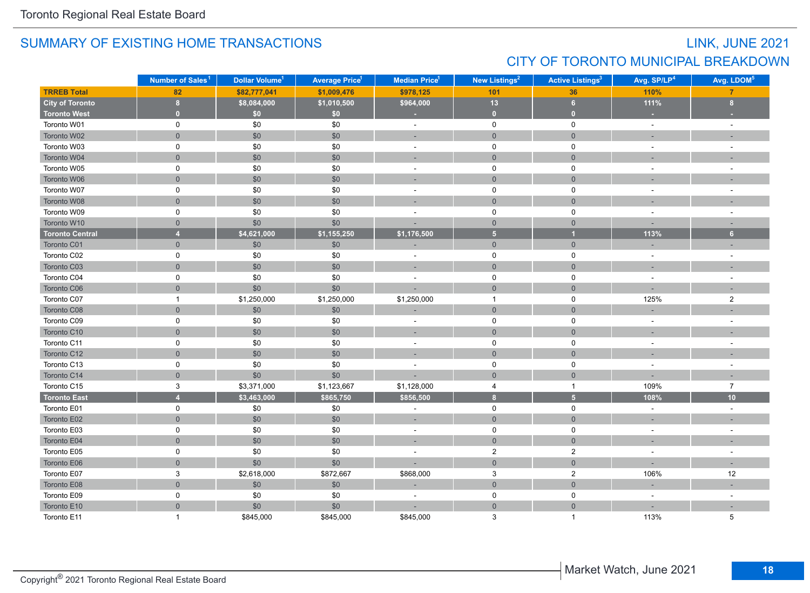## LINK, JUNE 2021 CITY OF TORONTO MUNICIPAL BREAKDOWN

|                        | Number of Sales <sup>1</sup> | Dollar Volume <sup>1</sup> | <b>Average Price<sup>1</sup></b> | <b>Median Price<sup>1</sup></b> | New Listings <sup>2</sup> | <b>Active Listings<sup>3</sup></b> | Avg. SP/LP <sup>4</sup> | Avg. LDOM <sup>5</sup>   |
|------------------------|------------------------------|----------------------------|----------------------------------|---------------------------------|---------------------------|------------------------------------|-------------------------|--------------------------|
| <b>TRREB Total</b>     | 82                           | \$82,777,041               | \$1,009,476                      | \$978,125                       | 101                       | 36                                 | 110%                    | $\overline{7}$           |
| <b>City of Toronto</b> | 8                            | \$8,084,000                | \$1,010,500                      | \$964,000                       | 13                        | $6\phantom{.}6$                    | 111%                    | 8                        |
| <b>Toronto West</b>    | $\mathbf{0}$                 | \$0                        | \$0                              | ×.                              | $\mathbf{0}$              | $\mathbf{0}$                       |                         |                          |
| Toronto W01            | 0                            | \$0                        | \$0                              | $\omega$                        | $\mathbf 0$               | $\mathsf 0$                        | $\sim$                  |                          |
| Toronto W02            | $\overline{0}$               | \$0                        | \$0                              | ÷.                              | $\mathbf 0$               | $\overline{0}$                     | ÷.                      |                          |
| Toronto W03            | $\mathbf 0$                  | \$0                        | \$0                              | $\sim$                          | $\mathbf 0$               | $\mathbf 0$                        | $\sim$                  | $\sim$                   |
| Toronto W04            | $\mathbf{0}$                 | \$0                        | \$0                              | ۰                               | $\mathsf{O}\xspace$       | $\mathbf{0}$                       |                         |                          |
| Toronto W05            | 0                            | \$0                        | \$0                              |                                 | $\mathbf 0$               | $\mathsf 0$                        |                         |                          |
| Toronto W06            | $\mathbf 0$                  | \$0                        | \$0                              | ÷.                              | $\overline{0}$            | $\mathbf{0}$                       |                         |                          |
| Toronto W07            | $\mathbf 0$                  | \$0                        | \$0                              |                                 | $\mathbf 0$               | $\mathbf 0$                        |                         |                          |
| Toronto W08            | $\overline{0}$               | \$0                        | \$0                              |                                 | $\overline{0}$            | $\mathbf{0}$                       |                         |                          |
| Toronto W09            | $\mathsf 0$                  | \$0                        | \$0                              | ÷,                              | $\mathsf 0$               | $\mathbf 0$                        | $\sim$                  |                          |
| Toronto W10            | $\mathbf 0$                  | \$0                        | \$0                              |                                 | $\overline{0}$            | $\mathbf{0}$                       |                         | $\overline{\phantom{a}}$ |
| <b>Toronto Central</b> | $\overline{4}$               | \$4,621,000                | \$1,155,250                      | \$1,176,500                     | $\overline{\mathbf{5}}$   | $\overline{1}$                     | 113%                    | 6 <sup>1</sup>           |
| Toronto C01            | $\mathsf{O}\xspace$          | \$0                        | \$0                              |                                 | $\mathsf{O}\xspace$       | $\mathsf{O}\xspace$                |                         |                          |
| Toronto C02            | $\mathsf 0$                  | \$0                        | \$0                              | ÷,                              | $\mathsf 0$               | $\pmb{0}$                          | $\sim$                  |                          |
| Toronto C03            | $\mathbf 0$                  | \$0                        | \$0                              | $\sim$                          | $\overline{0}$            | $\mathbf{0}$                       | ÷,                      |                          |
| Toronto C04            | 0                            | \$0                        | \$0                              | ÷                               | $\mathbf 0$               | $\mathsf 0$                        | $\blacksquare$          |                          |
| Toronto C06            | $\mathbf 0$                  | \$0                        | \$0                              |                                 | $\mathbf 0$               | $\mathbf 0$                        |                         |                          |
| Toronto C07            | $\mathbf{1}$                 | \$1,250,000                | \$1,250,000                      | \$1,250,000                     | $\mathbf{1}$              | $\mathsf 0$                        | 125%                    | $\overline{2}$           |
| Toronto C08            | $\overline{0}$               | $$0$$                      | $$0$$                            |                                 | $\overline{0}$            | $\mathbf{0}$                       |                         |                          |
| Toronto C09            | $\mathbf 0$                  | \$0                        | \$0                              | $\sim$                          | $\mathbf 0$               | $\mathbf 0$                        | $\sim$                  | ÷.                       |
| Toronto C10            | $\mathbf 0$                  | \$0                        | \$0                              | ÷,                              | $\overline{0}$            | $\overline{0}$                     |                         |                          |
| Toronto C11            | 0                            | \$0                        | \$0                              | $\overline{a}$                  | $\mathbf 0$               | $\mathbf 0$                        | $\sim$                  | $\sim$                   |
| Toronto C12            | $\overline{0}$               | \$0                        | \$0                              | ÷.                              | $\overline{0}$            | $\mathbf{0}$                       |                         |                          |
| Toronto C13            | $\mathsf 0$                  | \$0                        | \$0                              |                                 | 0                         | 0                                  |                         |                          |
| Toronto C14            | $\mathbf 0$                  | \$0                        | \$0                              |                                 | $\overline{0}$            | $\mathbf{0}$                       |                         |                          |
| Toronto C15            | 3                            | \$3,371,000                | \$1,123,667                      | \$1,128,000                     | 4                         | $\mathbf{1}$                       | 109%                    | $\overline{7}$           |
| <b>Toronto East</b>    | $\overline{4}$               | \$3,463,000                | \$865,750                        | \$856,500                       | $\overline{\mathbf{8}}$   | 5 <sup>1</sup>                     | 108%                    | 10                       |
| Toronto E01            | 0                            | \$0                        | \$0                              | ÷,                              | $\mathsf 0$               | $\mathsf 0$                        | $\sim$                  | $\sim$                   |
| Toronto E02            | $\mathsf{O}\xspace$          | \$0                        | \$0                              | $\sim$                          | $\overline{0}$            | $\mathsf{O}\xspace$                | $\sim$                  | ٠                        |
| Toronto E03            | $\mathsf 0$                  | \$0                        | \$0                              | ÷,                              | $\mathsf 0$               | $\mathsf 0$                        | $\sim$                  |                          |
| Toronto E04            | $\mathbf 0$                  | \$0                        | \$0                              | ÷,                              | $\overline{0}$            | $\mathbf 0$                        |                         |                          |
| Toronto E05            | $\mathsf 0$                  | \$0                        | \$0                              |                                 | $\overline{\mathbf{c}}$   | $\boldsymbol{2}$                   |                         |                          |
| Toronto E06            | $\mathsf{O}\xspace$          | \$0                        | \$0                              |                                 | $\mathsf{O}\xspace$       | $\mathsf{O}\xspace$                |                         |                          |
| Toronto E07            | $\ensuremath{\mathsf{3}}$    | \$2,618,000                | \$872,667                        | \$868,000                       | 3                         | $\sqrt{2}$                         | 106%                    | 12                       |
| Toronto E08            | $\mathbf 0$                  | $$0$$                      | \$0                              |                                 | $\mathsf{O}\xspace$       | $\mathbf 0$                        | ÷                       |                          |
| Toronto E09            | 0                            | $\$0$                      | \$0                              |                                 | 0                         | $\mathsf 0$                        | $\sim$                  |                          |
| Toronto E10            | $\overline{0}$               | \$0                        | \$0                              |                                 | $\overline{0}$            | $\overline{0}$                     |                         |                          |
| Toronto E11            | $\overline{1}$               | \$845,000                  | \$845,000                        | \$845,000                       | 3                         | -1                                 | 113%                    | 5                        |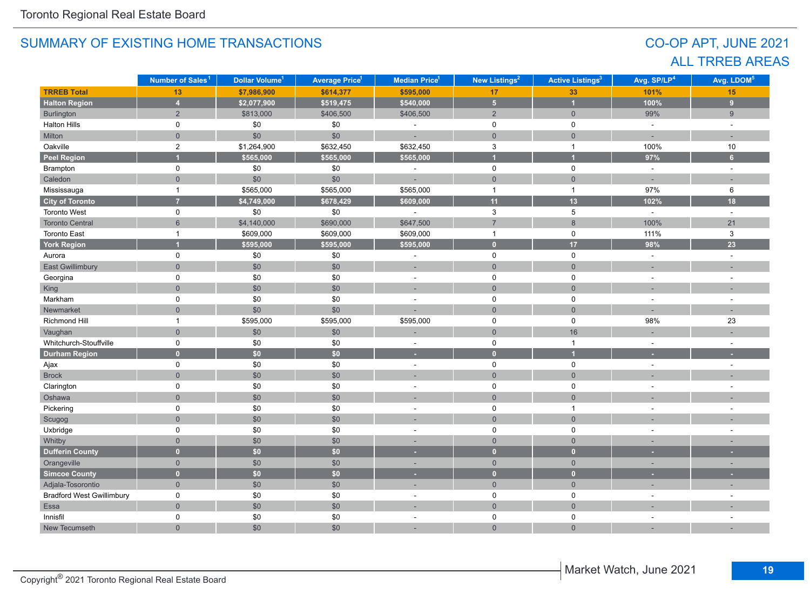## CO-OP APT, JUNE 2021 ALL TRREB AREAS

|                                  | Number of Sales <sup>1</sup> | Dollar Volume <sup>1</sup> | <b>Average Price<sup>1</sup></b> | Median Price <sup>1</sup> | New Listings <sup>2</sup> | <b>Active Listings<sup>3</sup></b> | Avg. SP/LP <sup>4</sup> | Avg. LDOM <sup>5</sup> |
|----------------------------------|------------------------------|----------------------------|----------------------------------|---------------------------|---------------------------|------------------------------------|-------------------------|------------------------|
| <b>TRREB Total</b>               | 13                           | \$7,986,900                | \$614,377                        | \$595,000                 | 17                        | 33                                 | 101%                    | 15                     |
| <b>Halton Region</b>             | $\overline{4}$               | \$2,077,900                | \$519,475                        | \$540,000                 | $\overline{\mathbf{5}}$   | $\overline{1}$                     | 100%                    | $\overline{9}$         |
| Burlington                       | $\overline{2}$               | \$813,000                  | \$406,500                        | \$406,500                 | $\overline{2}$            | $\overline{0}$                     | 99%                     | 9                      |
| Halton Hills                     | 0                            | \$0                        | \$0                              | ÷,                        | 0                         | 0                                  | $\omega$                | $\overline{a}$         |
| Milton                           | $\overline{0}$               | \$0                        | $$0$$                            | ÷.                        | $\mathbf 0$               | $\overline{0}$                     | ÷.                      | $\sim$                 |
| Oakville                         | $\overline{2}$               | \$1,264,900                | \$632,450                        | \$632,450                 | $\ensuremath{\mathsf{3}}$ | $\mathbf{1}$                       | 100%                    | 10                     |
| <b>Peel Region</b>               |                              | \$565,000                  | \$565,000                        | \$565,000                 | и                         | $\overline{1}$                     | 97%                     | $6\phantom{a}$         |
| Brampton                         | 0                            | \$0                        | \$0                              | ÷,                        | $\mathsf 0$               | $\mathsf{O}$                       | $\omega$                | $\sim$                 |
| Caledon                          | $\mathsf{O}\xspace$          | \$0                        | $$0$$                            | ÷.                        | $\mathsf{O}\xspace$       | $\mathbf 0$                        | $\overline{a}$          | $\sim$                 |
| Mississauga                      | $\mathbf{1}$                 | \$565,000                  | \$565,000                        | \$565,000                 | $\mathbf{1}$              | $\overline{1}$                     | 97%                     | 6                      |
| <b>City of Toronto</b>           | $\overline{7}$               | \$4,749,000                | \$678,429                        | \$609,000                 | 11                        | 13                                 | 102%                    | 18                     |
| <b>Toronto West</b>              | 0                            | \$0                        | \$0                              |                           | 3                         | $\sqrt{5}$                         | $\omega$                | $\mathbf{r}$           |
| <b>Toronto Central</b>           | $6\phantom{a}$               | \$4,140,000                | \$690,000                        | \$647,500                 | $\overline{7}$            | 8                                  | 100%                    | 21                     |
| <b>Toronto East</b>              | $\mathbf 1$                  | \$609,000                  | \$609,000                        | \$609,000                 | $\mathbf{1}$              | $\mathbf 0$                        | 111%                    | 3                      |
| <b>York Region</b>               |                              | \$595,000                  | \$595,000                        | \$595,000                 | $\mathbf{0}$              | 17                                 | 98%                     | 23                     |
| Aurora                           | 0                            | \$0                        | \$0                              |                           | $\mathsf 0$               | $\mathsf 0$                        | ÷,                      |                        |
| <b>East Gwillimbury</b>          | $\Omega$                     | \$0                        | \$0                              | ۰                         | $\overline{0}$            | $\overline{0}$                     |                         |                        |
| Georgina                         | 0                            | \$0                        | \$0                              | ÷                         | 0                         | 0                                  | ÷,                      |                        |
| King                             | $\overline{0}$               | \$0                        | \$0                              | ٠                         | $\overline{0}$            | $\overline{0}$                     |                         |                        |
| Markham                          | 0                            | \$0                        | \$0                              |                           | 0                         | $\mathsf 0$                        |                         |                        |
| Newmarket                        | $\overline{0}$               | \$0                        | \$0                              |                           | $\mathbf 0$               | $\overline{0}$                     |                         |                        |
| Richmond Hill                    | $\overline{1}$               | \$595,000                  | \$595,000                        | \$595,000                 | $\mathsf 0$               | $\mathsf 0$                        | 98%                     | 23                     |
| Vaughan                          | $\overline{0}$               | $$0$$                      | \$0                              |                           | $\mathbf 0$               | 16                                 |                         |                        |
| Whitchurch-Stouffville           | 0                            | \$0                        | \$0                              | ٠                         | $\mathsf 0$               | $\mathbf{1}$                       | ÷,                      | $\sim$                 |
| <b>Durham Region</b>             | $\overline{0}$               | \$0                        | $\overline{50}$                  | ٠                         | $\overline{0}$            | $\overline{1}$                     |                         |                        |
| Ajax                             | $\mathsf{O}$                 | \$0                        | \$0                              | $\sim$                    | $\mathsf 0$               | $\mathbf 0$                        | $\overline{a}$          | ÷.                     |
| <b>Brock</b>                     | $\overline{0}$               | \$0                        | \$0                              | ÷.                        | $\mathbf 0$               | $\overline{0}$                     |                         |                        |
| Clarington                       | 0                            | $$0$$                      | \$0                              | $\sim$                    | $\mathsf 0$               | 0                                  | ÷                       | ÷.                     |
| Oshawa                           | $\overline{0}$               | \$0                        | \$0                              |                           | $\mathbf 0$               | $\overline{0}$                     |                         |                        |
| Pickering                        | 0                            | \$0                        | \$0                              | ÷,                        | 0                         | $\mathbf{1}$                       | ÷,                      |                        |
| Scugog                           | $\overline{0}$               | \$0                        | \$0                              | ÷,                        | $\overline{0}$            | $\overline{0}$                     |                         |                        |
| Uxbridge                         | 0                            | \$0                        | \$0                              | ÷,                        | $\mathsf 0$               | $\mathbf 0$                        | ÷,                      |                        |
| Whitby                           | $\mathbf 0$                  | \$0                        | \$0                              | ÷.                        | $\mathsf{O}\xspace$       | $\mathsf{O}\xspace$                | ÷,                      |                        |
| <b>Dufferin County</b>           | $\overline{0}$               | \$0                        | \$0                              | ٠                         | $\overline{0}$            | $\overline{0}$                     | ٠                       |                        |
| Orangeville                      | $\mathbf 0$                  | \$0                        | \$0                              | $\sim$                    | $\mathbf{0}$              | $\overline{0}$                     | ۰                       |                        |
| <b>Simcoe County</b>             | $\overline{0}$               | \$0                        | \$0                              |                           | $\overline{0}$            | $\overline{0}$                     |                         |                        |
| Adjala-Tosorontio                | $\overline{0}$               | \$0                        | \$0                              | ÷,                        | $\mathbf{0}$              | $\overline{0}$                     |                         |                        |
| <b>Bradford West Gwillimbury</b> | 0                            | \$0                        | \$0                              | $\overline{a}$            | $\mathsf 0$               | $\mathbf 0$                        |                         |                        |
| Essa                             | $\overline{0}$               | \$0                        | \$0                              |                           | $\overline{0}$            | $\overline{0}$                     |                         |                        |
| Innisfil                         | 0                            | \$0                        | \$0                              |                           | 0                         | $\pmb{0}$                          |                         |                        |
| New Tecumseth                    | $\Omega$                     | \$0                        | \$0                              |                           | $\mathbf{0}$              | $\overline{0}$                     |                         |                        |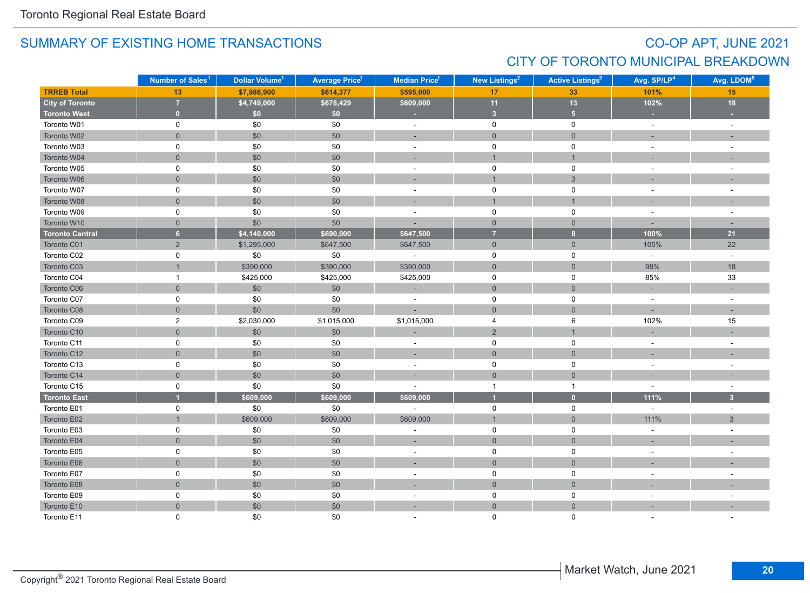## CO-OP APT, JUNE 2021 CITY OF TORONTO MUNICIPAL BREAKDOWN

|                        | Number of Sales <sup>1</sup> | Dollar Volume <sup>1</sup> | <b>Average Price<sup>1</sup></b> | Median Price <sup>1</sup> | New Listings <sup>2</sup> | <b>Active Listings<sup>3</sup></b> | Avg. SP/LP <sup>4</sup> | Avg. LDOM <sup>5</sup>   |
|------------------------|------------------------------|----------------------------|----------------------------------|---------------------------|---------------------------|------------------------------------|-------------------------|--------------------------|
| <b>TRREB Total</b>     | 13                           | \$7,986,900                | \$614,377                        | \$595,000                 | 17 <sub>2</sub>           | 33                                 | 101%                    | 15                       |
| <b>City of Toronto</b> | $\overline{7}$               | \$4,749,000                | \$678,429                        | \$609,000                 | 11                        | 13                                 | 102%                    | 18                       |
| <b>Toronto West</b>    | $\mathbf{0}$                 | \$0                        | \$0                              | ٠                         | 3 <sup>1</sup>            | 5 <sup>1</sup>                     |                         |                          |
| Toronto W01            | 0                            | \$0                        | \$0                              | $\omega$                  | $\mathbf 0$               | 0                                  | $\omega$                | $\sim$                   |
| Toronto W02            | $\mathsf{O}\xspace$          | \$0                        | \$0                              |                           | $\mathbf 0$               | $\overline{0}$                     |                         |                          |
| Toronto W03            | $\mathsf 0$                  | \$0                        | \$0                              | $\sim$                    | $\mathsf 0$               | $\pmb{0}$                          |                         |                          |
| Toronto W04            | $\mathbf 0$                  | \$0                        | \$0                              |                           | $\overline{1}$            | $\mathbf{1}$                       |                         |                          |
| Toronto W05            | 0                            | \$0                        | \$0                              | $\sim$                    | 0                         | $\mathsf 0$                        | $\sim$                  | ÷.                       |
| Toronto W06            | $\mathbf 0$                  | \$0                        | \$0                              |                           | $\overline{1}$            | $\mathbf{3}$                       |                         |                          |
| Toronto W07            | $\mathbf 0$                  | \$0                        | \$0                              | ÷,                        | $\mathbf 0$               | $\mathbf 0$                        |                         |                          |
| Toronto W08            | $\overline{0}$               | \$0                        | \$0                              | ۰                         | $\overline{1}$            | $\mathbf{1}$                       |                         |                          |
| Toronto W09            | 0                            | \$0                        | \$0                              | $\sim$                    | 0                         | 0                                  |                         | $\overline{\phantom{a}}$ |
| Toronto W10            | $\mathbf 0$                  | \$0                        | \$0                              |                           | $\mathbf{0}$              | $\mathbf{0}$                       |                         |                          |
| <b>Toronto Central</b> | $\overline{\mathbf{6}}$      | \$4,140,000                | \$690,000                        | \$647,500                 | $\overline{7}$            | $\overline{\mathbf{8}}$            | 100%                    | 21                       |
| Toronto C01            | $\sqrt{2}$                   | \$1,295,000                | \$647,500                        | \$647,500                 | $\mathsf{O}\xspace$       | $\mathsf{O}\xspace$                | 105%                    | 22                       |
| Toronto C02            | 0                            | \$0                        | \$0                              | ÷,                        | 0                         | 0                                  | $\sim$                  | $\omega$                 |
| Toronto C03            |                              | \$390,000                  | \$390,000                        | \$390,000                 | $\mathsf{O}\xspace$       | $\mathsf{O}\xspace$                | 98%                     | 18                       |
| Toronto C04            | $\mathbf{1}$                 | \$425,000                  | \$425,000                        | \$425,000                 | 0                         | $\mathsf 0$                        | 85%                     | 33                       |
| Toronto C06            | $\mathbf 0$                  | \$0                        | $\$0$                            | ц.                        | $\mathbf{0}$              | $\mathbf 0$                        | $\sim$                  |                          |
| Toronto C07            | 0                            | \$0                        | \$0                              |                           | $\mathbf 0$               | 0                                  | $\sim$                  | $\overline{a}$           |
| Toronto C08            | $\overline{0}$               | \$0                        | \$0                              |                           | $\overline{0}$            | $\mathbf{0}$                       |                         | п.                       |
| Toronto C09            | 2                            | \$2,030,000                | \$1,015,000                      | \$1,015,000               | 4                         | 6                                  | 102%                    | 15                       |
| Toronto C10            | $\mathbf 0$                  | \$0                        | \$0                              |                           | $\overline{2}$            | $\mathbf{1}$                       |                         |                          |
| Toronto C11            | 0                            | \$0                        | \$0                              | $\sim$                    | $\mathsf{O}$              | 0                                  |                         | $\sim$                   |
| Toronto C12            | $\mathsf{O}\xspace$          | \$0                        | $$0$$                            | $\sim$                    | $\overline{0}$            | $\mathsf{O}\xspace$                |                         |                          |
| Toronto C13            | 0                            | \$0                        | \$0                              | $\sim$                    | $\mathbf 0$               | 0                                  | $\sim$                  |                          |
| Toronto C14            | $\mathsf{O}\xspace$          | \$0                        | $$0$$                            |                           | $\mathbf{0}$              | $\mathbf 0$                        |                         |                          |
| Toronto C15            | 0                            | \$0                        | \$0                              |                           | $\mathbf{1}$              | $\mathbf{1}$                       | $\sim$                  | $\overline{\phantom{a}}$ |
| <b>Toronto East</b>    |                              | \$609,000                  | \$609,000                        | \$609,000                 | $\overline{1}$            | $\bullet$                          | 111%                    | $\overline{\mathbf{3}}$  |
| Toronto E01            | $\mathbf 0$                  | \$0                        | \$0                              |                           | $\mathsf{O}$              | 0                                  | $\sim$                  | $\sim$                   |
| Toronto E02            |                              | \$609,000                  | \$609,000                        | \$609,000                 | $\mathbf{1}$              | $\overline{0}$                     | 111%                    | $\mathbf{3}$             |
| Toronto E03            | $\mathbf 0$                  | \$0                        | \$0                              |                           | $\mathbf 0$               | 0                                  |                         |                          |
| Toronto E04            | $\overline{0}$               | \$0                        | $$0$$                            | ×.                        | $\overline{0}$            | $\mathbf{0}$                       |                         |                          |
| Toronto E05            | 0                            | \$0                        | \$0                              | $\overline{\phantom{a}}$  | 0                         | 0                                  |                         |                          |
| Toronto E06            | $\mathsf{O}\xspace$          | \$0                        | \$0                              |                           | $\mathbf{0}$              | $\mathbf 0$                        |                         |                          |
| Toronto E07            | $\mathsf 0$                  | \$0                        | \$0                              | $\overline{\phantom{a}}$  | $\mathsf{O}\xspace$       | $\mathsf 0$                        |                         |                          |
| Toronto E08            | $\mathbf 0$                  | \$0                        | \$0                              | ÷                         | $\mathbf 0$               | $\mathsf{O}\xspace$                |                         |                          |
| Toronto E09            | 0                            | \$0                        | \$0                              | $\sim$                    | $\mathsf{O}$              | 0                                  | $\sim$                  |                          |
| Toronto E10            | $\mathbf 0$                  | \$0                        | \$0                              | ÷                         | $\overline{0}$            | $\mathbf 0$                        |                         |                          |
| Toronto E11            | 0                            | \$0                        | \$0                              |                           | $\Omega$                  | $\mathbf{0}$                       |                         |                          |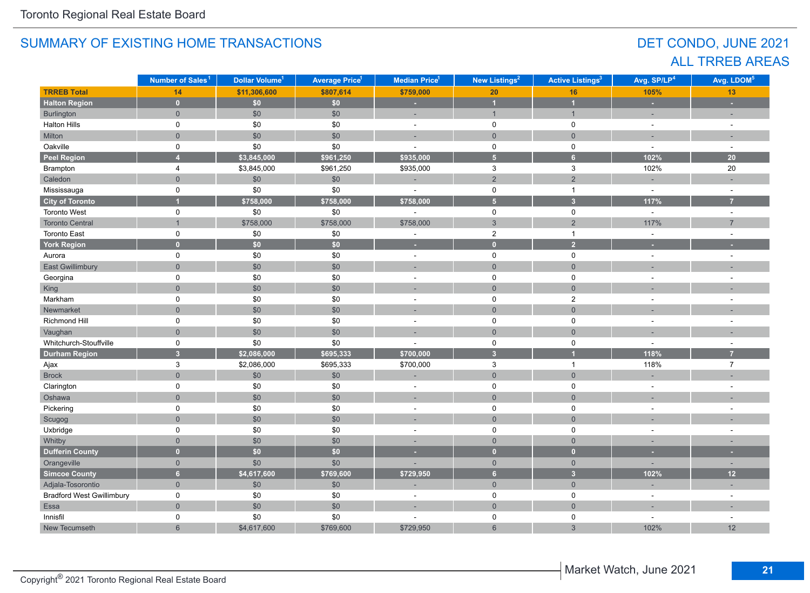## DET CONDO, JUNE 2021 ALL TRREB AREAS

|                                  | Number of Sales <sup>1</sup> | Dollar Volume <sup>1</sup> | <b>Average Price<sup>1</sup></b> | Median Price <sup>1</sup> | New Listings <sup>2</sup> | <b>Active Listings<sup>3</sup></b> | Avg. SP/LP <sup>4</sup>  | Avg. LDOM <sup>5</sup>   |
|----------------------------------|------------------------------|----------------------------|----------------------------------|---------------------------|---------------------------|------------------------------------|--------------------------|--------------------------|
| <b>TRREB Total</b>               | 14                           | \$11,306,600               | \$807,614                        | \$759,000                 | $20\,$                    | 16                                 | 105%                     | 13                       |
| <b>Halton Region</b>             | $\mathbf{0}$                 | \$0                        | \$0                              | ×,                        | $\overline{\mathbf{1}}$   | $\overline{1}$                     | ÷,                       | ÷,                       |
| Burlington                       | $\overline{0}$               | $\$0$                      | \$0                              | ÷,                        | $\mathbf{1}$              | $\overline{1}$                     | ÷,                       |                          |
| <b>Halton Hills</b>              | 0                            | \$0                        | \$0                              | $\sim$                    | $\mathsf 0$               | $\mathsf 0$                        | $\sim$                   | $\overline{a}$           |
| Milton                           | $\overline{0}$               | $$0$$                      | \$0                              | ÷,                        | $\overline{0}$            | $\mathbf 0$                        | $\overline{a}$           |                          |
| Oakville                         | 0                            | \$0                        | \$0                              | ÷,                        | $\mathsf 0$               | $\pmb{0}$                          | $\sim$                   | $\sim$                   |
| <b>Peel Region</b>               | $\overline{4}$               | \$3,845,000                | \$961,250                        | \$935,000                 | $\overline{\mathbf{5}}$   | $6\phantom{a}$                     | 102%                     | 20                       |
| Brampton                         | 4                            | \$3,845,000                | \$961,250                        | \$935,000                 | 3                         | $\mathsf 3$                        | 102%                     | 20                       |
| Caledon                          | $\overline{0}$               | \$0                        | \$0                              |                           | $\overline{2}$            | $\sqrt{2}$                         |                          |                          |
| Mississauga                      | $\mathsf{O}$                 | \$0                        | \$0                              |                           | $\mathbf 0$               | $\mathbf{1}$                       | $\sim$                   | ÷,                       |
| <b>City of Toronto</b>           |                              | \$758,000                  | \$758,000                        | \$758,000                 | $\overline{\mathbf{5}}$   | $\overline{3}$                     | 117%                     | $\overline{7}$           |
| Toronto West                     | 0                            | \$0                        | \$0                              |                           | $\mathbf 0$               | $\mathsf 0$                        | $\sim$                   | $\sim$                   |
| <b>Toronto Central</b>           | $\mathbf{1}$                 | \$758,000                  | \$758,000                        | \$758,000                 | $\mathfrak{S}$            | $\mathbf 2$                        | 117%                     | $\overline{7}$           |
| Toronto East                     | 0                            | $$0$$                      | \$0                              | ÷                         | $\overline{2}$            | $\mathbf{1}$                       | $\sim$                   | ÷,                       |
| <b>York Region</b>               | $\overline{0}$               | \$0                        | \$0                              | ×                         | $\mathbf{0}$              | $\overline{2}$                     |                          |                          |
| Aurora                           | $\mathsf{O}$                 | \$0                        | \$0                              | $\sim$                    | $\mathsf 0$               | $\mathsf 0$                        | $\sim$                   | $\overline{a}$           |
| East Gwillimbury                 | $\overline{0}$               | \$0                        | \$0                              | ٠                         | $\overline{0}$            | $\mathbf 0$                        |                          |                          |
| Georgina                         | 0                            | $$0$$                      | \$0                              | $\sim$                    | $\mathbf 0$               | $\mathsf 0$                        | $\sim$                   | $\sim$                   |
| King                             | $\mathbf 0$                  | \$0                        | \$0                              | $\sim$                    | $\mathsf{O}\xspace$       | $\mathbf 0$                        |                          |                          |
| Markham                          | 0                            | \$0                        | \$0                              | $\sim$                    | $\mathbf 0$               | $\overline{2}$                     | $\overline{a}$           |                          |
| Newmarket                        | $\overline{0}$               | \$0                        | \$0                              | ÷,                        | $\overline{0}$            | $\overline{0}$                     |                          |                          |
| Richmond Hill                    | 0                            | \$0                        | \$0                              | ÷                         | $\mathsf 0$               | $\pmb{0}$                          | $\overline{\phantom{a}}$ | ÷                        |
| Vaughan                          | $\Omega$                     | \$0                        | \$0                              | $\sim$                    | $\overline{0}$            | $\Omega$                           |                          |                          |
| Whitchurch-Stouffville           | 0                            | \$0                        | \$0                              |                           | 0                         | $\mathsf 0$                        | $\sim$                   |                          |
| <b>Durham Region</b>             | 3 <sup>1</sup>               | \$2,086,000                | \$695,333                        | \$700,000                 | $\overline{3}$            | $\overline{1}$                     | 118%                     | 7                        |
| Ajax                             | 3                            | \$2,086,000                | \$695,333                        | \$700,000                 | $\ensuremath{\mathsf{3}}$ | $\mathbf{1}$                       | 118%                     | $\overline{7}$           |
| <b>Brock</b>                     | $\overline{0}$               | \$0                        | \$0                              |                           | $\mathbf 0$               | $\overline{0}$                     |                          |                          |
| Clarington                       | 0                            | \$0                        | \$0                              | ÷                         | $\mathsf 0$               | $\pmb{0}$                          | $\overline{\phantom{a}}$ |                          |
| Oshawa                           | $\mathsf{O}\xspace$          | $$0$$                      | \$0                              |                           | $\mathsf{O}\xspace$       | $\mathbf 0$                        |                          |                          |
| Pickering                        | $\mathsf{O}$                 | \$0                        | \$0                              | $\blacksquare$            | $\mathsf 0$               | $\mathsf 0$                        | $\overline{\phantom{a}}$ |                          |
| Scugog                           | $\overline{0}$               | \$0                        | \$0                              | ÷,                        | $\mathbf 0$               | $\mathbf 0$                        |                          |                          |
| Uxbridge                         | 0                            | \$0                        | \$0                              | ÷.                        | $\mathbf 0$               | $\pmb{0}$                          | ÷.                       |                          |
| Whitby                           | $\overline{0}$               | \$0                        | \$0                              | п.                        | $\overline{0}$            | $\mathbf{0}$                       |                          |                          |
| <b>Dufferin County</b>           | $\overline{0}$               | \$0                        | \$0                              | ٠                         | $\bullet$                 | $\overline{0}$                     | ٠                        | ×                        |
| Orangeville                      | $\overline{0}$               | \$0                        | \$0                              |                           | $\overline{0}$            | $\overline{0}$                     | ÷                        | $\overline{\phantom{a}}$ |
| Simcoe County                    | $6\overline{6}$              | \$4,617,600                | \$769,600                        | \$729,950                 | 6 <sup>1</sup>            | $\overline{3}$                     | 102%                     | 12                       |
| Adjala-Tosorontio                | $\overline{0}$               | \$0                        | \$0                              |                           | $\mathbf{0}$              | $\mathbf{0}$                       | ÷,                       | $\overline{a}$           |
| <b>Bradford West Gwillimbury</b> | 0                            | \$0                        | \$0                              | $\overline{\phantom{a}}$  | 0                         | $\mathsf 0$                        | $\sim$                   | $\sim$                   |
| Essa                             | $\mathsf{O}\xspace$          | $$0$$                      | \$0                              | ÷.                        | $\mathsf{O}\xspace$       | $\mathsf{O}\xspace$                | ÷.                       |                          |
| Innisfil                         | 0                            | \$0                        | \$0                              |                           | 0                         | $\mathsf 0$                        | ÷,                       | $\blacksquare$           |
| New Tecumseth                    | $6\phantom{a}$               | \$4,617,600                | \$769,600                        | \$729,950                 | $6\phantom{1}$            | $\ensuremath{\mathsf{3}}$          | 102%                     | 12                       |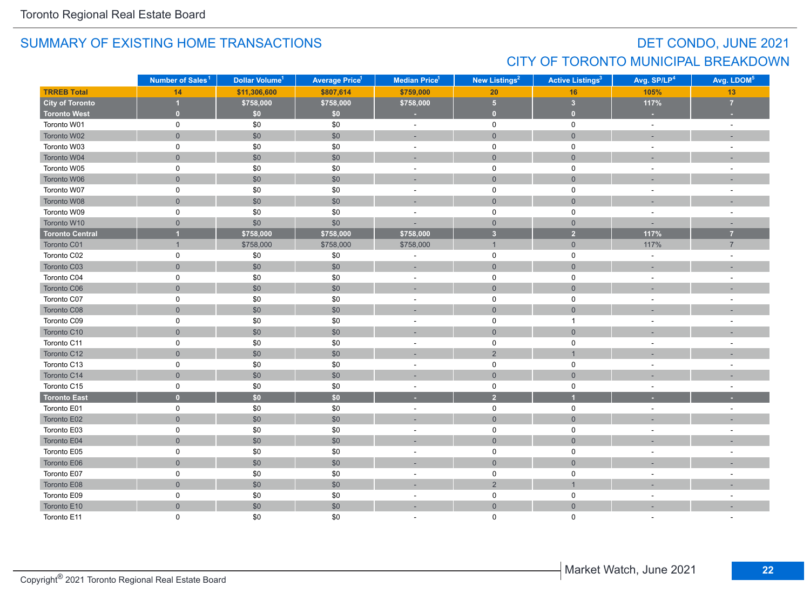## DET CONDO, JUNE 2021 CITY OF TORONTO MUNICIPAL BREAKDOWN

|                        | Number of Sales <sup>1</sup> | Dollar Volume <sup>1</sup> | <b>Average Price<sup>1</sup></b> | Median Price <sup>1</sup> | New Listings <sup>2</sup> |                         | Avg. SP/LP <sup>4</sup> | Avg. LDOM <sup>5</sup>   |
|------------------------|------------------------------|----------------------------|----------------------------------|---------------------------|---------------------------|-------------------------|-------------------------|--------------------------|
| <b>TRREB Total</b>     | 14                           | \$11,306,600               | \$807,614                        | \$759,000                 | 20                        | 16                      | 105%                    | 13                       |
| <b>City of Toronto</b> | 1                            | \$758,000                  | \$758,000                        | \$758,000                 | 5 <sup>1</sup>            | $\overline{\mathbf{3}}$ | 117%                    | $\overline{7}$           |
| <b>Toronto West</b>    | $\mathbf{0}$                 | \$0                        | \$0                              | ×                         | $\mathbf{0}$              | $\overline{0}$          | ×                       |                          |
| Toronto W01            | 0                            | \$0                        | \$0                              | $\sim$                    | $\mathbf 0$               | 0                       | $\omega$                | $\sim$                   |
| Toronto W02            | $\overline{0}$               | \$0                        | \$0                              | ÷                         | $\overline{0}$            | $\overline{0}$          |                         |                          |
| Toronto W03            | 0                            | \$0                        | \$0                              | $\sim$                    | $\mathbf 0$               | 0                       | $\sim$                  | $\overline{a}$           |
| Toronto W04            | $\mathbf 0$                  | \$0                        | \$0                              | ÷                         | $\mathsf{O}\xspace$       | $\mathbf 0$             |                         |                          |
| Toronto W05            | $\mathsf 0$                  | \$0                        | \$0                              | $\overline{\phantom{a}}$  | $\mathbf 0$               | $\mathsf 0$             |                         | $\overline{\phantom{a}}$ |
| Toronto W06            | $\mathbf 0$                  | \$0                        | \$0                              | ÷                         | $\mathbf 0$               | $\mathbf 0$             |                         |                          |
| Toronto W07            | $\mathsf 0$                  | \$0                        | \$0                              | ÷,                        | 0                         | $\mathsf 0$             |                         |                          |
| Toronto W08            | $\overline{0}$               | \$0                        | \$0                              | ÷,                        | $\mathbf 0$               | $\mathbf 0$             |                         |                          |
| Toronto W09            | 0                            | \$0                        | \$0                              | ÷                         | 0                         | $\mathsf 0$             |                         |                          |
| Toronto W10            | $\mathbf 0$                  | \$0                        | \$0                              |                           | $\mathsf{O}$              | $\mathsf{O}\xspace$     |                         |                          |
| <b>Toronto Central</b> | $\overline{1}$               | \$758,000                  | \$758,000                        | \$758,000                 | 3 <sup>2</sup>            | 2 <sup>1</sup>          | 117%                    | $\overline{7}$           |
| Toronto C01            | $\overline{1}$               | \$758,000                  | \$758,000                        | \$758,000                 | $\mathbf{1}$              | $\overline{0}$          | 117%                    | $\overline{7}$           |
| Toronto C02            | 0                            | \$0                        | \$0                              | ÷,                        | $\mathbf 0$               | 0                       | $\omega$                |                          |
| Toronto C03            | $\mathbf 0$                  | \$0                        | \$0                              | $\sim$                    | $\overline{0}$            | $\overline{0}$          | $\sim$                  |                          |
| Toronto C04            | 0                            | \$0                        | \$0                              | ÷                         | 0                         | 0                       |                         | $\overline{\phantom{a}}$ |
| Toronto C06            | $\overline{0}$               | \$0                        | \$0                              | ÷                         | $\overline{0}$            | $\mathbf{0}$            |                         |                          |
| Toronto C07            | $\pmb{0}$                    | \$0                        | \$0                              | $\sim$                    | $\pmb{0}$                 | $\pmb{0}$               |                         |                          |
| Toronto C08            | $\mathsf{O}\xspace$          | \$0                        | \$0                              | ۰                         | $\overline{0}$            | $\mathbf 0$             |                         |                          |
| Toronto C09            | 0                            | \$0                        | \$0                              | $\sim$                    | 0                         | $\mathbf{1}$            | $\sim$                  | ÷,                       |
| Toronto C10            | $\mathbf 0$                  | \$0                        | $\$0$                            |                           | $\mathbf 0$               | $\mathsf{O}\xspace$     |                         |                          |
| Toronto C11            | $\pmb{0}$                    | \$0                        | \$0                              | $\overline{a}$            | $\mathsf{O}\xspace$       | $\pmb{0}$               |                         | $\overline{\phantom{a}}$ |
| Toronto C12            | $\mathbf 0$                  | \$0                        | \$0                              | $\overline{\phantom{a}}$  | $\overline{2}$            | $\overline{1}$          |                         |                          |
| Toronto C13            | $\mathsf 0$                  | \$0                        | \$0                              | $\sim$                    | $\mathsf{O}$              | $\mathsf 0$             |                         |                          |
| Toronto C14            | $\overline{0}$               | \$0                        | \$0                              |                           | $\mathbf{0}$              | $\overline{0}$          |                         |                          |
| Toronto C15            | 0                            | \$0                        | \$0                              | $\sim$                    | $\mathbf 0$               | 0                       | $\sim$                  | $\sim$                   |
| <b>Toronto East</b>    | $\mathbf{0}$                 | \$0                        | \$0                              | ٠                         | $\overline{2}$            | $\overline{\mathbf{1}}$ |                         |                          |
| Toronto E01            | 0                            | \$0                        | \$0                              | $\sim$                    | $\mathsf{O}$              | 0                       |                         | ÷.                       |
| Toronto E02            | $\mathbf 0$                  | \$0                        | \$0                              | $\overline{\phantom{a}}$  | $\mathbf{0}$              | $\overline{0}$          |                         |                          |
| Toronto E03            | $\mathsf 0$                  | \$0                        | \$0                              | $\overline{\phantom{a}}$  | 0                         | $\mathsf 0$             |                         |                          |
| Toronto E04            | $\overline{0}$               | \$0                        | \$0                              |                           | $\mathsf{O}\xspace$       | $\mathbf 0$             |                         |                          |
| Toronto E05            | $\mathsf 0$                  | \$0                        | \$0                              | $\overline{\phantom{a}}$  | $\mathsf{O}$              | $\mathsf 0$             |                         |                          |
| Toronto E06            | $\mathsf{O}\xspace$          | \$0                        | \$0                              |                           | $\mathbf{0}$              | $\mathbf 0$             |                         |                          |
| Toronto E07            | $\mathsf 0$                  | \$0                        | \$0                              | $\sim$                    | $\mathsf{O}\xspace$       | $\mathsf 0$             |                         |                          |
| Toronto E08            | $\mathbf 0$                  | \$0                        | \$0                              |                           | $\overline{2}$            | $\overline{1}$          |                         |                          |
| Toronto E09            | 0                            | \$0                        | \$0                              | $\overline{a}$            | $\mathsf{O}$              | $\mathsf 0$             | $\sim$                  |                          |
| Toronto E10            | $\overline{0}$               | \$0                        | \$0                              | ÷                         | $\overline{0}$            | $\mathbf{0}$            |                         |                          |
| Toronto E11            | $\Omega$                     | \$0                        | \$0                              |                           | $\mathbf{0}$              | $\Omega$                |                         |                          |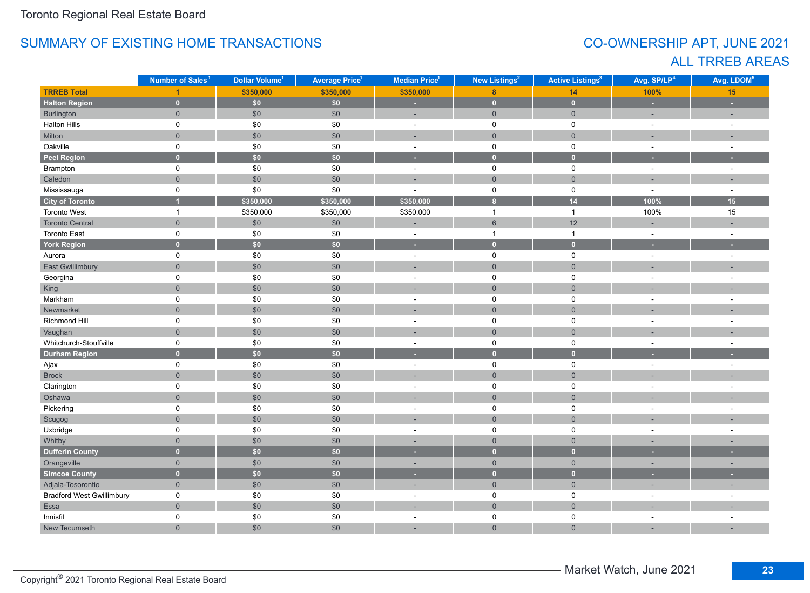## CO-OWNERSHIP APT, JUNE 2021 ALL TRREB AREAS

|                                  | Number of Sales <sup>1</sup> | Dollar Volume <sup>1</sup> | <b>Average Price<sup>1</sup></b> | Median Price <sup>1</sup> | New Listings <sup>2</sup> | <b>Active Listings<sup>3</sup></b> | Avg. SP/LP <sup>4</sup> | Avg. LDOM <sup>5</sup> |
|----------------------------------|------------------------------|----------------------------|----------------------------------|---------------------------|---------------------------|------------------------------------|-------------------------|------------------------|
| <b>TRREB Total</b>               |                              | \$350,000                  | \$350,000                        | \$350,000                 | 8                         | 14                                 | 100%                    | 15                     |
| <b>Halton Region</b>             | $\mathbf{0}$                 | \$0\$                      | \$0\$                            | ×.                        | $\mathbf{0}$              | $\mathbf{0}$                       | ×                       | ×                      |
| Burlington                       | $\overline{0}$               | \$0                        | \$0                              | ÷.                        | $\overline{0}$            | $\overline{0}$                     | $\sim$                  | ÷                      |
| <b>Halton Hills</b>              | 0                            | \$0                        | \$0                              | $\sim$                    | $\mathsf{O}$              | $\mathsf 0$                        | $\sim$                  | $\mathbf{r}$           |
| Milton                           | $\overline{0}$               | \$0                        | \$0                              | ÷.                        | $\mathbf 0$               | $\mathbf 0$                        | ÷.                      | ÷,                     |
| Oakville                         | $\mathsf{O}$                 | $\$0$                      | \$0                              | $\overline{\phantom{a}}$  | $\mathbf 0$               | $\mathbf 0$                        | $\sim$                  | $\sim$                 |
| <b>Peel Region</b>               | $\overline{0}$               | \$0\$                      | \$0                              | u                         | $\bullet$                 | $\mathbf{0}$                       |                         |                        |
| Brampton                         | 0                            | $\$0$                      | \$0                              | $\bar{\phantom{a}}$       | 0                         | 0                                  | $\omega$                | ÷,                     |
| Caledon                          | $\mathsf{O}\xspace$          | $$0$$                      | \$0                              | ÷                         | $\mathsf{O}\xspace$       | $\mathsf{O}\xspace$                |                         |                        |
| Mississauga                      | 0                            | \$0                        | \$0                              | $\sim$                    | 0                         | $\mathsf{O}\xspace$                | $\mathbf{r}$            | $\sim$                 |
| <b>City of Toronto</b>           | 1                            | \$350,000                  | \$350,000                        | \$350,000                 | $\bf{8}$                  | 14                                 | 100%                    | 15                     |
| Toronto West                     | $\overline{1}$               | \$350,000                  | \$350,000                        | \$350,000                 | $\overline{1}$            | $\mathbf{1}$                       | 100%                    | 15                     |
| <b>Toronto Central</b>           | $\overline{0}$               | \$0                        | \$0                              | ÷                         | $6\phantom{1}$            | 12                                 | ÷,                      |                        |
| <b>Toronto East</b>              | 0                            | \$0                        | \$0                              | $\overline{\phantom{a}}$  | $\overline{1}$            | $\mathbf{1}$                       | $\sim$                  | ÷,                     |
| <b>York Region</b>               | $\overline{0}$               | \$0                        | \$0                              | ×                         | $\mathbf{0}$              | $\overline{0}$                     | ×                       | ٠                      |
| Aurora                           | $\mathsf{O}$                 | \$0                        | \$0                              | $\sim$                    | 0                         | $\mathbf 0$                        | $\overline{a}$          | $\mathbf{r}$           |
| East Gwillimbury                 | $\overline{0}$               | $$0$$                      | \$0                              |                           | $\mathbf 0$               | $\mathbf{0}$                       |                         |                        |
| Georgina                         | 0                            | $\$0$                      | \$0                              | $\overline{\phantom{a}}$  | 0                         | 0                                  |                         | ä,                     |
| King                             | $\overline{0}$               | \$0                        | \$0                              | н.                        | $\mathbf{0}$              | $\overline{0}$                     |                         |                        |
| Markham                          | 0                            | $\$0$                      | \$0                              | ÷                         | $\mathsf 0$               | $\mathsf 0$                        |                         |                        |
| Newmarket                        | $\overline{0}$               | $$0$$                      | \$0                              |                           | $\overline{0}$            | $\mathbf 0$                        |                         |                        |
| Richmond Hill                    | 0                            | \$0                        | \$0                              | $\overline{\phantom{a}}$  | $\mathsf{O}$              | $\mathsf 0$                        | $\sim$                  | $\sim$                 |
| Vaughan                          | $\overline{0}$               | $$0$$                      | \$0                              | ÷,                        | $\overline{0}$            | $\mathbf 0$                        |                         |                        |
| Whitchurch-Stouffville           | 0                            | $\$0$                      | \$0                              | $\sim$                    | 0                         | $\mathsf 0$                        | $\sim$                  | ÷.                     |
| <b>Durham Region</b>             | $\overline{0}$               | $\overline{50}$            | $\overline{50}$                  | ٠                         | $\overline{0}$            | $\overline{0}$                     | ٠                       | ٠                      |
| Ajax                             | 0                            | \$0                        | \$0                              | $\blacksquare$            | $\mathsf{O}$              | $\mathsf 0$                        | $\sim$                  | $\sim$                 |
| <b>Brock</b>                     | $\overline{0}$               | \$0                        | \$0                              |                           | $\mathbf 0$               | $\mathbf 0$                        |                         |                        |
| Clarington                       | 0                            | \$0                        | \$0                              | $\sim$                    | $\mathsf{O}$              | $\mathsf 0$                        | $\sim$                  | $\sim$                 |
| Oshawa                           | $\overline{0}$               | \$0                        | \$0                              | ٠                         | $\overline{0}$            | $\mathbf 0$                        |                         |                        |
| Pickering                        | 0                            | $\$0$                      | \$0                              | $\overline{\phantom{a}}$  | 0                         | 0                                  | ÷.                      | $\blacksquare$         |
| Scugog                           | $\overline{0}$               | $$0$$                      | \$0                              | ÷                         | $\mathsf{O}\xspace$       | $\mathbf 0$                        |                         |                        |
| Uxbridge                         | 0                            | $\$0$                      | \$0                              | $\sim$                    | 0                         | 0                                  | $\overline{a}$          | $\sim$                 |
| Whitby                           | $\mathbf 0$                  | \$0                        | \$0                              | ٠                         | $\mathsf{O}\xspace$       | $\mathsf{O}\xspace$                |                         |                        |
| <b>Dufferin County</b>           | $\overline{0}$               | \$0                        | $\overline{\bullet}$             | н                         | $\overline{0}$            | $\overline{0}$                     |                         | ٠                      |
| Orangeville                      | $\overline{0}$               | \$0                        | \$0                              | ٠                         | $\overline{0}$            | $\overline{0}$                     | $\sim$                  | ٠                      |
| <b>Simcoe County</b>             | $\overline{0}$               | \$0                        | \$0                              | ٠                         | $\overline{0}$            | $\overline{0}$                     |                         | ٠                      |
| Adjala-Tosorontio                | $\overline{0}$               | $\$0$                      | \$0                              | ÷.                        | $\overline{0}$            | $\overline{0}$                     | ÷,                      | $\overline{a}$         |
| <b>Bradford West Gwillimbury</b> | 0                            | \$0                        | \$0                              | ä,                        | 0                         | $\mathsf 0$                        | $\sim$                  |                        |
| Essa                             | $\overline{0}$               | $$0$$                      | \$0                              | ÷                         | $\overline{0}$            | $\mathbf 0$                        |                         |                        |
| Innisfil                         | 0                            | \$0                        | \$0                              | $\sim$                    | 0                         | 0                                  | $\sim$                  | $\sim$                 |
| New Tecumseth                    | $\overline{0}$               | \$0                        | \$0                              | ÷,                        | $\mathbf 0$               | $\mathbf{0}$                       |                         |                        |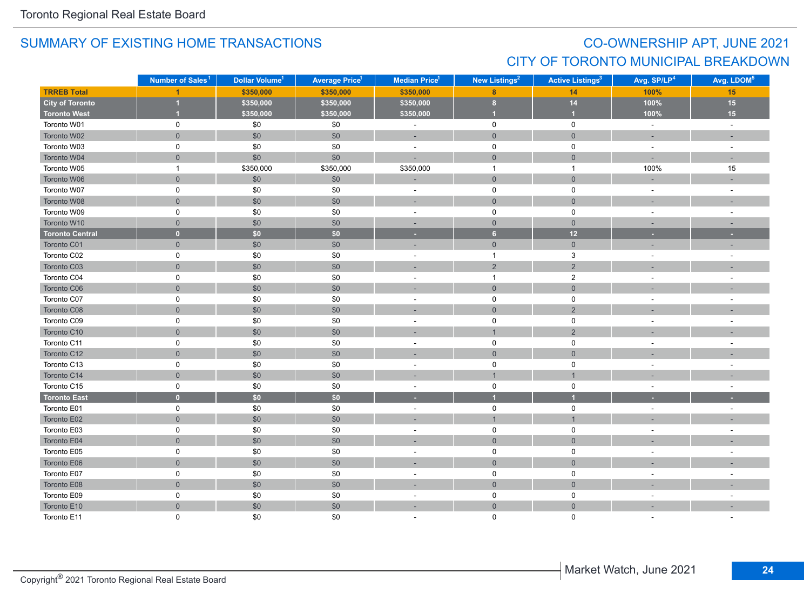## CO-OWNERSHIP APT, JUNE 2021 CITY OF TORONTO MUNICIPAL BREAKDOWN

|                        | Number of Sales <sup>1</sup> | Dollar Volume <sup>1</sup> | <b>Average Price<sup>1</sup></b> | Median Price <sup>1</sup>   | New Listings <sup>2</sup> | <b>Active Listings<sup>3</sup></b> | Avg. SP/LP <sup>4</sup>  | Avg. LDOM <sup>5</sup>   |
|------------------------|------------------------------|----------------------------|----------------------------------|-----------------------------|---------------------------|------------------------------------|--------------------------|--------------------------|
| <b>TRREB Total</b>     |                              | \$350,000                  | \$350,000                        | \$350,000                   | $\overline{8}$            | 14                                 | 100%                     | 15                       |
| <b>City of Toronto</b> |                              | \$350,000                  | \$350,000                        | \$350,000<br>$\bf{8}$       |                           | $14$                               | 100%                     | 15                       |
| <b>Toronto West</b>    |                              | \$350,000                  | \$350,000                        | $\overline{1}$<br>\$350,000 |                           | $\overline{1}$                     | 100%                     | 15                       |
| Toronto W01            | 0                            | $\$0$                      | \$0                              | $\bar{a}$                   | $\mathsf 0$               | $\mathsf{O}\xspace$                | $\omega$                 | $\omega$                 |
| Toronto W02            | $\overline{0}$               | $$0$$                      | \$0                              | ÷                           | $\mathbf{0}$              | $\mathbf 0$                        | $\sim$                   | $\sim$                   |
| Toronto W03            | 0                            | \$0                        | \$0                              | $\sim$                      | $\mathsf{O}\xspace$       | 0                                  | $\blacksquare$           | $\sim$                   |
| Toronto W04            | $\overline{0}$               | \$0                        | \$0                              | ÷.                          | $\mathbf{0}$              | $\overline{0}$                     | ÷.                       |                          |
| Toronto W05            | $\mathbf{1}$                 | \$350,000                  | \$350,000                        | \$350,000                   | $\overline{1}$            | $\overline{1}$                     | 100%                     | 15                       |
| Toronto W06            | $\overline{0}$               | \$0                        | \$0                              | ÷                           | $\mathsf{O}\xspace$       | $\mathbf 0$                        |                          |                          |
| Toronto W07            | 0                            | $\$0$                      | \$0                              | $\blacksquare$              | $\mathsf{O}$              | 0                                  | $\blacksquare$           | $\sim$                   |
| Toronto W08            | $\mathsf{O}\xspace$          | \$0                        | \$0                              | $\sim$                      | $\mathsf{O}\xspace$       | $\mathsf{O}$                       | ٠                        | $\sim$                   |
| Toronto W09            | 0                            | \$0                        | \$0                              | $\blacksquare$              | $\mathsf 0$               | $\mathbf 0$                        | $\blacksquare$           | $\overline{\phantom{a}}$ |
| Toronto W10            | $\overline{0}$               | \$0                        | \$0                              | $\sim$                      | $\overline{0}$            | $\mathbf 0$                        | $\sim$                   | $\sim$                   |
| <b>Toronto Central</b> | $\mathbf{0}$                 | \$0                        | \$0                              | ٠                           | 6                         | 12                                 | ×                        | ×                        |
| Toronto C01            | $\overline{0}$               | \$0                        | \$0                              | ÷                           | $\mathsf{O}\xspace$       | $\overline{0}$                     | $\overline{\phantom{a}}$ |                          |
| Toronto C02            | 0                            | $\$0$                      | \$0                              | $\sim$                      | $\mathbf{1}$              | $\mathbf{3}$                       | $\sim$                   | $\sim$                   |
| Toronto C03            | $\mathsf{O}\xspace$          | $$0$$                      | \$0                              |                             | $\sqrt{2}$                | $\sqrt{2}$                         |                          |                          |
| Toronto C04            | 0                            | $\$0$                      | \$0                              | $\sim$                      | $\mathbf{1}$              | $\overline{2}$                     | $\sim$                   | $\sim$                   |
| Toronto C06            | $\overline{0}$               | \$0                        | \$0                              | $\sim$                      | $\mathbf 0$               | $\mathbf 0$                        | $\sim$                   |                          |
| Toronto C07            | 0                            | \$0                        | \$0                              | $\sim$                      | $\mathsf 0$               | $\mathbf 0$                        | $\sim$                   |                          |
| Toronto C08            | $\overline{0}$               | \$0                        | \$0                              |                             | $\mathbf 0$               | $\overline{2}$                     |                          |                          |
| Toronto C09            | 0                            | \$0                        | \$0                              | $\blacksquare$              | $\mathbf 0$               | 0                                  | $\overline{\phantom{a}}$ | $\overline{\phantom{a}}$ |
| Toronto C10            | $\overline{0}$               | $$0$$                      | \$0                              | ×.                          | $\overline{1}$            | $\sqrt{2}$                         |                          |                          |
| Toronto C11            | 0                            | \$0                        | \$0                              | $\sim$                      | $\mathsf 0$               | $\mathbf 0$                        | $\sim$                   |                          |
| Toronto C12            | $\mathsf{O}\xspace$          | \$0                        | \$0                              | ×,                          | $\mathsf{O}$              | $\mathsf{O}\xspace$                | ٠                        |                          |
| Toronto C13            | 0                            | $\$0$                      | \$0                              | $\sim$                      | $\pmb{0}$                 | 0                                  | $\sim$                   |                          |
| Toronto C14            | $\overline{0}$               | $$0$$                      | \$0                              | ÷                           | $\overline{1}$            | $\overline{1}$                     |                          |                          |
| Toronto C15            | 0                            | $\$0$                      | \$0                              | $\blacksquare$              | $\mathsf 0$               | $\mathbf 0$                        | $\overline{\phantom{a}}$ | $\overline{\phantom{a}}$ |
| <b>Toronto East</b>    | $\mathbf{0}$                 | \$0                        | \$0                              | ٠                           | $\overline{1}$            | $\overline{\mathbf{1}}$            |                          |                          |
| Toronto E01            | 0                            | $\$0$                      | \$0                              | $\sim$                      | $\mathsf 0$               | $\mathsf{O}\xspace$                | $\sim$                   | $\overline{\phantom{a}}$ |
| Toronto E02            | $\mathsf{O}\xspace$          | \$0                        | \$0                              |                             | $\overline{1}$            | $\mathbf{1}$                       |                          |                          |
| Toronto E03            | 0                            | \$0                        | \$0                              | ÷,                          | $\mathsf 0$               | $\pmb{0}$                          | $\overline{a}$           |                          |
| Toronto E04            | $\overline{0}$               | \$0                        | \$0                              | ÷                           | $\mathbf{0}$              | $\mathbf{0}$                       |                          |                          |
| Toronto E05            | 0                            | \$0                        | \$0                              | $\blacksquare$              | 0                         | 0                                  | $\sim$                   |                          |
| Toronto E06            | $\overline{0}$               | $$0$$                      | \$0                              |                             | $\mathbf 0$               | $\mathbf 0$                        |                          |                          |
| Toronto E07            | 0                            | $\$0$                      | \$0                              | $\overline{\phantom{a}}$    | $\mathsf 0$               | $\mathsf 0$                        | $\overline{\phantom{a}}$ |                          |
| Toronto E08            | $\mathsf{O}\xspace$          | $$0$$                      | \$0                              | ×.                          | $\mathbf 0$               | $\mathsf{O}\xspace$                |                          |                          |
| Toronto E09            | 0                            | $\$0$                      | \$0                              | $\sim$                      | $\mathsf 0$               | 0                                  | $\sim$                   | $\sim$                   |
| Toronto E10            | $\overline{0}$               | $$0$$                      | \$0                              | ÷                           | $\mathsf{O}\xspace$       | $\mathsf{O}\xspace$                |                          |                          |
| Toronto E11            | $\Omega$                     | \$0                        | \$0                              |                             | $\mathbf 0$               | $\Omega$                           |                          |                          |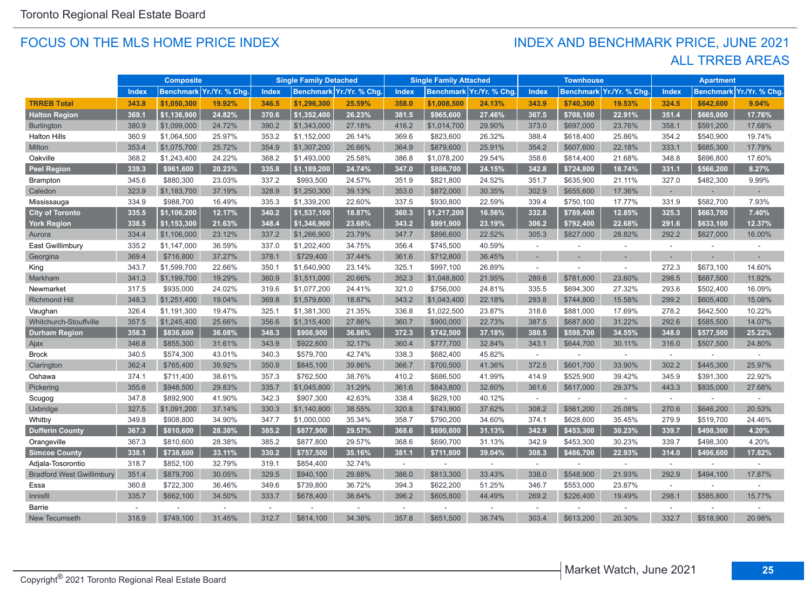#### FOCUS ON THE MLS HOME PRICE INDEX

### ALL TRREB AREAS INDEX AND BENCHMARK PRICE, JUNE 2021

|                                  |              | <b>Composite</b> |                          |              | <b>Single Family Detached</b> |                          |        | <b>Single Family Attached</b> |                         |              | <b>Townhouse</b> |                         |          | <b>Apartment</b> |               |
|----------------------------------|--------------|------------------|--------------------------|--------------|-------------------------------|--------------------------|--------|-------------------------------|-------------------------|--------------|------------------|-------------------------|----------|------------------|---------------|
|                                  | <b>Index</b> |                  | Benchmark Yr./Yr. % Chg. | <b>Index</b> |                               | Benchmark Yr./Yr. % Chg. | Index  |                               | Benchmark Yr./Yr. % Chg | <b>Index</b> |                  | Benchmark Yr./Yr. % Chg | Index    | <b>Benchmark</b> | Yr./Yr. % Chg |
| <b>TRREB Total</b>               | 343.8        | \$1,050,300      | 19.92%                   | 346.5        | \$1,296,300                   | 25.59%                   | 358.0  | \$1,008,500                   | 24.13%                  | 343.9        | \$740,300        | 19.53%                  | 324.5    | \$642,600        | 9.04%         |
| <b>Halton Region</b>             | 369.1        | \$1,136,900      | 24.82%                   | 370.6        | \$1,352,400                   | 26.23%                   | 381.5  | \$965,600                     | 27.46%                  | 367.5        | \$708,100        | 22.91%                  | 351.4    | \$665,000        | 17.76%        |
| <b>Burlington</b>                | 380.9        | \$1,099,000      | 24.72%                   | 390.2        | \$1,343,000                   | 27.18%                   | 416.2  | \$1,014,700                   | 29.90%                  | 373.0        | \$697,000        | 23.76%                  | 358.1    | \$591,200        | 17.68%        |
| <b>Halton Hills</b>              | 360.9        | \$1,064,500      | 25.97%                   | 353.2        | \$1,152,000                   | 26.14%                   | 369.6  | \$823,600                     | 26.32%                  | 388.4        | \$618,400        | 25.86%                  | 354.2    | \$540,900        | 19.74%        |
| Milton                           | 353.4        | \$1,075,700      | 25.72%                   | 354.9        | \$1,307,200                   | 26.66%                   | 364.9  | \$879,600                     | 25.91%                  | 354.2        | \$607,600        | 22.18%                  | 333.1    | \$685,300        | 17.79%        |
| Oakville                         | 368.2        | \$1,243,400      | 24.22%                   | 368.2        | \$1,493,000                   | 25.58%                   | 386.8  | \$1,078,200                   | 29.54%                  | 358.6        | \$814,400        | 21.68%                  | 348.8    | \$696,800        | 17.60%        |
| <b>Peel Region</b>               | 339.3        | \$961,600        | 20.23%                   | 335.8        | \$1,189,200                   | 24.74%                   | 347.0  | \$886,700                     | 24.15%                  | 342.8        | \$724,800        | 18.74%                  | 331.1    | \$566,200        | 8.27%         |
| Brampton                         | 345.6        | \$880,300        | 23.03%                   | 337.2        | \$993,500                     | 24.57%                   | 351.9  | \$821,800                     | 24.52%                  | 351.7        | \$635,900        | 21.11%                  | 327.0    | \$482,300        | 9.99%         |
| Caledon                          | 323.9        | \$1,183,700      | 37.19%                   | 328.9        | \$1,250,300                   | 39.13%                   | 353.0  | \$872,000                     | 30.35%                  | 302.9        | \$655,600        | 17.36%                  | $\sim$   |                  |               |
| Mississauga                      | 334.9        | \$988,700        | 16.49%                   | 335.3        | \$1,339,200                   | 22.60%                   | 337.5  | \$930,800                     | 22.59%                  | 339.4        | \$750,100        | 17.77%                  | 331.9    | \$582,700        | 7.93%         |
| <b>City of Toronto</b>           | 335.5        | \$1,106,200      | 12.17%                   | 340.2        | \$1,537,100                   | 18.87%                   | 360.3  | \$1,217,200                   | 16.56%                  | 332.8        | \$789,400        | 12.85%                  | 325.3    | \$663,700        | 7.40%         |
| <b>York Region</b>               | 338.5        | \$1,153,300      | 21.63%                   | 348.4        | \$1,346,900                   | 23.68%                   | 343.2  | \$991,900                     | 23.19%                  | 306.2        | \$792,400        | 22.68%                  | 291.6    | \$633,100        | 12.37%        |
| Aurora                           | 334.4        | \$1,106,000      | 23.12%                   | 337.2        | \$1,266,900                   | 23.79%                   | 347.7  | \$896,600                     | 22.52%                  | 305.3        | \$827,000        | 28.82%                  | 292.2    | \$627,000        | 16.00%        |
| East Gwillimbury                 | 335.2        | \$1,147,000      | 36.59%                   | 337.0        | \$1,202,400                   | 34.75%                   | 356.4  | \$745,500                     | 40.59%                  | $\sim$       |                  | $\sim$                  | $\sim$   |                  |               |
| Georgina                         | 369.4        | \$716,800        | 37.27%                   | 378.1        | \$729,400                     | 37.44%                   | 361.6  | \$712,800                     | 36.45%                  |              |                  |                         |          |                  |               |
| King                             | 343.7        | \$1,599,700      | 22.66%                   | 350.1        | \$1,640,900                   | 23.14%                   | 325.1  | \$997,100                     | 26.89%                  | ÷            |                  | $\sim$                  | 272.3    | \$673,100        | 14.60%        |
| Markham                          | 341.3        | \$1,199,700      | 19.29%                   | 360.9        | \$1,511,000                   | 20.66%                   | 352.3  | \$1,048,800                   | 21.95%                  | 289.6        | \$781,600        | 23.60%                  | 298.5    | \$687,500        | 11.92%        |
| Newmarket                        | 317.5        | \$935,000        | 24.02%                   | 319.6        | \$1,077,200                   | 24.41%                   | 321.0  | \$756,000                     | 24.81%                  | 335.5        | \$694,300        | 27.32%                  | 293.6    | \$502,400        | 16.09%        |
| <b>Richmond Hill</b>             | 348.3        | \$1,251,400      | 19.04%                   | 369.8        | \$1,579,600                   | 18.87%                   | 343.2  | \$1,043,400                   | 22.18%                  | 293.8        | \$744,800        | 15.58%                  | 299.2    | \$605,400        | 15.08%        |
| Vaughan                          | 326.4        | \$1,191,300      | 19.47%                   | 325.1        | \$1,381,300                   | 21.35%                   | 336.8  | \$1,022,500                   | 23.87%                  | 318.6        | \$881,000        | 17.69%                  | 278.2    | \$642,500        | 10.22%        |
| Whitchurch-Stouffville           | 357.5        | \$1,245,400      | 25.66%                   | 356.6        | \$1,315,400                   | 27.86%                   | 360.7  | \$900,000                     | 22.73%                  | 387.5        | \$687,800        | 31.22%                  | 292.6    | \$585,500        | 14.07%        |
| <b>Durham Region</b>             | 358.3        | \$836,600        | 36.08%                   | 348.3        | \$908,900                     | 36.86%                   | 372.3  | \$742,500                     | 37.18%                  | 380.5        | \$598,700        | 34.55%                  | 348.0    | \$577,500        | 25.22%        |
| Ajax                             | 346.8        | \$855,300        | 31.61%                   | 343.9        | \$922,600                     | 32.17%                   | 360.4  | \$777,700                     | 32.84%                  | 343.1        | \$644,700        | 30.11%                  | 316.0    | \$507,500        | 24.80%        |
| <b>Brock</b>                     | 340.5        | \$574,300        | 43.01%                   | 340.3        | \$579,700                     | 42.74%                   | 338.3  | \$682,400                     | 45.82%                  | $\sim$       |                  | $\sim$                  | $\omega$ |                  | $\sim$        |
| Clarington                       | 362.4        | \$765,400        | 39.92%                   | 350.9        | \$845,100                     | 39.86%                   | 366.7  | \$700,500                     | 41.36%                  | 372.5        | \$601,700        | 33.90%                  | 302.2    | \$445,300        | 25.97%        |
| Oshawa                           | 374.1        | \$711,400        | 38.61%                   | 357.3        | \$762,500                     | 38.76%                   | 410.2  | \$686,500                     | 41.99%                  | 414.9        | \$525,900        | 39.42%                  | 345.9    | \$391,300        | 22.92%        |
| Pickering                        | 355.6        | \$948,500        | 29.83%                   | 335.7        | \$1,045,800                   | 31.29%                   | 361.6  | \$843,800                     | 32.60%                  | 361.6        | \$617,000        | 29.37%                  | 443.3    | \$835,000        | 27.68%        |
| Scugog                           | 347.8        | \$892,900        | 41.90%                   | 342.3        | \$907,300                     | 42.63%                   | 338.4  | \$629,100                     | 40.12%                  | ÷            |                  | $\sim$                  | $\sim$   |                  |               |
| Uxbridge                         | 327.5        | \$1,091,200      | 37.14%                   | 330.3        | \$1,140,800                   | 38.55%                   | 320.8  | \$743,900                     | 37.62%                  | 308.2        | \$561,200        | 25.08%                  | 270.6    | \$646,200        | 20.53%        |
| Whitby                           | 349.8        | \$908,800        | 34.90%                   | 347.7        | \$1,000,000                   | 35.34%                   | 358.7  | \$790,200                     | 34.60%                  | 374.1        | \$628,600        | 35.45%                  | 279.9    | \$519,700        | 24.46%        |
| <b>Dufferin County</b>           | 367.3        | \$810,600        | 28.38%                   | 385.2        | \$877,900                     | 29.57%                   | 368.6  | \$690,800                     | 31.13%                  | 342.9        | \$453,300        | 30.23%                  | 339.7    | \$498,300        | 4.20%         |
| Orangeville                      | 367.3        | \$810,600        | 28.38%                   | 385.2        | \$877,800                     | 29.57%                   | 368.6  | \$690,700                     | 31.13%                  | 342.9        | \$453,300        | 30.23%                  | 339.7    | \$498,300        | 4.20%         |
| <b>Simcoe County</b>             | 338.1        | \$738,600        | 33.11%                   | 330.2        | \$757,500                     | 35.16%                   | 381.1  | \$711,800                     | 39.04%                  | 308.3        | \$486,700        | 22.93%                  | 314.0    | \$496,600        | 17.82%        |
| Adjala-Tosorontio                | 318.7        | \$852,100        | 32.79%                   | 319.1        | \$854,400                     | 32.74%                   | $\sim$ |                               | $\sim$                  | $\sim$       |                  | $\sim$                  | $\sim$   |                  |               |
| <b>Bradford West Gwillimbury</b> | 351.4        | \$879,700        | 30.05%                   | 329.5        | \$940,100                     | 29.88%                   | 386.0  | \$813,300                     | 33.43%                  | 338.0        | \$548,900        | 21.93%                  | 292.9    | \$494,100        | 17.87%        |
| Essa                             | 360.8        | \$722,300        | 36.46%                   | 349.6        | \$739,800                     | 36.72%                   | 394.3  | \$622,200                     | 51.25%                  | 346.7        | \$553,000        | 23.87%                  | $\sim$   |                  |               |
| Innisfil                         | 335.7        | \$662,100        | 34.50%                   | 333.7        | \$678,400                     | 38.64%                   | 396.2  | \$605,800                     | 44.49%                  | 269.2        | \$226,400        | 19.49%                  | 298.1    | \$585,800        | 15.77%        |
| Barrie                           | $\sim$       | $\overline{a}$   | ÷.                       | ÷.           |                               | $\sim$                   | $\sim$ |                               | $\sim$                  | ÷            |                  | ÷.                      | $\sim$   |                  |               |
| New Tecumseth                    | 318.9        | \$749,100        | 31.45%                   | 312.7        | \$814,100                     | 34.38%                   | 357.8  | \$651,500                     | 38.74%                  | 303.4        | \$613,200        | 20.30%                  | 332.7    | \$518,900        | 20.98%        |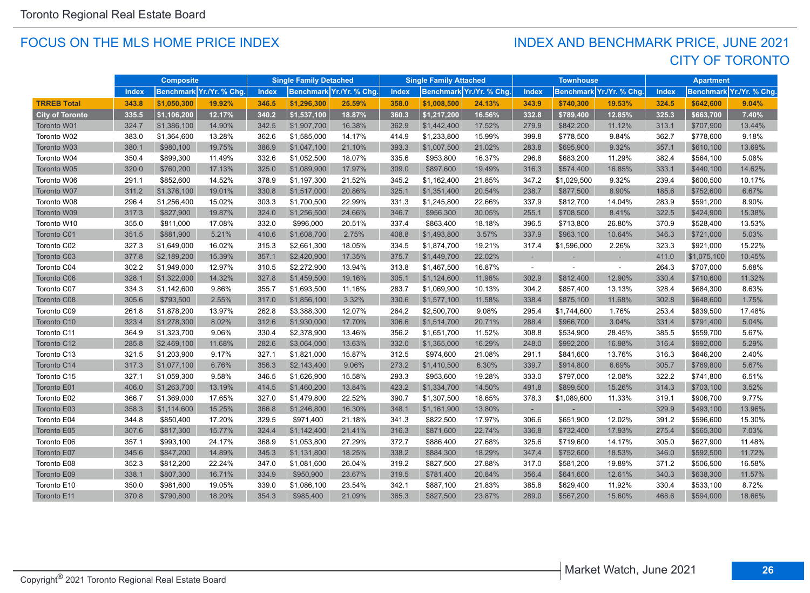#### FOCUS ON THE MLS HOME PRICE INDEX

## CITY OF TORONTO INDEX AND BENCHMARK PRICE, JUNE 2021

|                        | <b>Composite</b> |             | <b>Single Family Detached</b> |              | <b>Single Family Attached</b> |                         | <b>Townhouse</b> |             |                          | <b>Apartment</b> |             |                          |              |             |                                       |
|------------------------|------------------|-------------|-------------------------------|--------------|-------------------------------|-------------------------|------------------|-------------|--------------------------|------------------|-------------|--------------------------|--------------|-------------|---------------------------------------|
|                        | <b>Index</b>     |             | Benchmark Yr./Yr. % Chg       | <b>Index</b> |                               | Benchmark Yr./Yr. % Chg | <b>Index</b>     |             | Benchmark Yr./Yr. % Chg. | Index            |             | Benchmark Yr./Yr. % Chg. | <b>Index</b> |             | Benchmark <mark>Yr./Yr. % Chg.</mark> |
| <b>TRREB Total</b>     | 343.8            | \$1,050,300 | 19.92%                        | 346.5        | \$1,296,300                   | 25.59%                  | 358.0            | \$1,008,500 | 24.13%                   | 343.9            | \$740,300   | 19.53%                   | 324.5        | \$642,600   | 9.04%                                 |
| <b>City of Toronto</b> | 335.5            | \$1,106,200 | 12.17%                        | 340.2        | \$1,537,100                   | 18.87%                  | 360.3            | \$1,217,200 | 16.56%                   | 332.8            | \$789,400   | 12.85%                   | 325.3        | \$663,700   | 7.40%                                 |
| Toronto W01            | 324.7            | \$1,386,100 | 14.90%                        | 342.5        | \$1,907,700                   | 16.38%                  | 362.9            | \$1,442,400 | 17.52%                   | 279.9            | \$842,200   | 11.12%                   | 313.1        | \$707,900   | 13.44%                                |
| Toronto W02            | 383.0            | \$1,364,600 | 13.28%                        | 362.6        | \$1,585,000                   | 14.17%                  | 414.9            | \$1,233,800 | 15.99%                   | 399.8            | \$778,500   | 9.84%                    | 362.7        | \$778,600   | 9.18%                                 |
| Toronto W03            | 380.1            | \$980,100   | 19.75%                        | 386.9        | \$1,047,100                   | 21.10%                  | 393.3            | \$1,007,500 | 21.02%                   | 283.8            | \$695,900   | 9.32%                    | 357.1        | \$610,100   | 13.69%                                |
| Toronto W04            | 350.4            | \$899,300   | 11.49%                        | 332.6        | \$1,052,500                   | 18.07%                  | 335.6            | \$953,800   | 16.37%                   | 296.8            | \$683,200   | 11.29%                   | 382.4        | \$564,100   | 5.08%                                 |
| Toronto W05            | 320.0            | \$760,200   | 17.13%                        | 325.0        | \$1,089,900                   | 17.97%                  | 309.0            | \$897,600   | 19.49%                   | 316.3            | \$574,400   | 16.85%                   | 333.1        | \$440,100   | 14.62%                                |
| Toronto W06            | 291.1            | \$852,600   | 14.52%                        | 378.9        | \$1,197,300                   | 21.52%                  | 345.2            | \$1,162,400 | 21.85%                   | 347.2            | \$1,029,500 | 9.32%                    | 239.4        | \$600,500   | 10.17%                                |
| Toronto W07            | 311.2            | \$1,376,100 | 19.01%                        | 330.8        | \$1,517,000                   | 20.86%                  | 325.1            | \$1,351,400 | 20.54%                   | 238.7            | \$877,500   | 8.90%                    | 185.6        | \$752,600   | 6.67%                                 |
| Toronto W08            | 296.4            | \$1,256,400 | 15.02%                        | 303.3        | \$1,700,500                   | 22.99%                  | 331.3            | \$1,245,800 | 22.66%                   | 337.9            | \$812,700   | 14.04%                   | 283.9        | \$591,200   | 8.90%                                 |
| Toronto W09            | 317.3            | \$827,900   | 19.87%                        | 324.0        | \$1,256,500                   | 24.66%                  | 346.7            | \$956,300   | 30.05%                   | 255.1            | \$708,500   | 8.41%                    | 322.5        | \$424,900   | 15.38%                                |
| Toronto W10            | 355.0            | \$811,000   | 17.08%                        | 332.0        | \$996,000                     | 20.51%                  | 337.4            | \$863,400   | 18.18%                   | 396.5            | \$713,800   | 26.80%                   | 370.9        | \$528,400   | 13.53%                                |
| Toronto C01            | 351.5            | \$881,900   | 5.21%                         | 410.6        | \$1,608,700                   | 2.75%                   | 408.8            | \$1,493,800 | 3.57%                    | 337.9            | \$963,100   | 10.64%                   | 346.3        | \$721,000   | 5.03%                                 |
| Toronto C02            | 327.3            | \$1,649,000 | 16.02%                        | 315.3        | \$2,661,300                   | 18.05%                  | 334.5            | \$1,874,700 | 19.21%                   | 317.4            | \$1,596,000 | 2.26%                    | 323.3        | \$921,000   | 15.22%                                |
| Toronto C03            | 377.8            | \$2,189,200 | 15.39%                        | 357.1        | \$2,420,900                   | 17.35%                  | 375.7            | \$1,449,700 | 22.02%                   |                  |             |                          | 411.0        | \$1,075,100 | 10.45%                                |
| Toronto C04            | 302.2            | \$1,949,000 | 12.97%                        | 310.5        | \$2,272,900                   | 13.94%                  | 313.8            | \$1,467,500 | 16.87%                   | $\sim$           |             | $\sim$                   | 264.3        | \$707,000   | 5.68%                                 |
| Toronto C06            | 328.1            | \$1,322,000 | 14.32%                        | 327.8        | \$1,459,500                   | 19.16%                  | 305.1            | \$1,124,600 | 11.96%                   | 302.9            | \$812,400   | 12.90%                   | 330.4        | \$710,600   | 11.32%                                |
| Toronto C07            | 334.3            | \$1,142,600 | 9.86%                         | 355.7        | \$1,693,500                   | 11.16%                  | 283.7            | \$1,069,900 | 10.13%                   | 304.2            | \$857,400   | 13.13%                   | 328.4        | \$684,300   | 8.63%                                 |
| Toronto C08            | 305.6            | \$793,500   | 2.55%                         | 317.0        | \$1,856,100                   | 3.32%                   | 330.6            | \$1,577,100 | 11.58%                   | 338.4            | \$875,100   | 11.68%                   | 302.8        | \$648,600   | 1.75%                                 |
| Toronto C09            | 261.8            | \$1,878,200 | 13.97%                        | 262.8        | \$3,388,300                   | 12.07%                  | 264.2            | \$2,500,700 | 9.08%                    | 295.4            | \$1,744,600 | 1.76%                    | 253.4        | \$839,500   | 17.48%                                |
| Toronto C10            | 323.4            | \$1,278,300 | 8.02%                         | 312.6        | \$1,930,000                   | 17.70%                  | 306.6            | \$1,514,700 | 20.71%                   | 288.4            | \$966,700   | 3.04%                    | 331.4        | \$791,400   | 5.04%                                 |
| Toronto C11            | 364.9            | \$1,323,700 | 9.06%                         | 330.4        | \$2,378,900                   | 13.46%                  | 356.2            | \$1,651,700 | 11.52%                   | 308.8            | \$534,900   | 28.45%                   | 385.5        | \$559,700   | 5.67%                                 |
| Toronto C12            | 285.8            | \$2,469,100 | 11.68%                        | 282.6        | \$3,064,000                   | 13.63%                  | 332.0            | \$1,365,000 | 16.29%                   | 248.0            | \$992,200   | 16.98%                   | 316.4        | \$992,000   | 5.29%                                 |
| Toronto C13            | 321.5            | \$1,203,900 | 9.17%                         | 327.1        | \$1,821,000                   | 15.87%                  | 312.5            | \$974,600   | 21.08%                   | 291.1            | \$841,600   | 13.76%                   | 316.3        | \$646,200   | 2.40%                                 |
| Toronto C14            | 317.3            | \$1,077,100 | 6.76%                         | 356.3        | \$2,143,400                   | 9.06%                   | 273.2            | \$1,410,500 | 6.30%                    | 339.7            | \$914,800   | 6.69%                    | 305.7        | \$769,800   | 5.67%                                 |
| Toronto C15            | 327.1            | \$1,059,300 | 9.58%                         | 346.5        | \$1,626,900                   | 15.58%                  | 293.3            | \$953,600   | 19.28%                   | 333.0            | \$797,000   | 12.08%                   | 322.2        | \$741,800   | 6.51%                                 |
| Toronto E01            | 406.0            | \$1,263,700 | 13.19%                        | 414.5        | \$1,460,200                   | 13.84%                  | 423.2            | \$1,334,700 | 14.50%                   | 491.8            | \$899.500   | 15.26%                   | 314.3        | \$703,100   | 3.52%                                 |
| Toronto E02            | 366.7            | \$1,369,000 | 17.65%                        | 327.0        | \$1,479,800                   | 22.52%                  | 390.7            | \$1,307,500 | 18.65%                   | 378.3            | \$1,089,600 | 11.33%                   | 319.1        | \$906,700   | 9.77%                                 |
| Toronto E03            | 358.3            | \$1,114,600 | 15.25%                        | 366.8        | \$1,246,800                   | 16.30%                  | 348.1            | \$1,161,900 | 13.80%                   |                  |             |                          | 329.9        | \$493,100   | 13.96%                                |
| Toronto E04            | 344.8            | \$850,400   | 17.20%                        | 329.5        | \$971,400                     | 21.18%                  | 341.3            | \$822,500   | 17.97%                   | 306.6            | \$651,900   | 12.02%                   | 391.2        | \$596,600   | 15.30%                                |
| Toronto E05            | 307.6            | \$817,300   | 15.77%                        | 324.4        | \$1,142,400                   | 21.41%                  | 316.3            | \$871,600   | 22.74%                   | 336.8            | \$732,400   | 17.93%                   | 275.4        | \$565,300   | 7.03%                                 |
| Toronto E06            | 357.1            | \$993,100   | 24.17%                        | 368.9        | \$1,053,800                   | 27.29%                  | 372.7            | \$886,400   | 27.68%                   | 325.6            | \$719,600   | 14.17%                   | 305.0        | \$627,900   | 11.48%                                |
| Toronto E07            | 345.6            | \$847,200   | 14.89%                        | 345.3        | \$1,131,800                   | 18.25%                  | 338.2            | \$884,300   | 18.29%                   | 347.4            | \$752,600   | 18.53%                   | 346.0        | \$592,500   | 11.72%                                |
| Toronto E08            | 352.3            | \$812,200   | 22.24%                        | 347.0        | \$1,081,600                   | 26.04%                  | 319.2            | \$827,500   | 27.88%                   | 317.0            | \$581,200   | 19.89%                   | 371.2        | \$506,500   | 16.58%                                |
| Toronto E09            | 338.1            | \$807,300   | 16.71%                        | 334.9        | \$950,900                     | 23.67%                  | 319.5            | \$781,400   | 20.84%                   | 356.4            | \$641,600   | 12.61%                   | 340.3        | \$638,300   | 11.57%                                |
| Toronto E10            | 350.0            | \$981,600   | 19.05%                        | 339.0        | \$1,086,100                   | 23.54%                  | 342.1            | \$887,100   | 21.83%                   | 385.8            | \$629,400   | 11.92%                   | 330.4        | \$533,100   | 8.72%                                 |
| Toronto E11            | 370.8            | \$790,800   | 18.20%                        | 354.3        | \$985,400                     | 21.09%                  | 365.3            | \$827,500   | 23.87%                   | 289.0            | \$567,200   | 15.60%                   | 468.6        | \$594,000   | 18.66%                                |